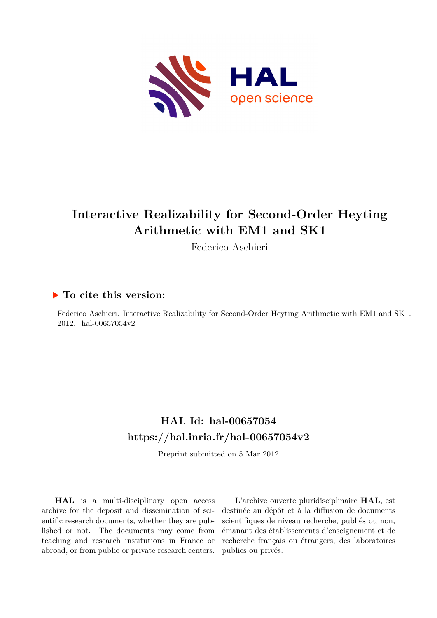

# **Interactive Realizability for Second-Order Heyting Arithmetic with EM1 and SK1**

Federico Aschieri

## **To cite this version:**

Federico Aschieri. Interactive Realizability for Second-Order Heyting Arithmetic with EM1 and SK1. 2012. hal-00657054 $v2$ 

## **HAL Id: hal-00657054 <https://hal.inria.fr/hal-00657054v2>**

Preprint submitted on 5 Mar 2012

**HAL** is a multi-disciplinary open access archive for the deposit and dissemination of scientific research documents, whether they are published or not. The documents may come from teaching and research institutions in France or abroad, or from public or private research centers.

L'archive ouverte pluridisciplinaire **HAL**, est destinée au dépôt et à la diffusion de documents scientifiques de niveau recherche, publiés ou non, émanant des établissements d'enseignement et de recherche français ou étrangers, des laboratoires publics ou privés.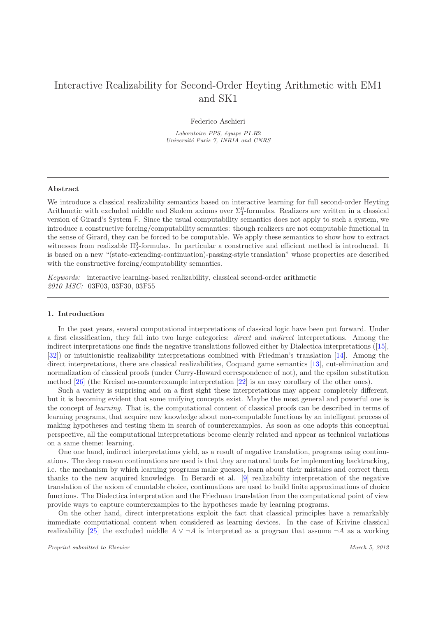## Interactive Realizability for Second-Order Heyting Arithmetic with EM1 and SK1

Federico Aschieri

*Laboratoire PPS, équipe PI.R2 Universit´e Paris 7, INRIA and CNRS*

#### Abstract

We introduce a classical realizability semantics based on interactive learning for full second-order Heyting Arithmetic with excluded middle and Skolem axioms over  $\Sigma_1^0$ -formulas. Realizers are written in a classical version of Girard's System F. Since the usual computability semantics does not apply to such a system, we introduce a constructive forcing/computability semantics: though realizers are not computable functional in the sense of Girard, they can be forced to be computable. We apply these semantics to show how to extract witnesses from realizable  $\Pi_2^0$ -formulas. In particular a constructive and efficient method is introduced. It is based on a new "(state-extending-continuation)-passing-style translation" whose properties are described with the constructive forcing/computability semantics.

Keywords: interactive learning-based realizability, classical second-order arithmetic 2010 MSC: 03F03, 03F30, 03F55

### 1. Introduction

In the past years, several computational interpretations of classical logic have been put forward. Under a first classification, they fall into two large categories: direct and indirect interpretations. Among the indirect interpretations one finds the negative translations followed either by Dialectica interpretations([\[15](#page-51-0)], [\[32](#page-52-0)]) or intuitionistic realizability interpretations combined with Friedman's translation [\[14\]](#page-51-1). Among the direct interpretations, there are classical realizabilities, Coquand game semantics [\[13\]](#page-51-2), cut-elimination and normalization of classical proofs (under Curry-Howard correspondence of not), and the epsilon substitution method [\[26\]](#page-52-1) (the Kreisel no-counterexample interpretation [\[22](#page-51-3)] is an easy corollary of the other ones).

Such a variety is surprising and on a first sight these interpretations may appear completely different, but it is becoming evident that some unifying concepts exist. Maybe the most general and powerful one is the concept of learning. That is, the computational content of classical proofs can be described in terms of learning programs, that acquire new knowledge about non-computable functions by an intelligent process of making hypotheses and testing them in search of counterexamples. As soon as one adopts this conceptual perspective, all the computational interpretations become clearly related and appear as technical variations on a same theme: learning.

One one hand, indirect interpretations yield, as a result of negative translation, programs using continuations. The deep reason continuations are used is that they are natural tools for implementing backtracking, i.e. the mechanism by which learning programs make guesses, learn about their mistakes and correct them thanks to the new acquired knowledge. In Berardi et al. [\[9\]](#page-51-4) realizability interpretation of the negative translation of the axiom of countable choice, continuations are used to build finite approximations of choice functions. The Dialectica interpretation and the Friedman translation from the computational point of view provide ways to capture counterexamples to the hypotheses made by learning programs.

On the other hand, direct interpretations exploit the fact that classical principles have a remarkably immediate computational content when considered as learning devices. In the case of Krivine classical realizability [\[25\]](#page-52-2) the excluded middle  $A \vee \neg A$  is interpreted as a program that assume  $\neg A$  as a working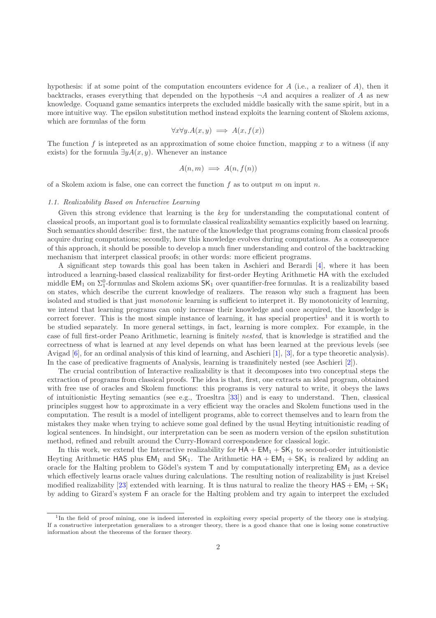hypothesis: if at some point of the computation encounters evidence for  $A$  (i.e., a realizer of  $A$ ), then it backtracks, erases everything that depended on the hypothesis  $\neg A$  and acquires a realizer of A as new knowledge. Coquand game semantics interprets the excluded middle basically with the same spirit, but in a more intuitive way. The epsilon substitution method instead exploits the learning content of Skolem axioms, which are formulas of the form

$$
\forall x \forall y. A(x, y) \implies A(x, f(x))
$$

The function f is intepreted as an approximation of some choice function, mapping x to a witness (if any exists) for the formula  $\exists y A(x, y)$ . Whenever an instance

$$
A(n,m) \implies A(n,f(n))
$$

of a Skolem axiom is false, one can correct the function f as to output m on input n.

#### 1.1. Realizability Based on Interactive Learning

Given this strong evidence that learning is the key for understanding the computational content of classical proofs, an important goal is to formulate classical realizability semantics explicitly based on learning. Such semantics should describe: first, the nature of the knowledge that programs coming from classical proofs acquire during computations; secondly, how this knowledge evolves during computations. As a consequence of this approach, it should be possible to develop a much finer understanding and control of the backtracking mechanism that interpret classical proofs; in other words: more efficient programs.

A significant step towards this goal has been taken in Aschieri and Berardi [\[4](#page-51-5)], where it has been introduced a learning-based classical realizability for first-order Heyting Arithmetic HA with the excluded middle  $EM_1$  on  $\Sigma_1^0$ -formulas and Skolem axioms  $SK_1$  over quantifier-free formulas. It is a realizability based on states, which describe the current knowledge of realizers. The reason why such a fragment has been isolated and studied is that just monotonic learning is sufficient to interpret it. By monotonicity of learning, we intend that learning programs can only increase their knowledge and once acquired, the knowledge is correct forever. This is the most simple instance of learning, it has special properties<sup>[1](#page-2-0)</sup> and it is worth to be studied separately. In more general settings, in fact, learning is more complex. For example, in the case of full first-order Peano Arithmetic, learning is finitely nested, that is knowledge is stratified and the correctness of what is learned at any level depends on what has been learned at the previous levels (see Avigad [\[6](#page-51-6)], for an ordinal analysis of this kind of learning, and Aschieri [\[1](#page-51-7)], [\[3](#page-51-8)], for a type theoretic analysis). In the case of predicative fragments of Analysis, learning is transfinitely nested (see Aschieri [\[2\]](#page-51-9)).

The crucial contribution of Interactive realizability is that it decomposes into two conceptual steps the extraction of programs from classical proofs. The idea is that, first, one extracts an ideal program, obtained with free use of oracles and Skolem functions: this programs is very natural to write, it obeys the laws of intuitionistic Heyting semantics (see e.g., Troesltra [\[33](#page-52-3)]) and is easy to understand. Then, classical principles suggest how to approximate in a very efficient way the oracles and Skolem functions used in the computation. The result is a model of intelligent programs, able to correct themselves and to learn from the mistakes they make when trying to achieve some goal defined by the usual Heyting intuitionistic reading of logical sentences. In hindsight, our interpretation can be seen as modern version of the epsilon substitution method, refined and rebuilt around the Curry-Howard correspondence for classical logic.

In this work, we extend the Interactive realizability for  $HA + EM_1 + SK_1$  to second-order intuitionistic Heyting Arithmetic HAS plus  $EM_1$  and  $SK_1$ . The Arithmetic  $HA + EM_1 + SK_1$  is realized by adding an oracle for the Halting problem to Gödel's system  $\mathsf T$  and by computationally interpreting  $\mathsf{EM}_1$  as a device which effectively learns oracle values during calculations. The resulting notion of realizability is just Kreisel modified realizability [\[23\]](#page-52-4) extended with learning. It is thus natural to realize the theory  $HAS + EM_1 + SK_1$ by adding to Girard's system F an oracle for the Halting problem and try again to interpret the excluded

<span id="page-2-0"></span><sup>&</sup>lt;sup>1</sup>In the field of proof mining, one is indeed interested in exploiting every special property of the theory one is studying. If a constructive interpretation generalizes to a stronger theory, there is a good chance that one is losing some constructive information about the theorems of the former theory.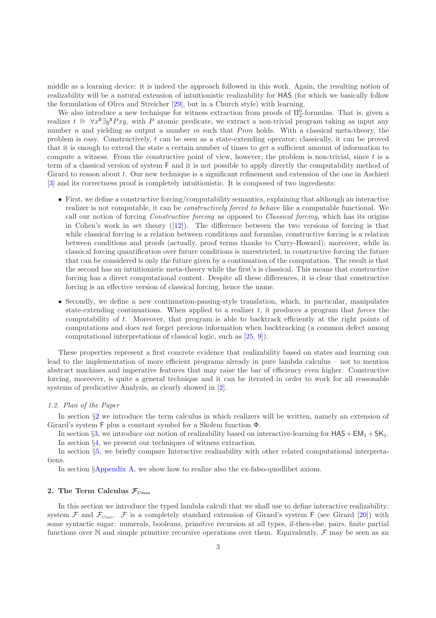middle as a learning device: it is indeed the approach followed in this work. Again, the resulting notion of realizability will be a natural extension of intuitionistic realizability for HAS (for which we basically follow the formulation of Oliva and Streicher [\[29\]](#page-52-5), but in a Church style) with learning.

We also introduce a new technique for witness extraction from proofs of  $\Pi^0_2$ -formulas. That is, given a realizer t  $\mathbb{I} \vdash \forall x \mathbb{I} \exists y \mathbb{I} Pxy$ , with P atomic predicate, we extract a non-trivial program taking as input any number n and yielding as output a number  $m$  such that  $Pnm$  holds. With a classical meta-theory, the problem is easy. Constructively, t can be seen as a state-extending operator; classically, it can be proved that it is enough to extend the state a certain number of times to get a sufficient amount of information to compute a witness. From the constructive point of view, however, the problem is non-trivial, since t is a term of a classical version of system F and it is not possible to apply directly the computability method of Girard to reason about t. Our new technique is a significant refinement and extension of the one in Aschieri [\[3](#page-51-8)] and its correctness proof is completely intuitionistic. It is composed of two ingredients:

- First, we define a constructive forcing/computability semantics, explaining that although an interactive realizer is not computable, it can be constructively forced to behave like a computable functional. We call our notion of forcing *Constructive forcing* as opposed to *Classical forcing*, which has its origins in Cohen's work in set theory([\[12\]](#page-51-10)). The difference between the two versions of forcing is that while classical forcing is a relation between conditions and formulas, constructive forcing is a relation between conditions and proofs (actually, proof terms thanks to Curry-Howard); moreover, while in classical forcing quantification over future conditions is unrestricted, in constructive forcing the future that can be considered is only the future given by a continuation of the computation. The result is that the second has an intuitionistic meta-theory while the first's is classical. This means that constructive forcing has a direct computational content. Despite all these differences, it is clear that constructive forcing is an effective version of classical forcing, hence the name.
- Secondly, we define a new continuation-passing-style translation, which, in particular, manipulates state-extending continuations. When applied to a realizer  $t$ , it produces a program that forces the computability of t. Moreover, that program is able to backtrack efficiently at the right points of computations and does not forget precious information when backtracking (a common defect among computational interpretations of classical logic, such as [\[25,](#page-52-2) [9\]](#page-51-4)).

These properties represent a first concrete evidence that realizability based on states and learning can lead to the implementation of more efficient programs already in pure lambda calculus – not to mention abstract machines and imperative features that may raise the bar of efficiency even higher. Constructive forcing, moreover, is quite a general technique and it can be iterated in order to work for all reasonable systems of predicative Analysis, as clearly showed in [\[2](#page-51-9)].

## 1.2. Plan of the Paper

In section §[2](#page-3-0) we introduce the term calculus in which realizers will be written, namely an extension of Girard's system F plus a constant symbol for a Skolem function Φ.

In section §[3,](#page-10-0) we introduce our notion of realizability based on interactive-learning for  $HAS + EM_1 + SK_1$ . In section  $\S 4$ , we present our techniques of witness extraction.

In section §[5,](#page-40-0) we briefly compare Interactive realizability with other related computational interpretations.

In section §[Appendix A,](#page-42-0) we show how to realize also the ex-falso-quodlibet axiom.

## <span id="page-3-0"></span>2. The Term Calculus  $\mathcal{F}_{\text{Class}}$

In this section we introduce the typed lambda calculi that we shall use to define interactive realizability: system F and  $\mathcal{F}_{\text{class}}$ . F is a completely standard extension of Girard's system F (see Girard [\[20\]](#page-51-11)) with some syntactic sugar: numerals, booleans, primitive recursion at all types, if-then-else, pairs, finite partial functions over N and simple primitive recursive operations over them. Equivalently,  $\mathcal F$  may be seen as an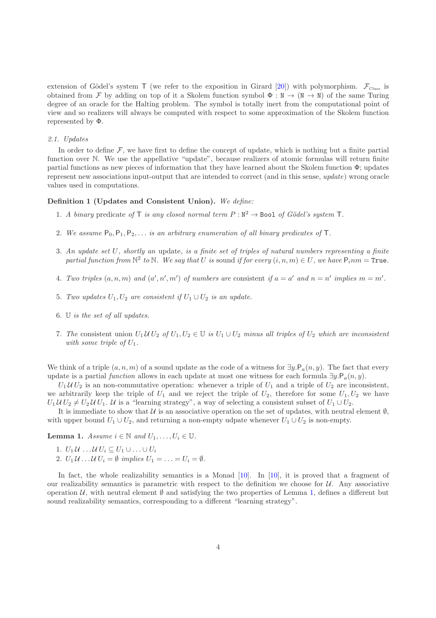extension of Gödel's system T (we refer to the exposition in Girard [\[20](#page-51-11)]) with polymorphism.  $\mathcal{F}_{\text{Class}}$  is obtained from F by adding on top of it a Skolem function symbol  $\Phi : \mathbb{N} \to (\mathbb{N} \to \mathbb{N})$  of the same Turing degree of an oracle for the Halting problem. The symbol is totally inert from the computational point of view and so realizers will always be computed with respect to some approximation of the Skolem function represented by Φ.

#### 2.1. Updates

In order to define  $\mathcal F$ , we have first to define the concept of update, which is nothing but a finite partial function over N. We use the appellative "update", because realizers of atomic formulas will return finite partial functions as new pieces of information that they have learned about the Skolem function  $\Phi$ ; updates represent new associations input-output that are intended to correct (and in this sense, update) wrong oracle values used in computations.

#### <span id="page-4-1"></span>Definition 1 (Updates and Consistent Union). We define:

- 1. A binary predicate of  $\mathsf T$  is any closed normal term  $P : \mathbb N^2 \to \mathsf{Bool}$  of Gödel's system  $\mathsf T$ .
- 2. We assume  $P_0, P_1, P_2, \ldots$  is an arbitrary enumeration of all binary predicates of T.
- 3. An update set U, shortly an update, is a finite set of triples of natural numbers representing a finite partial function from  $\mathbb{N}^2$  to  $\mathbb N$ . We say that U is sound if for every  $(i, n, m) \in U$ , we have  $\mathsf{P}_i$ n $m = \mathtt{True}$ .
- 4. Two triples  $(a, n, m)$  and  $(a', n', m')$  of numbers are consistent if  $a = a'$  and  $n = n'$  implies  $m = m'$ .
- 5. Two updates  $U_1, U_2$  are consistent if  $U_1 \cup U_2$  is an update.
- 6. U is the set of all updates.
- 7. The consistent union  $U_1 U U_2$  of  $U_1, U_2 \in \mathbb{U}$  is  $U_1 \cup U_2$  minus all triples of  $U_2$  which are inconsistent with some triple of  $U_1$ .

We think of a triple  $(a, n, m)$  of a sound update as the code of a witness for  $\exists y \cdot P_a(n, y)$ . The fact that every update is a partial function allows in each update at most one witness for each formula  $\exists y \cdot P_a(n, y)$ .

 $U_1 U_2$  is an non-commutative operation: whenever a triple of  $U_1$  and a triple of  $U_2$  are inconsistent, we arbitrarily keep the triple of  $U_1$  and we reject the triple of  $U_2$ , therefore for some  $U_1, U_2$  we have  $U_1 U U_2 \neq U_2 U U_1$ . U is a "learning strategy", a way of selecting a consistent subset of  $U_1 \cup U_2$ .

<span id="page-4-0"></span>It is immediate to show that  $\mathcal U$  is an associative operation on the set of updates, with neutral element  $\emptyset$ , with upper bound  $U_1 \cup U_2$ , and returning a non-empty udpate whenever  $U_1 \cup U_2$  is non-empty.

**Lemma 1.** Assume  $i \in \mathbb{N}$  and  $U_1, \ldots, U_i \in \mathbb{U}$ .

- 1.  $U_1 U \ldots U U_i \subseteq U_1 \cup \ldots \cup U_i$
- 2.  $U_1 U \dots U U_i = \emptyset$  implies  $U_1 = \dots = U_i = \emptyset$ .

In fact, the whole realizability semantics is a Monad [\[10\]](#page-51-12). In [10], it is proved that a fragment of our realizability semantics is parametric with respect to the definition we choose for  $\mathcal{U}$ . Any associative operation  $U$ , with neutral element  $\emptyset$  and satisfying the two properties of Lemma [1,](#page-4-0) defines a different but sound realizability semantics, corresponding to a different "learning strategy".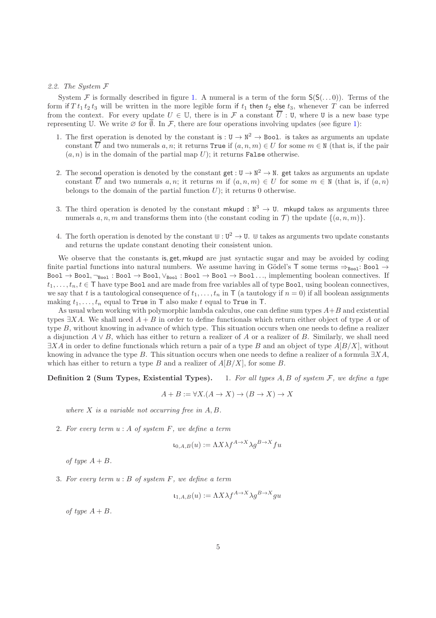### 2.2. The System F

System F is formally described in figure [1.](#page-6-0) A numeral is a term of the form  $S(S(\ldots 0))$ . Terms of the form if  $T t_1 t_2 t_3$  will be written in the more legible form if  $t_1$  then  $t_2$  else  $t_3$ , whenever T can be inferred from the context. For every update  $U \in \mathbb{U}$ , there is in F a constant  $\overline{U}$  : U, where U is a new base type representing U. We write  $\varnothing$  for  $\overline{\varnothing}$ . In F, there are four operations involving updates (see figure [1\)](#page-6-0):

- 1. The first operation is denoted by the constant is :  $U \to N^2 \to \text{Bool}$ . is takes as arguments an update constant  $\overline{U}$  and two numerals  $a, n$ ; it returns True if  $(a, n, m) \in U$  for some  $m \in N$  (that is, if the pair  $(a, n)$  is in the domain of the partial map U); it returns **False** otherwise.
- 2. The second operation is denoted by the constant  $get: U \to N^2 \to N$ . get takes as arguments an update constant  $\overline{U}$  and two numerals  $a, n$ ; it returns m if  $(a, n, m) \in U$  for some  $m \in N$  (that is, if  $(a, n)$ ) belongs to the domain of the partial function  $U$ ); it returns 0 otherwise.
- 3. The third operation is denoted by the constant mkupd :  $\mathbb{N}^3 \to \mathbb{U}$ . mkupd takes as arguments three numerals a, n, m and transforms them into (the constant coding in  $\mathcal{T}$ ) the update  $\{(a, n, m)\}.$
- 4. The forth operation is denoted by the constant  $\mathbb{U}: \mathbb{U}^2 \to \mathbb{U}$ .  $\mathbb{U}$  takes as arguments two update constants and returns the update constant denoting their consistent union.

We observe that the constants is, get, mkupd are just syntactic sugar and may be avoided by coding finite partial functions into natural numbers. We assume having in Gödel's T some terms  $\Rightarrow_{\text{Bool}}: \text{Bool} \rightarrow$  $Bool \to Bool1$ ,  $\neg_{Bool} : Bool \to Bool1$ ,  $\vee_{Bool} : Bool \to Bool \to Bool$ .  $\rightarrow Boolean$  ..., implementing boolean connectives. If  $t_1, \ldots, t_n, t \in \mathsf{T}$  have type Bool and are made from free variables all of type Bool, using boolean connectives, we say that t is a tautological consequence of  $t_1, \ldots, t_n$  in T (a tautology if  $n = 0$ ) if all boolean assignments making  $t_1, \ldots, t_n$  equal to True in T also make t equal to True in T.

As usual when working with polymorphic lambda calculus, one can define sum types  $A+B$  and existential types  $\exists X A$ . We shall need  $A + B$  in order to define functionals which return either object of type A or of type B, without knowing in advance of which type. This situation occurs when one needs to define a realizer a disjunction  $A \vee B$ , which has either to return a realizer of A or a realizer of B. Similarly, we shall need  $\exists X \Lambda$  in order to define functionals which return a pair of a type B and an object of type  $A[B/X]$ , without knowing in advance the type B. This situation occurs when one needs to define a realizer of a formula  $\exists X A$ , which has either to return a type B and a realizer of  $A[B/X]$ , for some B.

**Definition 2 (Sum Types, Existential Types).** 1. For all types  $A, B$  of system  $F$ , we define a type

<span id="page-5-0"></span>
$$
A + B := \forall X . (A \to X) \to (B \to X) \to X
$$

where  $X$  is a variable not occurring free in  $A, B$ .

2. For every term  $u : A$  of system  $F$ , we define a term

$$
\iota_{0,A,B}(u) := \Lambda X \lambda f^{A \to X} \lambda g^{B \to X} f u
$$

of type  $A + B$ .

3. For every term  $u : B$  of system  $F$ , we define a term

$$
\iota_{1,A,B}(u) := \Lambda X \lambda f^{A \to X} \lambda g^{B \to X} gu
$$

of type  $A + B$ .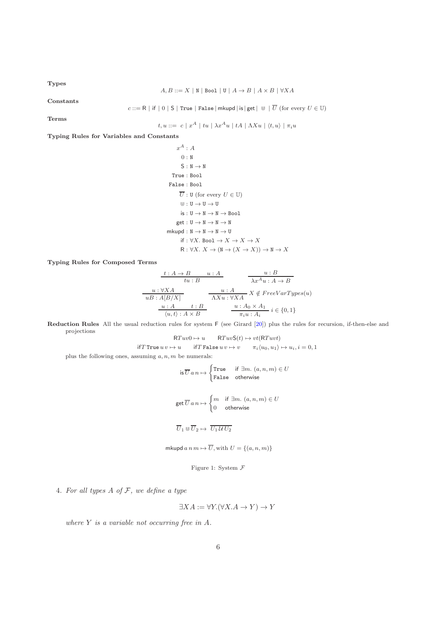Types

$$
A, B ::= X \mid \mathbb{N} \mid \text{Bool} \mid \mathbb{U} \mid A \to B \mid A \times B \mid \forall X A
$$

Constants

 $c ::= R |$  if  $| 0 | S |$  True  $|$  False  $|$  mkupd  $|$  is  $|$  get  $| \Cupset \overline{U}$  (for every  $U \in \Cupset \$ )

Terms

$$
t, u ::= c | x^A | tu | \lambda x^A u | tA | \Lambda X u | \langle t, u \rangle | \pi_i u
$$

Typing Rules for Variables and Constants

 $x^A : A$ 0 : N  $S : N \rightarrow N$ True : Bool False : Bool  $\overline{U}$  :  ${\tt U}$  (for every  $U\in{\mathbb U})$  $\mathbb{U}: \mathbf{U} \rightarrow \mathbf{U} \rightarrow \mathbf{U}$  $is: U \to N \to N \to \text{Bool}$  $get: U \rightarrow N \rightarrow N \rightarrow N$  $mkupd : N \to N \to N \to U$ if :  $\forall X$ . Boo $1 \to X \to X \to X$  $R: \forall X. X \rightarrow (N \rightarrow (X \rightarrow X)) \rightarrow N \rightarrow X$ 

Typing Rules for Composed Terms

$$
\begin{array}{c|c}\n t:A \rightarrow B & u:A & u:B \\
 \hline\n tu:B & \lambda x^A u:A \rightarrow B \\
 \hline\n uB:A[B/X] & \lambda Xu:\forall XA & X \notin FreeVarTypes(u) \\
 \hline\n u:A & t:B & u:A_0 \times A_1 \\
 \hline\n \langle u,t \rangle: A \times B & \pi_i u:A_i & i \in \{0,1\}\n \end{array}
$$

Reduction Rules All the usual reduction rules for system F (see Girard [\[20\]](#page-51-11)) plus the rules for recursion, if-then-else and projections

$$
RTuv0 \mapsto u \qquad RTuvS(t) \mapsto vt(RTuvt)
$$

$$
\text{if } T \text{ True } u \, v \mapsto u \qquad \text{if } T \text{ False } u \, v \mapsto v \qquad \pi_i \langle u_0, u_1 \rangle \mapsto u_i, i = 0, 1
$$

plus the following ones, assuming  $a, n, m$  be numerals:

is 
$$
\overline{U} a n \mapsto \begin{cases} \text{True} & \text{if } \exists m. \ (a, n, m) \in U \\ \text{False} & \text{otherwise} \end{cases}
$$
  

$$
\text{get } \overline{U} a n \mapsto \begin{cases} m & \text{if } \exists m. \ (a, n, m) \in U \\ 0 & \text{otherwise} \end{cases}
$$

$$
\overline{U} \cdot \mathbb{H} \overline{U} \mapsto \overline{U} \cdot \mathcal{U} \overline{U} \mapsto \overline{U} \cdot \mathcal{U} \overline{U} \mapsto \overline{U} \cdot \mathcal{U} \cdot \mathcal{U} \cdot \mathcal{U} \cdot \mathcal{U} \cdot \mathcal{U} \cdot \mathcal{U} \cdot \mathcal{U} \cdot \mathcal{U} \cdot \mathcal{U} \cdot \mathcal{U} \cdot \mathcal{U} \cdot \mathcal{U} \cdot \mathcal{U} \cdot \mathcal{U} \cdot \mathcal{U} \cdot \mathcal{U} \cdot \mathcal{U} \cdot \mathcal{U} \cdot \mathcal{U} \cdot \mathcal{U} \cdot \mathcal{U} \cdot \mathcal{U} \cdot \mathcal{U} \cdot \mathcal{U} \cdot \mathcal{U} \cdot \mathcal{U} \cdot \mathcal{U} \cdot \mathcal{U} \cdot \mathcal{U} \cdot \mathcal{U} \cdot \mathcal{U} \cdot \mathcal{U} \cdot \mathcal{U} \cdot \mathcal{U} \cdot \mathcal{U} \cdot \mathcal{U} \cdot \mathcal{U} \cdot \mathcal{U} \cdot \mathcal{U} \cdot \mathcal{U} \cdot \mathcal{U} \cdot \mathcal{U} \cdot \mathcal{U} \cdot \mathcal{U} \cdot \mathcal{U} \cdot \mathcal{U} \cdot \mathcal{U} \cdot \mathcal{U} \cdot \mathcal{U} \cdot \mathcal{U} \cdot \mathcal{U} \cdot \mathcal{U} \cdot \mathcal{U} \cdot \mathcal{U} \cdot \mathcal{U} \cdot \mathcal{U} \cdot \mathcal{U} \cdot \mathcal{U} \cdot \mathcal{U} \cdot \mathcal{U} \cdot \mathcal{U} \cdot \mathcal{U} \cdot \mathcal{U} \cdot \mathcal{U} \cdot \mathcal{U} \cdot \mathcal{U} \cdot \mathcal{U} \cdot \mathcal{U} \cdot \mathcal{U} \cdot \mathcal
$$

$$
U_1 \cup U_2 \mapsto U_1 U_2 U_2
$$

mkupd  $a n m \mapsto \overline{U}$ , with  $U = \{(a, n, m)\}\$ 

<span id="page-6-0"></span>Figure 1: System  $\mathcal F$ 

4. For all types  $A$  of  $F$ , we define a type

$$
\exists X A := \forall Y. (\forall X. A \to Y) \to Y
$$

where  $Y$  is a variable not occurring free in  $A$ .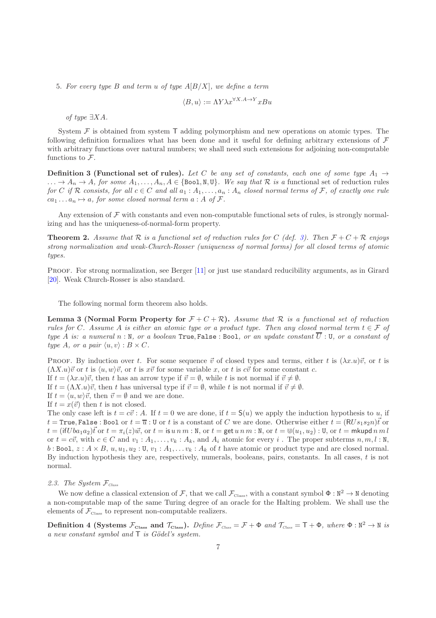5. For every type B and term u of type  $A[B/X]$ , we define a term

<span id="page-7-1"></span>
$$
\langle B, u \rangle := \Lambda Y \lambda x^{\forall X.A \to Y} xBu
$$

of type ∃XA.

System  $\mathcal F$  is obtained from system  $\mathsf T$  adding polymorphism and new operations on atomic types. The following definition formalizes what has been done and it useful for defining arbitrary extensions of  $\mathcal F$ with arbitrary functions over natural numbers; we shall need such extensions for adjoining non-computable functions to  $\mathcal{F}$ .

<span id="page-7-0"></span>**Definition 3 (Functional set of rules).** Let C be any set of constants, each one of some type  $A_1 \rightarrow$  $\ldots \to A_n \to A$ , for some  $A_1, \ldots, A_n, A \in \{\text{Bool}, \mathbb{N}, \mathbb{U}\}\$ . We say that  $\mathcal R$  is a functional set of reduction rules for C if R consists, for all  $c \in C$  and all  $a_1 : A_1, \ldots, a_n : A_n$  closed normal terms of F, of exactly one rule  $ca_1 \ldots a_n \mapsto a$ , for some closed normal term  $a : A$  of  $\mathcal{F}$ .

Any extension of  $\mathcal F$  with constants and even non-computable functional sets of rules, is strongly normalizing and has the uniqueness-of-normal-form property.

**Theorem 2.** Assume that R is a functional set of reduction rules for C (def. [3\)](#page-7-0). Then  $F + C + R$  enjoys strong normalization and weak-Church-Rosser (uniqueness of normal forms) for all closed terms of atomic types.

PROOF. For strong normalization, see Berger [\[11\]](#page-51-13) or just use standard reducibility arguments, as in Girard [\[20](#page-51-11)]. Weak Church-Rosser is also standard.

<span id="page-7-2"></span>The following normal form theorem also holds.

**Lemma 3 (Normal Form Property for**  $\mathcal{F} + C + \mathcal{R}$ ). Assume that R is a functional set of reduction rules for C. Assume A is either an atomic type or a product type. Then any closed normal term  $t \in \mathcal{F}$  of type A is: a numeral  $n : \mathbb{N}$ , or a boolean True, False : Bool, or an update constant  $\overline{U}$  : U, or a constant of type A, or a pair  $\langle u, v \rangle : B \times C$ .

PROOF. By induction over t. For some sequence  $\vec{v}$  of closed types and terms, either t is  $(\lambda x.u)\vec{v}$ , or t is  $(\Lambda X.u)\vec{v}$  or t is  $\langle u, w\rangle \vec{v}$ , or t is  $x\vec{v}$  for some variable x, or t is  $c\vec{v}$  for some constant c.

If  $t = (\lambda x. u)\vec{v}$ , then t has an arrow type if  $\vec{v} = \emptyset$ , while t is not normal if  $\vec{v} \neq \emptyset$ .

If  $t = (\Lambda X.u)\vec{v}$ , then t has universal type if  $\vec{v} = \emptyset$ , while t is not normal if  $\vec{v} \neq \emptyset$ .

If  $t = \langle u, w \rangle \vec{v}$ , then  $\vec{v} = \emptyset$  and we are done.

If  $t = x(\vec{v})$  then t is not closed.

The only case left is  $t = c\vec{v}$ : A. If  $t = 0$  we are done, if  $t = S(u)$  we apply the induction hypothesis to u, if  $t = \text{True}$ , False: Bool or  $t = \overline{u}$ : U or t is a constant of C we are done. Otherwise either  $t = (RUs_1s_2n)\overrightarrow{t}$  or  $t = (ifUba_1a_2)\vec{t}$  or  $t = \pi_i(z)\vec{w}$ , or  $t = is u n m$  : N, or  $t = get u n m$  : N, or  $t = \mathbb{U}(u_1, u_2)$  : U, or  $t =$  mkupd  $n m l$ or  $t = c\vec{v}$ , with  $c \in C$  and  $v_1 : A_1, \ldots, v_k : A_k$ , and  $A_i$  atomic for every i. The proper subterms  $n, m, l : N$ , b : Bool,  $z : A \times B$ ,  $u, u_1, u_2 : U, v_1 : A_1, \ldots, v_k : A_k$  of t have atomic or product type and are closed normal. By induction hypothesis they are, respectively, numerals, booleans, pairs, constants. In all cases, t is not normal.

#### 2.3. The System  $\mathcal{F}_{\text{Class}}$

We now define a classical extension of F, that we call  $\mathcal{F}_{\text{Class}}$ , with a constant symbol  $\Phi : \mathbb{N}^2 \to \mathbb{N}$  denoting a non-computable map of the same Turing degree of an oracle for the Halting problem. We shall use the elements of  $\mathcal{F}_{\text{Class}}$  to represent non-computable realizers.

Definition 4 (Systems  $\mathcal{F}_{\text{Class}}$  and  $\mathcal{T}_{\text{Class}}$ ). Define  $\mathcal{F}_{\text{Class}} = \mathcal{F} + \Phi$  and  $\mathcal{T}_{\text{Class}} = T + \Phi$ , where  $\Phi : \mathbb{N}^2 \to \mathbb{N}$  is a new constant symbol and  $\top$  is Gödel's system.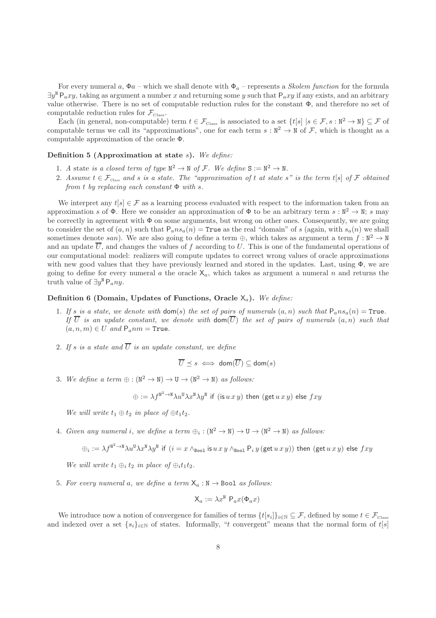For every numeral a,  $\Phi a$  – which we shall denote with  $\Phi_a$  – represents a *Skolem function* for the formula  $\exists y^N P_a xy$ , taking as argument a number x and returning some y such that  $P_a xy$  if any exists, and an arbitrary value otherwise. There is no set of computable reduction rules for the constant Φ, and therefore no set of computable reduction rules for  $\mathcal{F}_{\text{Class}}$ .

Each (in general, non-computable) term  $t \in \mathcal{F}_{\text{Class}}$  is associated to a set  $\{t[s] | s \in \mathcal{F}, s : \mathbb{N}^2 \to \mathbb{N}\} \subseteq \mathcal{F}$  of computable terms we call its "approximations", one for each term  $s : \mathbb{N}^2 \to \mathbb{N}$  of  $\mathcal{F}$ , which is thought as a computable approximation of the oracle Φ.

### Definition 5 (Approximation at state  $s$ ). We define:

- 1. A state is a closed term of type  $\mathbb{N}^2 \to \mathbb{N}$  of F. We define  $S := \mathbb{N}^2 \to \mathbb{N}$ .
- 2. Assume  $t \in \mathcal{F}_{\text{Class}}$  and s is a state. The "approximation of t at state s" is the term t[s] of  $\mathcal F$  obtained from t by replacing each constant  $\Phi$  with s.

We interpret any  $t[s] \in \mathcal{F}$  as a learning process evaluated with respect to the information taken from an approximation s of  $\Phi$ . Here we consider an approximation of  $\Phi$  to be an arbitrary term s:  $\mathbb{N}^2 \to \mathbb{N}$ ; s may be correctly in agreement with  $\Phi$  on some arguments, but wrong on other ones. Consequently, we are going to consider the set of  $(a, n)$  such that  $P_a n s_a(n) =$ True as the real "domain" of s (again, with  $s_a(n)$ ) we shall sometimes denote san). We are also going to define a term  $\oplus$ , which takes as argument a term  $f : \mathbb{N}^2 \to \mathbb{N}$ and an update  $\overline{U}$ , and changes the values of f according to U. This is one of the fundamental operations of our computational model: realizers will compute updates to correct wrong values of oracle approximations with new good values that they have previously learned and stored in the updates. Last, using  $\Phi$ , we are going to define for every numeral a the oracle  $X_a$ , which takes as argument a numeral n and returns the truth value of  $\exists y^{\text{N}} P_a ny$ .

#### <span id="page-8-0"></span>Definition 6 (Domain, Updates of Functions, Oracle  $X_a$ ). We define:

- 1. If s is a state, we denote with dom(s) the set of pairs of numerals  $(a, n)$  such that  $P_a n s_a(n) = True$ . If  $\overline{U}$  is an update constant, we denote with  $\text{dom}(\overline{U})$  the set of pairs of numerals  $(a, n)$  such that  $(a, n, m) \in U$  and  $P_{a}$ nm = True.
- 2. If s is a state and  $\overline{U}$  is an update constant, we define

$$
\overline{U} \preceq s \iff \mathsf{dom}(\overline{U}) \subseteq \mathsf{dom}(s)
$$

3. We define a term  $\oplus : (\mathbb{N}^2 \to \mathbb{N}) \to \mathbb{U} \to (\mathbb{N}^2 \to \mathbb{N})$  as follows:

 $\oplus:=\lambda f^{\text{N}^2\to \text{N}}\lambda u^{\text{U}}\lambda x^{\text{N}}\lambda y^{\text{N}}$  if  $(\text{is}\, u\, x\, y)$  then  $(\text{get}\, u\, x\, y)$  else  $fxy$ 

We will write  $t_1 \oplus t_2$  in place of  $\oplus t_1t_2$ .

4. Given any numeral i, we define a term  $\oplus_i : (\mathbb{N}^2 \to \mathbb{N}) \to \mathbb{U} \to (\mathbb{N}^2 \to \mathbb{N})$  as follows:

$$
\oplus_i := \lambda f^{\mathtt{N}^2\to \mathtt{N}}\lambda u^{\mathtt{U}}\lambda x^{\mathtt{N}}\lambda y^{\mathtt{N}} \ \text{ if } \ (i=x\wedge_{\mathtt{Bool}}\text{ is } u\,x\,y\wedge_{\mathtt{Bool}} \mathsf{P}_i\,y\,(\mathtt{get}\,u\,x\,y)) \ \text{ then } (\mathtt{get}\,u\,x\,y) \ \text{ else } fxy
$$

We will write  $t_1 \oplus_i t_2$  in place of  $\oplus_i t_1t_2$ .

5. For every numeral a, we define a term  $X_a : N \to \text{Bool}$  as follows:

$$
\mathsf{X}_a := \lambda x^{\mathbb{N}} \; \mathsf{P}_a x(\Phi_a x)
$$

We introduce now a notion of convergence for families of terms  $\{t[s_i]\}_{i\in\mathbb{N}}\subseteq\mathcal{F}$ , defined by some  $t\in\mathcal{F}_{\text{Class}}$ and indexed over a set  $\{s_i\}_{i\in\mathbb{N}}$  of states. Informally, "t convergent" means that the normal form of  $t[s]$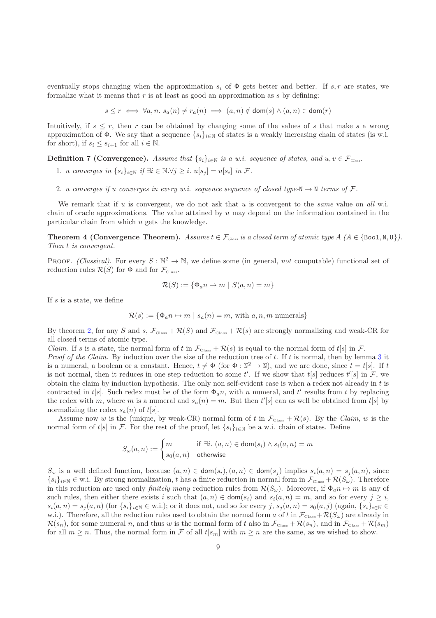eventually stops changing when the approximation  $s_i$  of  $\Phi$  gets better and better. If  $s, r$  are states, we formalize what it means that  $r$  is at least as good an approximation as  $s$  by defining:

 $s \leq r \iff \forall a, n. s_a(n) \neq r_a(n) \implies (a, n) \notin \text{dom}(s) \land (a, n) \in \text{dom}(r)$ 

Intuitively, if  $s \leq r$ , then r can be obtained by changing some of the values of s that make s a wrong approximation of  $\Phi$ . We say that a sequence  $\{s_i\}_{i\in\mathbb{N}}$  of states is a weakly increasing chain of states (is w.i. for short), if  $s_i \leq s_{i+1}$  for all  $i \in \mathbb{N}$ .

**Definition 7 (Convergence).** Assume that  $\{s_i\}_{i\in\mathbb{N}}$  is a w.i. sequence of states, and  $u, v \in \mathcal{F}_{Class}$ .

- 1. u converges in  $\{s_i\}_{i\in\mathbb{N}}$  if  $\exists i\in\mathbb{N}.\forall j\geq i$ .  $u[s_j]=u[s_i]$  in  $\mathcal{F}$ .
- 2. u converges if u converges in every w.i. sequence sequence of closed type-N  $\rightarrow$  N terms of F.

We remark that if  $u$  is convergent, we do not ask that  $u$  is convergent to the *same* value on all w.i. chain of oracle approximations. The value attained by  $u$  may depend on the information contained in the particular chain from which u gets the knowledge.

<span id="page-9-0"></span>**Theorem 4 (Convergence Theorem).** Assume  $t \in \mathcal{F}_{\text{Class}}$  is a closed term of atomic type  $A \ (A \in \{\text{Bool}, \text{N}, \text{U}\})$ . Then t is convergent.

**PROOF.** (Classical). For every  $S : \mathbb{N}^2 \to \mathbb{N}$ , we define some (in general, not computable) functional set of reduction rules  $\mathcal{R}(S)$  for  $\Phi$  and for  $\mathcal{F}_{\text{Class}}$ .

$$
\mathcal{R}(S) := \{ \Phi_a n \mapsto m \mid S(a, n) = m \}
$$

If  $s$  is a state, we define

$$
\mathcal{R}(s) := \{ \Phi_a n \mapsto m \mid s_a(n) = m, \text{ with } a, n, m \text{ numerals} \}
$$

By theorem [2,](#page-7-1) for any S and s,  $\mathcal{F}_{\text{Class}} + \mathcal{R}(S)$  and  $\mathcal{F}_{\text{Class}} + \mathcal{R}(s)$  are strongly normalizing and weak-CR for all closed terms of atomic type.

Claim. If s is a state, the normal form of t in  $\mathcal{F}_{\text{Class}} + \mathcal{R}(s)$  is equal to the normal form of t[s] in  $\mathcal{F}$ . Proof of the Claim. By induction over the size of the reduction tree of  $t$ . If  $t$  is normal, then by lemma [3](#page-7-2) it is a numeral, a boolean or a constant. Hence,  $t \neq \Phi$  (for  $\Phi : \mathbb{N}^2 \to \mathbb{N}$ ), and we are done, since  $t = t[s]$ . If t is not normal, then it reduces in one step reduction to some t'. If we show that  $t[s]$  reduces  $t'[s]$  in  $\mathcal{F}$ , we obtain the claim by induction hypothesis. The only non self-evident case is when a redex not already in t is contracted in t[s]. Such redex must be of the form  $\Phi_a n$ , with n numeral, and t' results from t by replacing the redex with m, where m is a numeral and  $s_a(n) = m$ . But then  $t'[s]$  can as well be obtained from  $t[s]$  by normalizing the redex  $s_a(n)$  of  $t[s]$ .

Assume now w is the (unique, by weak-CR) normal form of t in  $\mathcal{F}_{\text{Class}} + \mathcal{R}(s)$ . By the *Claim*, w is the normal form of t[s] in F. For the rest of the proof, let  $\{s_i\}_{i\in\mathbb{N}}$  be a w.i. chain of states. Define

$$
S_{\omega}(a,n):=\begin{cases} m \qquad \qquad \text{if } \exists i. \ (a,n) \in \text{dom}(s_i) \wedge s_i(a,n)=m \\ s_0(a,n) \quad \text{otherwise} \end{cases}
$$

 $S_{\omega}$  is a well defined function, because  $(a, n) \in \text{dom}(s_i), (a, n) \in \text{dom}(s_i)$  implies  $s_i(a, n) = s_i(a, n)$ , since  ${s_i}_{i\in\mathbb{N}} \in \mathbb{W}$ . By strong normalization, t has a finite reduction in normal form in  $\mathcal{F}_{\text{Class}} + \mathcal{R}(S_{\omega})$ . Therefore in this reduction are used only *finitely many* reduction rules from  $\mathcal{R}(S_{\omega})$ . Moreover, if  $\Phi_{a}n \mapsto m$  is any of such rules, then either there exists i such that  $(a, n) \in \text{dom}(s_i)$  and  $s_i(a, n) = m$ , and so for every  $j \geq i$ ,  $s_i(a, n) = s_j(a, n)$  (for  $\{s_i\}_{i \in \mathbb{N}} \in \mathbb{N}$ .i.); or it does not, and so for every j,  $s_j(a, n) = s_0(a, j)$  (again,  $\{s_i\}_{i \in \mathbb{N}} \in \mathbb{N}$ w.i.). Therefore, all the reduction rules used to obtain the normal form a of t in  $\mathcal{F}_{\text{Class}}+\mathcal{R}(S_{\omega})$  are already in  $\mathcal{R}(s_n)$ , for some numeral n, and thus w is the normal form of t also in  $\mathcal{F}_{\text{Class}} + \mathcal{R}(s_n)$ , and in  $\mathcal{F}_{\text{Class}} + \mathcal{R}(s_m)$ for all  $m \geq n$ . Thus, the normal form in F of all  $t[s_m]$  with  $m \geq n$  are the same, as we wished to show.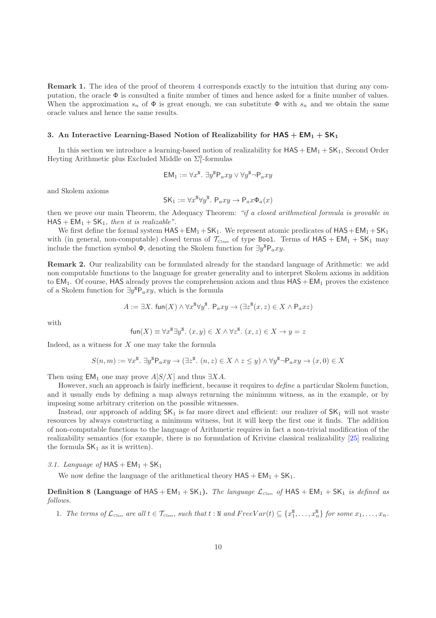Remark 1. The idea of the proof of theorem [4](#page-9-0) corresponds exactly to the intuition that during any computation, the oracle  $\Phi$  is consulted a finite number of times and hence asked for a finite number of values. When the approximation  $s_n$  of  $\Phi$  is great enough, we can substitute  $\Phi$  with  $s_n$  and we obtain the same oracle values and hence the same results.

#### <span id="page-10-0"></span>3. An Interactive Learning-Based Notion of Realizability for  $HAS + EM_1 + SK_1$

In this section we introduce a learning-based notion of realizability for  $HAS + EM_1 + SK_1$ , Second Order Heyting Arithmetic plus Excluded Middle on  $\Sigma^0_1$ -formulas

$$
\mathsf{EM}_1 := \forall x^\mathsf{N}.\ \exists y^\mathsf{N} \mathsf{P}_a xy \vee \forall y^\mathsf{N} \neg \mathsf{P}_a xy
$$

and Skolem axioms

$$
\mathsf{SK}_1 := \forall x^{\mathsf{N}} \forall y^{\mathsf{N}}.\ \mathsf{P}_a xy \to \mathsf{P}_a x \Phi_a(x)
$$

then we prove our main Theorem, the Adequacy Theorem: "if a closed arithmetical formula is provable in  $HAS + EM_1 + SK_1$ , then it is realizable".

We first define the formal system  $HAS+EM_1+SK_1$ . We represent atomic predicates of  $HAS+EM_1+SK_1$ with (in general, non-computable) closed terms of  $\mathcal{T}_{\text{Class}}$  of type Bool. Terms of  $HAS + EM_1 + SK_1$  may include the function symbol  $\Phi$ , denoting the Skolem function for  $\exists y^{\text{N}}\mathsf{P}_a xy$ .

<span id="page-10-1"></span>Remark 2. Our realizability can be formulated already for the standard language of Arithmetic: we add non computable functions to the language for greater generality and to interpret Skolem axioms in addition to  $EM_1$ . Of course, HAS already proves the comprehension axiom and thus  $HAS + EM_1$  proves the existence of a Skolem function for  $\exists y^N P_a xy$ , which is the formula

$$
A := \exists X. \text{ fun}(X) \land \forall x^{\mathbb{N}} \forall y^{\mathbb{N}}. \text{ } \mathsf{P}_a xy \to (\exists z^{\mathbb{N}} (x, z) \in X \land \mathsf{P}_a x z)
$$

with

$$
\text{fun}(X) \equiv \forall x^{\mathbb{N}} \exists y^{\mathbb{N}}. (x, y) \in X \land \forall z^{\mathbb{N}}. (x, z) \in X \to y = z
$$

Indeed, as a witness for  $X$  one may take the formula

$$
S(n,m):=\forall x^{\mathtt{M}}.\ \exists y^{\mathtt{M}}\mathsf{P}_a xy\to (\exists z^{\mathtt{M}}.\ (n,z)\in X\wedge z\leq y)\wedge \forall y^{\mathtt{M}}\neg \mathsf{P}_a xy\to (x,0)\in X
$$

Then using  $\text{\sf EM}_1$  one may prove  $A[S/X]$  and thus  $\exists X A$ .

However, such an approach is fairly inefficient, because it requires to *define* a particular Skolem function, and it usually ends by defining a map always returning the minimum witness, as in the example, or by imposing some arbitrary criterion on the possible witnesses.

Instead, our approach of adding  $SK_1$  is far more direct and efficient: our realizer of  $SK_1$  will not waste resources by always constructing a minimum witness, but it will keep the first one it finds. The addition of non-computable functions to the language of Arithmetic requires in fact a non-trivial modification of the realizability semantics (for example, there is no formulation of Krivine classical realizability [\[25\]](#page-52-2) realizing the formula  $SK_1$  as it is written).

3.1. Language of  $HAS + EM_1 + SK_1$ 

We now define the language of the arithmetical theory  $HAS + EM_1 + SK_1$ .

**Definition 8 (Language of HAS** + EM<sub>1</sub> + SK<sub>1</sub>). The language  $\mathcal{L}_{Class}$  of HAS + EM<sub>1</sub> + SK<sub>1</sub> is defined as follows.

1. The terms of  $\mathcal{L}_{\text{Class}}$  are all  $t \in \mathcal{T}_{\text{Class}}$ , such that  $t : \mathbb{N}$  and  $FreeVar(t) \subseteq \{x_1^{\mathbb{N}}, \ldots, x_n^{\mathbb{N}}\}$  for some  $x_1, \ldots, x_n$ .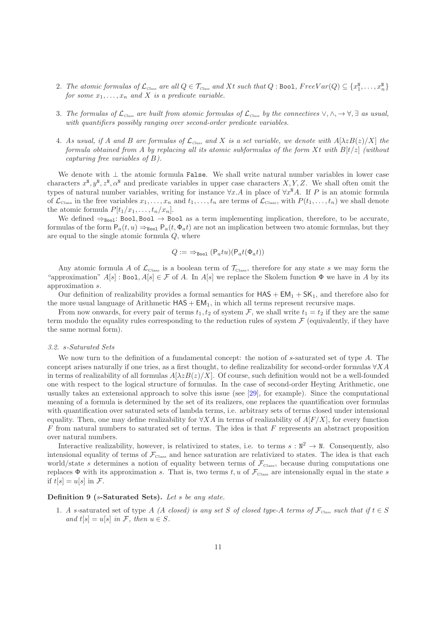- 2. The atomic formulas of  $\mathcal{L}_{Class}$  are all  $Q \in \mathcal{T}_{Class}$  and Xt such that  $Q : \text{Bool}$ ,  $FreeVar(Q) \subseteq \{x_1^{\text{N}}, \ldots, x_n^{\text{N}}\}$ for some  $x_1, \ldots, x_n$  and X is a predicate variable.
- 3. The formulas of  $\mathcal{L}_{\text{Class}}$  are built from atomic formulas of  $\mathcal{L}_{\text{Class}}$  by the connectives  $\vee, \wedge, \rightarrow \forall, \exists$  as usual, with quantifiers possibly ranging over second-order predicate variables.
- 4. As usual, if A and B are formulas of  $\mathcal{L}_{Class}$  and X is a set variable, we denote with  $A[\lambda zB(z)/X]$  the formula obtained from A by replacing all its atomic subformulas of the form Xt with  $B(t)z$  (without capturing free variables of B).

We denote with  $\perp$  the atomic formula False. We shall write natural number variables in lower case characters  $x^{\mathbb{N}}, y^{\mathbb{N}}, z^{\mathbb{N}}, \alpha^{\mathbb{N}}$  and predicate variables in upper case characters  $X, Y, Z$ . We shall often omit the types of natural number variables, writing for instance  $\forall x.A$  in place of  $\forall x^{\mathbb{N}}A$ . If P is an atomic formula of  $\mathcal{L}_{\text{Class}}$  in the free variables  $x_1, \ldots, x_n$  and  $t_1, \ldots, t_n$  are terms of  $\mathcal{L}_{\text{Class}}$ , with  $P(t_1, \ldots, t_n)$  we shall denote the atomic formula  $P[t_1/x_1, \ldots, t_n/x_n].$ 

We defined  $\Rightarrow_{\text{Bool}}$ : Bool, Bool  $\rightarrow$  Bool as a term implementing implication, therefore, to be accurate, formulas of the form  $P_a(t, u) \Rightarrow_{\text{Bool}} P_a(t, \Phi_a t)$  are not an implication between two atomic formulas, but they are equal to the single atomic formula Q, where

$$
Q := \Rightarrow_{\text{Bool}} (P_a t u)(P_a t(\Phi_a t))
$$

Any atomic formula A of  $\mathcal{L}_{\text{Class}}$  is a boolean term of  $\mathcal{T}_{\text{Class}}$ , therefore for any state s we may form the "approximation"  $A[s]$ : Bool,  $A[s] \in \mathcal{F}$  of A. In  $A[s]$  we replace the Skolem function  $\Phi$  we have in A by its approximation s.

Our definition of realizability provides a formal semantics for  $HAS + EM_1 + SK_1$ , and therefore also for the more usual language of Arithmetic  $HAS + EM_1$ , in which all terms represent recursive maps.

From now onwards, for every pair of terms  $t_1, t_2$  of system F, we shall write  $t_1 = t_2$  if they are the same term modulo the equality rules corresponding to the reduction rules of system  $\mathcal F$  (equivalently, if they have the same normal form).

#### 3.2. s-Saturated Sets

We now turn to the definition of a fundamental concept: the notion of s-saturated set of type A. The concept arises naturally if one tries, as a first thought, to define realizability for second-order formulas  $\forall X A$ in terms of realizability of all formulas  $A[\lambda zB(z)/X]$ . Of course, such definition would not be a well-founded one with respect to the logical structure of formulas. In the case of second-order Heyting Arithmetic, one usually takes an extensional approach to solve this issue (see [\[29\]](#page-52-5), for example). Since the computational meaning of a formula is determined by the set of its realizers, one replaces the quantification over formulas with quantification over saturated sets of lambda terms, i.e. arbitrary sets of terms closed under intensional equality. Then, one may define realizability for  $\forall X \hat{A}$  in terms of realizability of  $A[F/X]$ , for every function  $F$  from natural numbers to saturated set of terms. The idea is that  $F$  represents an abstract proposition over natural numbers.

Interactive realizability, however, is relativized to states, i.e. to terms  $s : \mathbb{N}^2 \to \mathbb{N}$ . Consequently, also intensional equality of terms of  $\mathcal{F}_{\text{Class}}$  and hence saturation are relativized to states. The idea is that each world/state s determines a notion of equality between terms of  $\mathcal{F}_{\text{Class}}$ , because during computations one replaces  $\Phi$  with its approximation s. That is, two terms t, u of  $\mathcal{F}_{\text{Class}}$  are intensionally equal in the state s if  $t[s] = u[s]$  in F.

#### Definition 9 (s-Saturated Sets). Let s be any state.

1. A s-saturated set of type A (A closed) is any set S of closed type-A terms of  $\mathcal{F}_{Class}$  such that if  $t \in S$ and t[s]  $= u[s]$  in F, then  $u \in S$ .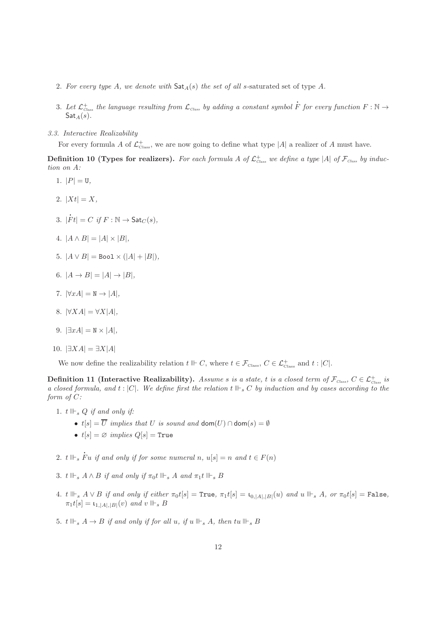- 2. For every type A, we denote with  $\textsf{Sat}_{A}(s)$  the set of all s-saturated set of type A.
- 3. Let  $\mathcal{L}^+_{\textit{Class}}$  the language resulting from  $\mathcal{L}_{\textit{Class}}$  by adding a constant symbol F for every function  $F : \mathbb{N} \to$  $\mathsf{Sat}_A(s)$ .

<span id="page-12-1"></span>l

3.3. Interactive Realizability

For every formula A of  $\mathcal{L}^+_{\text{Class}}$ , we are now going to define what type |A| a realizer of A must have.

**Definition 10 (Types for realizers).** For each formula A of  $\mathcal{L}^+_{\text{Class}}$  we define a type |A| of  $\mathcal{F}_{\text{Class}}$  by induction on A:

- 1.  $|P| = \mathsf{U},$
- 2.  $|Xt| = X$ ,
- 3. |  $\dot{F}t| = C \text{ if } F : \mathbb{N} \to \mathsf{Sat}_C(s),$
- 4.  $|A \wedge B| = |A| \times |B|$ ,
- 5.  $|A \vee B|$  = Boo1  $\times$   $(|A| + |B|)$ ,
- 6.  $|A \to B| = |A| \to |B|$ ,
- 7.  $|\forall x A| = N \rightarrow |A|$ ,
- 8.  $|\forall X A| = \forall X |A|$ ,
- 9.  $|\exists xA| = N \times |A|$ ,
- 10.  $|\exists X A| = \exists X |A|$

<span id="page-12-0"></span>We now define the realizability relation  $t \Vdash C$ , where  $t \in \mathcal{F}_{\text{Class}}$ ,  $C \in \mathcal{L}_{\text{Class}}^+$  and  $t : |C|$ .

Definition 11 (Interactive Realizability). Assume s is a state, t is a closed term of  $\mathcal{F}_{\textit{Class}},\ C \in \mathcal{L}^+_{\textit{Class}}$  is a closed formula, and  $t : |C|$ . We define first the relation  $t \Vdash_{s} C$  by induction and by cases according to the form of C:

- 1.  $t \Vdash_s Q$  if and only if:
	- $t[s] = \overline{U}$  implies that U is sound and dom $(U) \cap$  dom $(s) = \emptyset$
	- $t[s] = \varnothing$  implies  $Q[s] = \text{True}$
- 2.  $t \Vdash_s \dot{F}$ Fu if and only if for some numeral n,  $u[s] = n$  and  $t \in F(n)$
- 3. t  $\Vdash_s A \wedge B$  if and only if  $\pi_0 t \Vdash_s A$  and  $\pi_1 t \Vdash_s B$
- 4. t  $\Vdash_s A \vee B$  if and only if either  $\pi_0 t[s] = \text{True}, \pi_1 t[s] = \iota_{0, |A|, |B|}(u)$  and  $u \Vdash_s A$ , or  $\pi_0 t[s] = \text{False},$  $\pi_1 t[s] = \mathfrak{t}_{1,|A|,|B|}(v)$  and  $v \Vdash_s B$
- 5.  $t \Vdash_s A \to B$  if and only if for all u, if  $u \Vdash_s A$ , then  $tu \Vdash_s B$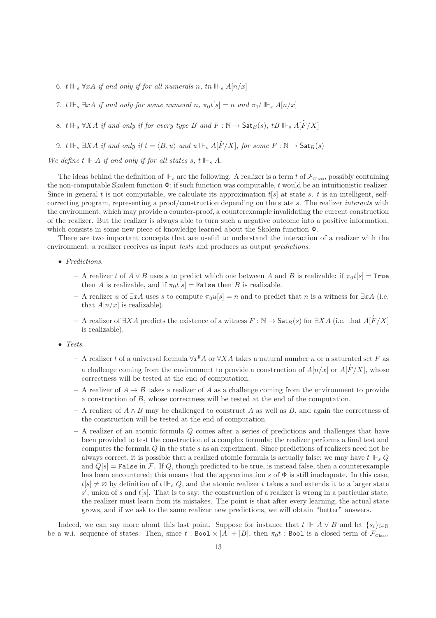- 6. t  $\mathbb{H}_s$   $\forall xA$  if and only if for all numerals n, tn  $\mathbb{H}_s$   $A[n/x]$
- 7. t  $\mathbb{I} \vdash_s \exists x A$  if and only for some numeral n,  $\pi_0 t[s] = n$  and  $\pi_1 t \Vdash_s A[n/x]$
- 8. t  $\mathbb{H}_s$  ∀XA if and only if for every type B and  $F : \mathbb{N} \to$  Sat $_B(s)$ , tB  $\mathbb{H}_s$  A[ $\dot{F}$  $F/X]$
- 9. t  $\mathbb{H}_{s}$  ∃XA if and only if  $t = \langle B, u \rangle$  and  $u \Vdash_{s} A[F/X]$ , for some  $F : \mathbb{N} \to \mathsf{Sat}_B(s)$

We define  $t \Vdash A$  if and only if for all states s,  $t \Vdash_s A$ .

The ideas behind the definition of  $\mathbb{F}_s$  are the following. A realizer is a term t of  $\mathcal{F}_{\text{Class}}$ , possibly containing the non-computable Skolem function  $\Phi$ ; if such function was computable, t would be an intuitionistic realizer. Since in general t is not computable, we calculate its approximation  $t[s]$  at state s. t is an intelligent, selfcorrecting program, representing a proof/construction depending on the state s. The realizer interacts with the environment, which may provide a counter-proof, a counterexample invalidating the current construction of the realizer. But the realizer is always able to turn such a negative outcome into a positive information, which consists in some new piece of knowledge learned about the Skolem function Φ.

There are two important concepts that are useful to understand the interaction of a realizer with the environment: a realizer receives as input tests and produces as output predictions.

- Predictions.
	- A realizer t of  $A \vee B$  uses s to predict which one between A and B is realizable: if  $\pi_0 t[s] = \text{True}$ then A is realizable, and if  $\pi_0 t[s] = \texttt{False}$  then B is realizable.
	- A realizer *u* of  $\exists x A$  uses *s* to compute  $\pi_0 u[s] = n$  and to predict that *n* is a witness for  $\exists x A$  (i.e. that  $A[n/x]$  is realizable).
	- A realizer of  $\exists X A$  predicts the existence of a witness  $F : \mathbb{N} \to \mathsf{Sat}_B(s)$  for  $\exists X A$  (i.e. that A[  $F/X]$ is realizable).

l

- Tests.
	- $-$  A realizer t of a universal formula  $\forall x^{\mathsf{N}} A$  or  $\forall X A$  takes a natural number n or a saturated set F as a challenge coming from the environment to provide a construction of  $A[n/x]$  or  $A[$ Î  $F/X$ , whose correctness will be tested at the end of computation.
	- A realizer of  $A \rightarrow B$  takes a realizer of A as a challenge coming from the environment to provide a construction of B, whose correctness will be tested at the end of the computation.
	- A realizer of  $A \wedge B$  may be challenged to construct A as well as B, and again the correctness of the construction will be tested at the end of computation.
	- $-$  A realizer of an atomic formula  $Q$  comes after a series of predictions and challenges that have been provided to test the construction of a complex formula; the realizer performs a final test and computes the formula Q in the state s as an experiment. Since predictions of realizers need not be always correct, it is possible that a realized atomic formula is actually false; we may have  $t \Vdash_{s} Q$ and  $Q[s]$  = False in F. If Q, though predicted to be true, is instead false, then a counterexample has been encountered; this means that the approximation s of  $\Phi$  is still inadequate. In this case,  $t[s] \neq \emptyset$  by definition of  $t \Vdash_{s} Q$ , and the atomic realizer t takes s and extends it to a larger state  $s'$ , union of s and  $t[s]$ . That is to say: the construction of a realizer is wrong in a particular state, the realizer must learn from its mistakes. The point is that after every learning, the actual state grows, and if we ask to the same realizer new predictions, we will obtain "better" answers.

Indeed, we can say more about this last point. Suppose for instance that  $t \Vdash A \vee B$  and let  $\{s_i\}_{i\in\mathbb{N}}$ be a w.i. sequence of states. Then, since  $t : \text{Bool} \times |A| + |B|$ , then  $\pi_0 t : \text{Bool}$  is a closed term of  $\mathcal{F}_{\text{Class}}$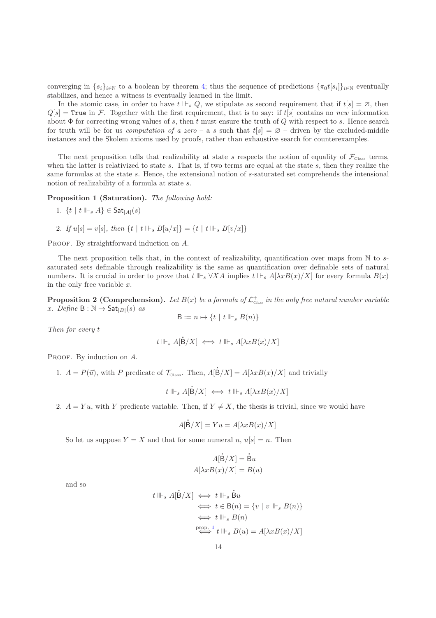converging in  $\{s_i\}_{i\in\mathbb{N}}$  to a boolean by theorem [4;](#page-9-0) thus the sequence of predictions  $\{\pi_0 t[s_i]\}_{i\in\mathbb{N}}$  eventually stabilizes, and hence a witness is eventually learned in the limit.

In the atomic case, in order to have  $t \Vdash_s Q$ , we stipulate as second requirement that if  $t[s] = \emptyset$ , then  $Q[s]$  = True in F. Together with the first requirement, that is to say: if t[s] contains no new information about  $\Phi$  for correcting wrong values of s, then t must ensure the truth of Q with respect to s. Hence search for truth will be for us *computation of a zero* – a s such that  $t[s] = \emptyset$  – driven by the excluded-middle instances and the Skolem axioms used by proofs, rather than exhaustive search for counterexamples.

The next proposition tells that realizability at state s respects the notion of equality of  $\mathcal{F}_{\text{class}}$  terms, when the latter is relativized to state  $s$ . That is, if two terms are equal at the state  $s$ , then they realize the same formulas at the state s. Hence, the extensional notion of s-saturated set comprehends the intensional notion of realizability of a formula at state s.

<span id="page-14-0"></span>Proposition 1 (Saturation). The following hold:

1. 
$$
\{t \mid t \Vdash_s A\} \in \mathsf{Sat}_{|A|}(s)
$$

2. If  $u[s] = v[s]$ , then  $\{t \mid t \Vdash_s B[u/x] \} = \{t \mid t \Vdash_s B[v/x] \}$ 

PROOF. By straightforward induction on A.

The next proposition tells that, in the context of realizability, quantification over maps from  $\mathbb N$  to ssaturated sets definable through realizability is the same as quantification over definable sets of natural numbers. It is crucial in order to prove that  $t \Vdash_{s} \forall X A$  implies  $t \Vdash_{s} A[\lambda x B(x)/X]$  for every formula  $B(x)$ in the only free variable  $x$ .

<span id="page-14-1"></span>**Proposition 2 (Comprehension).** Let  $B(x)$  be a formula of  $\mathcal{L}^+_{\text{Class}}$  in the only free natural number variable x. Define  $B : \mathbb{N} \to \mathsf{Sat}_{|B|}(s)$  as

$$
B := n \mapsto \{ t \mid t \Vdash_s B(n) \}
$$

Then for every t

$$
t \Vdash_s A[\dot{B}/X] \iff t \Vdash_s A[\lambda x B(x)/X]
$$

l

PROOF. By induction on A.

1.  $A = P(\vec{u})$ , with P predicate of  $\mathcal{T}_{\text{Class}}$ . Then, A[  $B/X$ ] =  $A[\lambda x B(x)/X]$  and trivially

l

$$
t \Vdash_s A[\dot{B}/X] \iff t \Vdash_s A[\lambda x B(x)/X]
$$

2.  $A = Yu$ , with Y predicate variable. Then, if  $Y \neq X$ , the thesis is trivial, since we would have

$$
A[B/X] = Yu = A[\lambda x B(x)/X]
$$

So let us suppose  $Y = X$  and that for some numeral n,  $u[s] = n$ . Then

$$
A[\dot{B}/X] = \dot{B}u
$$

$$
A[\lambda x B(x)/X] = B(u)
$$

l

l

and so

$$
\begin{aligned} t \Vdash_s A[\dot{\mathsf{B}}/X] &\iff t \Vdash_s \dot{\mathsf{B}} u \\ &\iff t \in \mathsf{B}(n) = \{v \mid v \Vdash_s B(n)\} \\ &\iff t \Vdash_s B(n) \\ &\stackrel{\text{prop. 1}}{\iff} t \Vdash_s B(u) = A[\lambda x B(x)/X] \end{aligned}
$$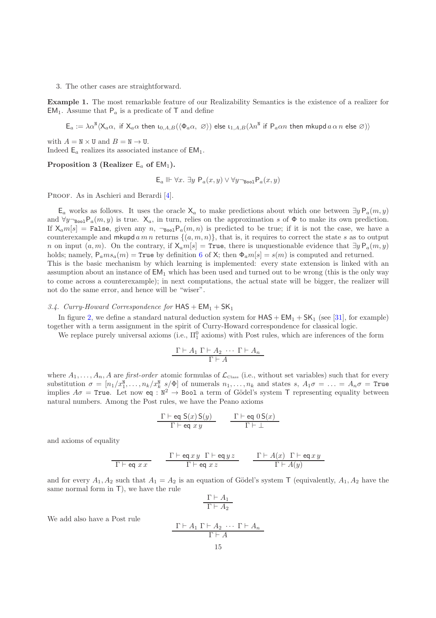3. The other cases are straightforward.

Example 1. The most remarkable feature of our Realizability Semantics is the existence of a realizer for EM<sub>1</sub>. Assume that  $P_a$  is a predicate of T and define

 $\mathsf{E}_a := \lambda \alpha^{\mathbb{N}} \langle \mathsf{X}_a \alpha, \text{ if } \mathsf{X}_a \alpha \text{ then } \iota_{0,A,B} (\langle \Phi_a \alpha, \varnothing \rangle) \text{ else } \iota_{1,A,B} (\lambda n^{\mathbb{N}} \text{ if } \mathsf{P}_a \alpha n \text{ then } \mathsf{mkupd}\, a \alpha n \text{ else } \varnothing) \rangle$ 

with  $A = N \times U$  and  $B = N \rightarrow U$ . Indeed  $\mathsf{E}_a$  realizes its associated instance of  $\mathsf{EM}_1$ .

#### Proposition 3 (Realizer  $E_a$  of  $EM_1$ ).

<span id="page-15-0"></span>
$$
\mathsf{E}_a \Vdash \forall x.~\exists y~\mathsf{P}_a(x,y) \vee \forall y \neg_{\mathtt{Bool}} \mathsf{P}_a(x,y)
$$

PROOF. As in Aschieri and Berardi [\[4](#page-51-5)].

E<sub>a</sub> works as follows. It uses the oracle X<sub>a</sub> to make predictions about which one between  $∃y P_a(m, y)$ and  $\forall y \neg_{\text{Bool}} P_a(m, y)$  is true.  $X_a$ , in turn, relies on the approximation s of  $\Phi$  to make its own prediction. If  $X_a m[s] =$  False, given any n,  $\neg_{\text{bool}} P_a(m, n)$  is predicted to be true; if it is not the case, we have a counterexample and mkupd a m n returns  $\{(a, m, n)\}\$ , that is, it requires to correct the state s as to output n on input  $(a, m)$ . On the contrary, if  $\mathsf{X}_a m[s] = \text{True}$ , there is unquestionable evidence that  $\exists y P_a(m, y)$ holds; namely,  $P_ams_a(m) = True$  by definition [6](#page-8-0) of X; then  $\Phi_a m[s] = s(m)$  is computed and returned. This is the basic mechanism by which learning is implemented: every state extension is linked with an assumption about an instance of  $EM_1$  which has been used and turned out to be wrong (this is the only way to come across a counterexample); in next computations, the actual state will be bigger, the realizer will

## <span id="page-15-1"></span>3.4. Curry-Howard Correspondence for  $HAS + EM_1 + SK_1$

not do the same error, and hence will be "wiser".

In figure [2,](#page-17-0) we define a standard natural deduction system for  $HAS + EM_1 + SK_1$  (see [\[31](#page-52-6)], for example) together with a term assignment in the spirit of Curry-Howard correspondence for classical logic.

We replace purely universal axioms (i.e.,  $\Pi_1^0$  axioms) with Post rules, which are inferences of the form

$$
\frac{\Gamma \vdash A_1 \Gamma \vdash A_2 \cdots \Gamma \vdash A_n}{\Gamma \vdash A}
$$

where  $A_1, \ldots, A_n, A$  are first-order atomic formulas of  $\mathcal{L}_{\text{Class}}$  (i.e., without set variables) such that for every substitution  $\sigma = [n_1/x_1^{\mathbb{N}}, \ldots, n_k/x_k^{\mathbb{N}}]$  of numerals  $n_1, \ldots, n_k$  and states s,  $A_1\sigma = \ldots = A_n\sigma = \text{True}$ implies  $A\sigma = \text{True}$ . Let now eq :  $N^2 \to \text{Bool}$  a term of Gödel's system T representing equality between natural numbers. Among the Post rules, we have the Peano axioms

$$
\frac{\Gamma \vdash \textsf{eq } \mathsf{S}(x) \, \mathsf{S}(y)}{\Gamma \vdash \textsf{eq } x \, y} \qquad \frac{\Gamma \vdash \textsf{eq } \mathsf{0} \, \mathsf{S}(x)}{\Gamma \vdash \bot}
$$

and axioms of equality

$$
\frac{\Gamma \vdash \texttt{eq} \; x \; x}{\Gamma \vdash \texttt{eq} \; x \; x} \qquad \frac{\Gamma \vdash \texttt{eq} \; x \; y \; \Gamma \vdash \texttt{eq} \; y \; z}{\Gamma \vdash \texttt{eq} \; x \; z} \qquad \frac{\Gamma \vdash A(x) \; \Gamma \vdash \texttt{eq} \; x \; y}{\Gamma \vdash A(y)}
$$

and for every  $A_1, A_2$  such that  $A_1 = A_2$  is an equation of Gödel's system T (equivalently,  $A_1, A_2$  have the same normal form in T), we have the rule

$$
\frac{\Gamma \vdash A_1}{\Gamma \vdash A_2}
$$

We add also have a Post rule

$$
\frac{\Gamma \vdash A_1 \Gamma \vdash A_2 \cdots \Gamma \vdash A_n}{\Gamma \vdash A}
$$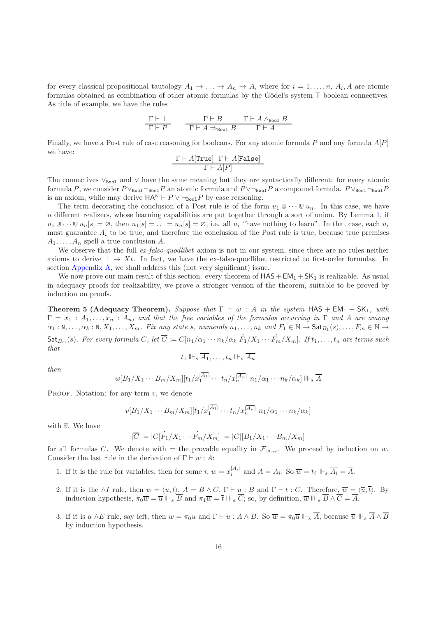for every classical propositional tautology  $A_1 \to \ldots \to A_n \to A$ , where for  $i = 1, \ldots, n$ ,  $A_i, A$  are atomic formulas obtained as combination of other atomic formulas by the Gödel's system T boolean connectives. As title of example, we have the rules

$$
\begin{array}{c|cc}\Gamma \vdash \bot & \Gamma \vdash B & \Gamma \vdash A \wedge_{\texttt{Bool}} B\\\hline \Gamma \vdash P & \Gamma \vdash A \Rightarrow_{\texttt{Bool}} B & \Gamma \vdash A\\\end{array}
$$

Finally, we have a Post rule of case reasoning for booleans. For any atomic formula P and any formula  $A[P]$ we have:

$$
\frac{\Gamma \vdash A[\texttt{True}]\ \Gamma \vdash A[\texttt{False}]}{\Gamma \vdash A[P]}
$$

The connectives  $\vee_{\text{Bool}}$  and  $\vee$  have the same meaning but they are syntactically different: for every atomic formula P, we consider  $P \vee_{\text{Bool}} P$  an atomic formula and  $P \vee_{\text{Bool}} P$  a compound formula.  $P \vee_{\text{Bool}} P$ is an axiom, while may derive  $HA^{\omega} \vdash P \vee \neg_{\text{Bool}} P$  by case reasoning.

The term decorating the conclusion of a Post rule is of the form  $u_1 \Psi \cdots \Psi u_n$ . In this case, we have  $n$  different realizers, whose learning capabilities are put together through a sort of union. By Lemma [1,](#page-4-0) if  $u_1 \otimes \cdots \otimes u_n[s] = \emptyset$ , then  $u_1[s] = \cdots = u_n[s] = \emptyset$ , i.e. all  $u_i$  "have nothing to learn". In that case, each  $u_i$ must guarantee  $A_i$  to be true, and therefore the conclusion of the Post rule is true, because true premises  $A_1, \ldots, A_n$  spell a true conclusion A.

We observe that the full  $ex\text{-}false\text{-}quodlibet$  axiom is not in our system, since there are no rules neither axioms to derive  $\perp \to Xt$ . In fact, we have the ex-falso-quodlibet restricted to first-order formulas. In section [Appendix A,](#page-42-0) we shall address this (not very significant) issue.

We now prove our main result of this section: every theorem of  $HAS + EM_1 + SK_1$  is realizable. As usual in adequacy proofs for realizability, we prove a stronger version of the theorem, suitable to be proved by induction on proofs.

<span id="page-16-0"></span>**Theorem 5 (Adequacy Theorem).** Suppose that  $\Gamma \vdash w : A$  in the system HAS + EM<sub>1</sub> + SK<sub>1</sub>, with  $\Gamma = x_1 : A_1, \ldots, x_n : A_n$ , and that the free variables of the formulas occurring in  $\Gamma$  and A are among  $\alpha_1 : \mathbb{N}, \ldots, \alpha_k : \mathbb{N}, X_1, \ldots, X_m$ . Fix any state s, numerals  $n_1, \ldots, n_k$  and  $F_1 \in \mathbb{N} \to \mathsf{Sat}_{B_1}(s), \ldots, F_m \in \mathbb{N} \to$  $\mathsf{Sat}_{B_m}(s)$ . For every formula  $C$ , let  $\overline{C} := C[n_1/\alpha_1 \cdots n_k/\alpha_k]$  F  $F_1/X_1\cdots$ l  $F_m/X_m$ . If  $t_1,\ldots,t_n$  are terms such that

$$
t_1 \Vdash_s \overline{A_1}, \ldots, t_n \Vdash_s \overline{A_n}
$$

then

$$
w[B_1/X_1\cdots B_m/X_m][t_1/x_1^{|\overline{A_1}|}\cdots t_n/x_n^{|\overline{A_n}|} \; n_1/\alpha_1\cdots n_k/\alpha_k] \parallel \vdash_s \overline{A}
$$

PROOF. Notation: for any term  $v$ , we denote

$$
v[B_1/X_1\cdots B_m/X_m][t_1/x_1^{|\overline{A_1}|}\cdots t_n/x_n^{|\overline{A_n}|} \; n_1/\alpha_1\cdots n_k/\alpha_k]
$$

with  $\overline{v}$ . We have

$$
|\overline{C}| = |C[\dot{F}_1/X_1 \cdots \dot{F}_m/X_m]| = |C|[B_1/X_1 \cdots B_m/X_m]|
$$

for all formulas C. We denote with  $=$  the provable equality in  $\mathcal{F}_{\text{Class}}$ . We proceed by induction on w. Consider the last rule in the derivation of  $\Gamma \vdash w : A$ :

- 1. If it is the rule for variables, then for some i,  $w = x_i^{|A_i|}$  and  $A = A_i$ . So  $\overline{w} = t_i \Vdash_{s} \overline{A_i} = \overline{A}$ .
- 2. If it is the ∧I rule, then  $w = \langle u, t \rangle$ ,  $A = B \wedge C$ ,  $\Gamma \vdash \underline{u}$ : B and  $\Gamma \vdash t : C$ . Therefore,  $\overline{w} = \langle \overline{u}, \overline{t} \rangle$ . By induction hypothesis,  $\pi_0 \overline{w} = \overline{u} \Vdash_{s} \overline{B}$  and  $\pi_1 \overline{w} = \overline{t} \Vdash_{s} \overline{C}$ ; so, by definition,  $\overline{w} \Vdash_{s} \overline{B} \wedge \overline{C} = \overline{A}$ .
- 3. If it is a ∧E rule, say left, then  $w = \pi_0 u$  and  $\Gamma \vdash u : A \wedge B$ . So  $\overline{w} = \pi_0 \overline{u} \Vdash_s \overline{A}$ , because  $\overline{u} \Vdash_s \overline{A} \wedge \overline{B}$ by induction hypothesis.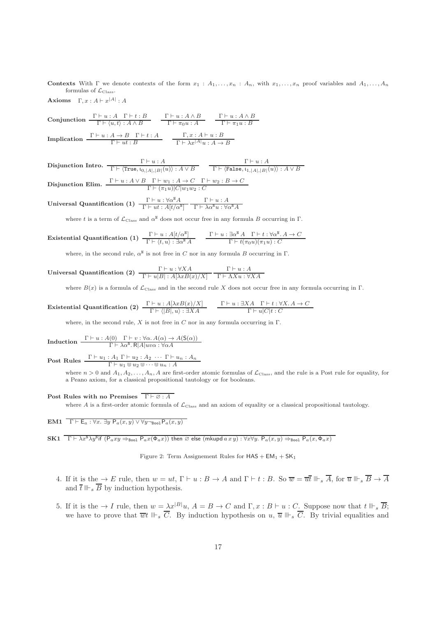Contexts With  $\Gamma$  we denote contexts of the form  $x_1 : A_1, \ldots, x_n : A_n$ , with  $x_1, \ldots, x_n$  proof variables and  $A_1, \ldots, A_n$ formulas of  $\mathcal{L}_{\text{Class}}$ .

Axioms  $\Gamma, x : A \vdash x^{|A|} : A$ 

 $\textbf{Conjunction} \begin{array}{c} \Gamma \vdash u : A \quad \Gamma \vdash t : B \\ \Gamma \vdash \langle u, t \rangle : A \land B \end{array}$  $\Gamma \vdash u : A \land B$  $\Gamma \vdash \pi_0 u : A$  $\Gamma \vdash u : A \land B$  $\Gamma \vdash \pi_1 u : B$ Implication  $\frac{\Gamma \vdash u : A \to B \quad \Gamma \vdash t : A}{\Gamma \vdash ut : B}$  $\Gamma, x : A \vdash u : B$  $\Gamma \vdash \lambda x^{|A|}u : A \to B$ 

 $\begin{array}{c} \Gamma \vdash u : A \ \hline \Gamma \vdash \langle \texttt{True}, \mathfrak{t}_{0, |A|, |B|}(u) \rangle : A \lor B \end{array}$  $\frac{\Gamma\vdash u:A}{\Gamma\vdash \langle \texttt{False}, \mathfrak{l}_{1,|A|,|B|}(u)\rangle : A\vee B}$ **Disjunction Elim.**  $\frac{\Gamma \vdash u : A \lor B \quad \Gamma \vdash w_1 : A \to C \quad \Gamma \vdash w_2 : B \to C}{\Gamma \vdash (\pi_1 u)|C|w_1w_2 : C}$ Universal Quantification (1)  $\frac{\Gamma \vdash u : \forall \alpha^{\mathbb{N}} A}{\Gamma \vdash u + \alpha^{\mathbb{N}} A}$  $\Gamma\vdash ut:A[t/\alpha^{\mathbb{N}}]$  $\frac{\Gamma \vdash u : A}{\Gamma \vdash \lambda \alpha^{\texttt{N}} u : \forall \alpha^{\texttt{N}} A}$ 

where t is a term of  $\mathcal{L}_{\text{Class}}$  and  $\alpha^{\text{N}}$  does not occur free in any formula B occurring in  $\Gamma$ .

**Existential Quantification (1)** 
$$
\frac{\Gamma \vdash u : A[t/\alpha^{\mathbb{N}}]}{\Gamma \vdash \langle t, u \rangle : \exists \alpha^{\mathbb{N}} A} \qquad \frac{\Gamma \vdash u : \exists \alpha^{\mathbb{N}} A \quad \Gamma \vdash t : \forall \alpha^{\mathbb{N}}. A \rightarrow C}{\Gamma \vdash t(\pi_0 u)(\pi_1 u) : C}
$$

where, in the second rule,  $\alpha^{\text{N}}$  is not free in C nor in any formula B occurring in  $\Gamma$ .

Universal Quantification (2)  $\frac{\Gamma \vdash u : \forall X A}{\Gamma \vdash u \vert B \vert : A[\lambda x B(x)/X]}$  $\Gamma \vdash u : A$  $Γ ⊢ ΛXu : ∀XA$ 

where  $B(x)$  is a formula of  $\mathcal{L}_{\text{Class}}$  and in the second rule X does not occur free in any formula occurring in Γ.

**Existential Quantification (2)** 
$$
\frac{\Gamma \vdash u : A[\lambda x B(x)/X]}{\Gamma \vdash \langle |B|, u \rangle : \exists X A} \qquad \frac{\Gamma \vdash u : \exists X A \quad \Gamma \vdash t : \forall X. A \rightarrow C}{\Gamma \vdash u |C|t : C}
$$

where, in the second rule,  $X$  is not free in  $C$  nor in any formula occurring in  $\Gamma$ .

Induction 
$$
\frac{\Gamma \vdash u : A(0) \quad \Gamma \vdash v : \forall \alpha. A(\alpha) \to A(\mathsf{S}(\alpha))}{\Gamma \vdash \lambda \alpha^{\mathsf{N}}.\mathsf{R}|A|uv\alpha : \forall \alpha A}
$$

Post Rules  $\frac{\Gamma \vdash u_1 : A_1 \Gamma \vdash u_2 : A_2 \cdots \Gamma \vdash u_n : A_n}{\Gamma \vdash u_1 \Downarrow u_2 \Downarrow \cdots \Downarrow u_n : A}$ 

where  $n > 0$  and  $A_1, A_2, \ldots, A_n, A$  are first-order atomic formulas of  $\mathcal{L}_{\text{Class}}$ , and the rule is a Post rule for equality, for a Peano axiom, for a classical propositional tautology or for booleans.

#### Post Rules with no Premises  $\overline{\Gamma \vdash \emptyset : A}$

where  $A$  is a first-order atomic formula of  $\mathcal{L}_{\text{Class}}$  and an axiom of equality or a classical propositional tautology.

EM1  $\Gamma \vdash \mathsf{E}_a : \forall x. \exists y \ \mathsf{P}_a(x,y) \vee \forall y \neg_{\text{Bool}} \mathsf{P}_a(x,y)$ 

 $\text{SK1}$   $\overline{\Gamma \vdash \lambda x^{\text{N}} \lambda y^{\text{N}} }$  if  $\left(P_{a}xy \Rightarrow_{\text{Bool}} P_{a}x(\Phi_{a}x)\right)$  then  $\varnothing$  else  $(\text{mkupd } a\ x\ y) : \forall x \forall y$ .  $\mathsf{P}_{a}(x,y) \Rightarrow_{\text{Bool}} \mathsf{P}_{a}(x,\Phi_{a}x)$ 

<span id="page-17-0"></span>Figure 2: Term Assignement Rules for  $HAS + EM_1 + SK_1$ 

- 4. If it is the  $\rightarrow E$  rule, then  $w = ut$ ,  $\Gamma \vdash u : B \rightarrow A$  and  $\Gamma \vdash t : B$ . So  $\overline{w} = \overline{u} \overline{t} \Vdash_{s} \overline{A}$ , for  $\overline{u} \Vdash_{s} \overline{B} \rightarrow \overline{A}$ and  $\overline{t} \Vdash_{\mathcal{S}} \overline{B}$  by induction hypothesis.
- 5. If it is the  $\to I$  rule, then  $w = \lambda x^{|B|}u$ ,  $A = B \to C$  and  $\Gamma, x : B \vdash u : C$ . Suppose now that  $t \Vdash_{s} \overline{B}$ ; we have to prove that  $\overline{wt} \Vdash_{s} \overline{C}$ . By induction hypothesis on  $u, \overline{u} \Vdash_{s} \overline{C}$ . By trivial equalities and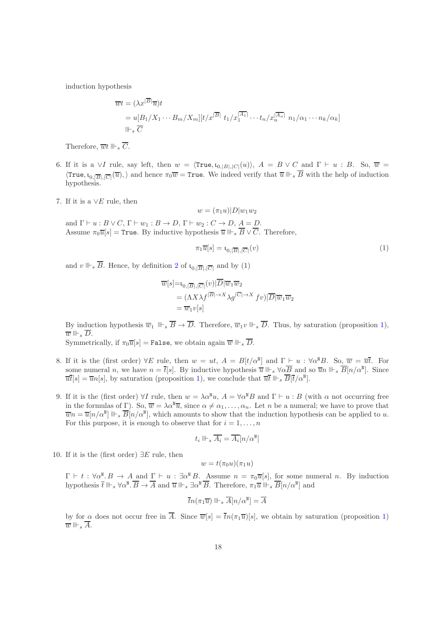induction hypothesis

$$
\overline{w}t = (\lambda x^{|\overline{B}|}\overline{u})t
$$
  
=  $u[B_1/X_1 \cdots B_m/X_m][t/x^{|\overline{B}|} t_1/x_1^{|\overline{A_1}|} \cdots t_n/x_n^{|\overline{A_n}|} n_1/\alpha_1 \cdots n_k/\alpha_k]$   
 $||\overline{\ }_s \overline{C}$ 

Therefore,  $\overline{w}t \Vdash_s \overline{C}$ .

- 6. If it is a ∨I rule, say left, then  $w = \langle True, \iota_{0,|B|,|C|}(u) \rangle$ ,  $A = B \vee C$  and  $\Gamma \vdash u : B$ . So,  $\overline{w} =$  $\langle \text{True}, \iota_{0,|\overline{B}|,|\overline{C}|}(\overline{u}), \rangle$  and hence  $\pi_0\overline{w} = \text{True}$ . We indeed verify that  $\overline{u} \Vdash_s \overline{B}$  with the help of induction hypothesis.
- 7. If it is a ∨E rule, then

$$
w = (\pi_1 u)|D|w_1w_2
$$

and  $\Gamma \vdash u : B \lor C, \Gamma \vdash w_1 : B \to D, \Gamma \vdash w_2 : C \to D, A = D.$ Assume  $\pi_0 \overline{u}[s] =$  True. By inductive hypothesis  $\overline{u} \Vdash_s \overline{B} \vee \overline{C}$ . Therefore,

$$
\pi_1 \overline{u}[s] = \mathfrak{t}_{0, |\overline{B}|, |\overline{C}|}(v) \tag{1}
$$

and  $v \Vdash_s \overline{B}$ . Hence, by definition [2](#page-5-0) of  $\mathfrak{t}_{0,|\overline{B}|,|\overline{C}|}$  and by (1)

$$
\overline{w}[s] = \iota_{0,|\overline{B}|,|\overline{C}|}(v)|\overline{D}|\overline{w}_1\overline{w}_2
$$
  
=  $(\Lambda X \lambda f^{|\overline{B}| \to X} \lambda g^{|\overline{C}| \to X} f v)|\overline{D}|\overline{w}_1\overline{w}_2$   
=  $\overline{w}_1 v[s]$ 

By induction hypothesis  $\overline{w}_1 \Vdash_{s} \overline{B} \to \overline{D}$ . Therefore,  $\overline{w}_1v \Vdash_{s} \overline{D}$ . Thus, by saturation (proposition [1\)](#page-14-0),  $\overline{w} \Vdash_s \overline{D}$ .

Symmetrically, if  $\pi_0 \overline{u}[s] =$  False, we obtain again  $\overline{w} \Vdash_s \overline{D}$ .

- 8. If it is the (first order)  $\forall E$  rule, then  $w = ut$ ,  $A = B[t/\alpha^{\mathbb{N}}]$  and  $\Gamma \vdash u : \forall \alpha^{\mathbb{N}}B$ . So,  $\overline{w} = \overline{u}\overline{t}$ . For some numeral n, we have  $n = \overline{t}[s]$ . By inductive hypothesis  $\overline{u} \Vdash_s \forall \alpha \overline{B}$  and so  $\overline{u}n \Vdash_s \overline{B}[n/\alpha^{\mathbb{N}}]$ . Since  $\overline{u}\overline{t}[s] = \overline{u}n[s]$ , by saturation (proposition [1\)](#page-14-0), we conclude that  $\overline{u}\overline{t} \Vdash_s \overline{B}[\overline{t}/\alpha^{\mathbb{N}}]$ .
- 9. If it is the (first order)  $\forall I$  rule, then  $w = \lambda \alpha^{\mathbb{N}} u$ ,  $A = \forall \alpha^{\mathbb{N}} B$  and  $\Gamma \vdash u : B$  (with  $\alpha$  not occurring free in the formulas of Γ). So,  $\overline{w} = \lambda \alpha^{\mu} \overline{u}$ , since  $\alpha \neq \alpha_1, \ldots, \alpha_n$ . Let n be a numeral; we have to prove that  $\overline{w}n = \overline{u}[n/\alpha^{\mu}] \Vdash_{s} \overline{B}[n/\alpha^{\mu}],$  which amounts to show that the induction hypothesis can be applied to u. For this purpose, it is enough to observe that for  $i = 1, \ldots, n$

$$
t_i\parallel \vdash_s \overline{A_i} = \overline{A_i}[n/\alpha^{\texttt{N}}]
$$

10. If it is the (first order)  $\exists E$  rule, then

$$
w=t(\pi_0u)(\pi_1u)
$$

 $\Gamma \vdash t : \forall \alpha^{\mathbb{N}} \cdot B \to A$  and  $\Gamma \vdash u : \exists \alpha^{\mathbb{N}} B$ . Assume  $n = \pi_0 \overline{u}[s]$ , for some numeral n. By induction hypothesis  $\overline{t} \Vdash_s \forall \alpha^{\mathbb{N}}.\overline{B} \to \overline{A}$  and  $\overline{u} \Vdash_s \exists \alpha^{\mathbb{N}}.\overline{B}.\$  Therefore,  $\pi_1 \overline{u} \Vdash_s \overline{B}[n/\alpha^{\mathbb{N}}]$  and

$$
\overline{t}n(\pi_1\overline{u})\parallel \vdash_s \overline{A}[n/\alpha^{\tt N}]=\overline{A}
$$

by for  $\alpha$  does not occur free in  $\overline{A}$ . Since  $\overline{w}[s] = \overline{t}n(\pi_1\overline{u})[s]$ , we obtain by saturation (proposition [1\)](#page-14-0)  $\overline{w}$   $\Vdash_s \overline{A}$ .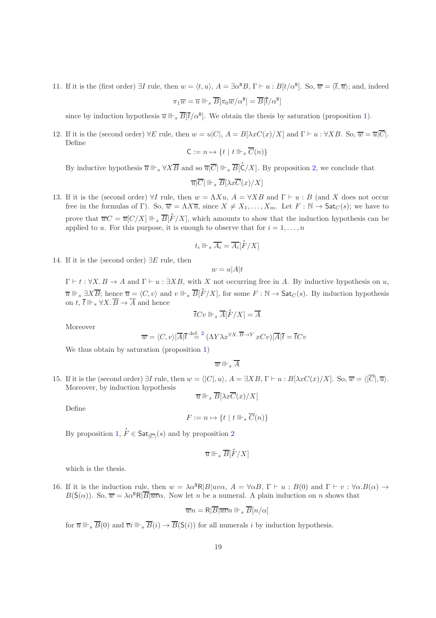11. If it is the (first order)  $\exists I$  rule, then  $w = \langle t, u \rangle$ ,  $A = \exists \alpha^{\mathbb{N}} B$ ,  $\Gamma \vdash u : B[t/\alpha^{\mathbb{N}}]$ . So,  $\overline{w} = \langle \overline{t}, \overline{u} \rangle$ ; and, indeed  $\pi_1\overline{w} = \overline{u} \Vdash_s \overline{B}[\pi_0\overline{w}/\alpha^{\texttt{N}}] = \overline{B}[\overline{t}/\alpha^{\texttt{N}}]$ 

since by induction hypothesis  $\overline{u} \Vdash_{s} \overline{B}[\overline{t}/\alpha^{\mathbb{N}}]$ . We obtain the thesis by saturation (proposition [1\)](#page-14-0).

12. If it is the (second order)  $\forall E$  rule, then  $w = u|C|$ ,  $A = B[\lambda xC(x)/X]$  and  $\Gamma \vdash u : \forall XB$ . So,  $\overline{w} = \overline{u}|\overline{C}|$ . Define

$$
\mathsf{C}:=n\mapsto \{t\mid t\Vdash_s \overline{C}(n)\}
$$

By inductive hypothesis  $\overline{u} \Vdash_s \forall X \overline{B}$  and so  $\overline{u}|\overline{C}| \Vdash_s \overline{B}[\dot{C}]$  $\mathsf{C}/X$ . By proposition [2,](#page-14-1) we conclude that

$$
\overline{u}|\overline{C}| \Vdash_s \overline{B}[\lambda x \overline{C}(x)/X]
$$

13. If it is the (second order)  $\forall I$  rule, then  $w = \Lambda Xu$ ,  $A = \forall XB$  and  $\Gamma \vdash u : B$  (and X does not occur free in the formulas of Γ). So,  $\overline{w} = \Lambda X \overline{u}$ , since  $X \neq X_1, \ldots, X_m$ . Let  $F : \mathbb{N} \to \mathsf{Sat}_C(s)$ ; we have to prove that  $\overline{w}C = \overline{u}[C/X] \Vdash_s \overline{B}[\overline{B}$  $F/X$ , which amounts to show that the induction hypothesis can be applied to u. For this purpose, it is enough to observe that for  $i = 1, \ldots, n$ 

$$
t_i \Vdash_s \overline{A_i} = \overline{A_i}[\dot{F}/X]
$$

14. If it is the (second order)  $\exists E$  rule, then

$$
w = u|A|t
$$

 $\Gamma \vdash t : \forall X. B \to A$  and  $\Gamma \vdash u : \exists XB$ , with X not occurring free in A. By inductive hypothesis on u,  $\overline{u} \Vdash_s \exists X \overline{B}$ ; hence  $\overline{u} = \langle C, v \rangle$  and  $v \Vdash_s \overline{B}[\overline{B}]$  $F/X$ , for some  $F : \mathbb{N} \to \mathsf{Sat}_C(s)$ . By induction hypothesis on t,  $\overline{t}$   $\Vdash$ ,  $\forall X.\ \overline{B} \rightarrow \overline{A}$  and hence l

$$
\overline{t}Cv\Vdash_s \overline{A}[\overline{F}/X]=\overline{A}
$$

Moreover

$$
\overline{w} = \langle C, v \rangle | \overline{A} | \overline{t} \stackrel{{\rm def.}}{=}^2 (\Lambda Y \lambda x^{\forall X \cdot \overline{B} \to Y} xCv) | \overline{A} | \overline{t} = \overline{t}Cv
$$

We thus obtain by saturation (proposition [1\)](#page-14-0)

 $\overline{w}$   $\Vdash$ <sub>c</sub>  $\overline{A}$ 

15. If it is the (second order)  $\exists I$  rule, then  $w = \langle |C|, u \rangle$ ,  $A = \exists XB, \Gamma \vdash u : B[\lambda xC(x)/X]$ . So,  $\overline{w} = \langle |\overline{C}|, \overline{u} \rangle$ . Moreover, by induction hypothesis  $\overline{u} \Vdash_s \overline{B}[\lambda x \overline{C}(x)/X]$ 

Define

$$
F := n \mapsto \{ t \mid t \Vdash_s \overline{C}(n) \}
$$

By proposition [1,](#page-14-0)  $\dot{F} \in \mathsf{Sat}_{|\overline{C}|}(s)$  and by proposition [2](#page-14-1)

$$
\overline{u}\Vdash_s \overline{B}[\dot{F}/X]
$$

which is the thesis.

16. If it is the induction rule, then  $w = \lambda \alpha^N R |B| u v \alpha$ ,  $A = \forall \alpha B$ ,  $\Gamma \vdash u : B(0)$  and  $\Gamma \vdash v : \forall \alpha . B(\alpha) \rightarrow$  $B(\mathsf{S}(\alpha))$ . So,  $\overline{w} = \lambda \alpha^{\mathsf{N}} \mathsf{R} | \overline{B} | \overline{w} \alpha$ . Now let *n* be a numeral. A plain induction on *n* shows that

$$
\overline{w}n = \mathsf{R}|\overline{B}|\overline{w}n \Vdash_s \overline{B}[n/\alpha]
$$

for  $\overline{u} \Vdash_{s} \overline{B}(0)$  and  $\overline{v}i \Vdash_{s} \overline{B}(i) \rightarrow \overline{B}(S(i))$  for all numerals i by induction hypothesis.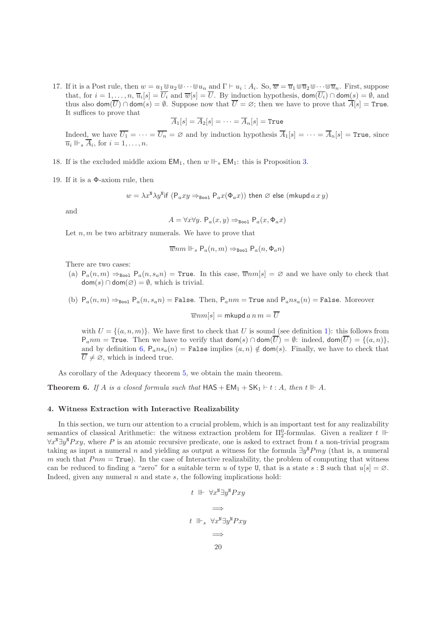17. If it is a Post rule, then  $w = u_1 \otimes u_2 \otimes \cdots \otimes u_n$  and  $\Gamma \vdash u_i : A_i$ . So,  $\overline{w} = \overline{u}_1 \otimes \overline{u}_2 \otimes \cdots \otimes \overline{u}_n$ . First, suppose that, for  $i = 1, \ldots, n$ ,  $\overline{u}_i[s] = U_i$  and  $\overline{w}[s] = U$ . By induction hypothesis,  $\text{dom}(U_i) \cap \text{dom}(s) = \emptyset$ , and thus also  $\text{dom}(\overline{U}) \cap \text{dom}(s) = \emptyset$ . Suppose now that  $\overline{U} = \emptyset$ ; then we have to prove that  $\overline{A}[s] = \text{True}$ . It suffices to prove that

$$
\overline{A}_1[s] = \overline{A}_2[s] = \cdots = \overline{A}_n[s] = \texttt{True}
$$

Indeed, we have  $\overline{U_1} = \cdots = \overline{U_n} = \emptyset$  and by induction hypothesis  $\overline{A}_1[s] = \cdots = \overline{A}_n[s] =$  True, since  $\overline{u}_i \Vdash_s \overline{A}_i$ , for  $i = 1, \ldots, n$ .

- 18. If is the excluded middle axiom  $EM_1$ , then  $w \Vdash_{\mathcal{F}} EM_1$ : this is Proposition [3.](#page-15-0)
- 19. If it is a Φ-axiom rule, then

$$
w = \lambda x^{\mathbb{N}} \lambda y^{\mathbb{N}}
$$
if  $(P_a xy \Rightarrow_{\text{Bool}} P_a x(\Phi_a x))$  then  $\varnothing$  else  $(mkupd a x y)$ 

and

$$
A = \forall x \forall y. \ P_a(x, y) \Rightarrow_{\text{Bool}} P_a(x, \Phi_a x)
$$

Let  $n, m$  be two arbitrary numerals. We have to prove that

$$
\overline{w}nm\Vdash_s\mathsf{P}_a(n,m)\Rightarrow_{\mathtt{Bool}}\mathsf{P}_a(n,\Phi_an)
$$

There are two cases:

- (a)  $P_a(n,m) \Rightarrow_{\text{Bool}} P_a(n, s_a n) = \text{True}$ . In this case,  $\overline{w}nm[s] = \emptyset$  and we have only to check that  $dom(s) \cap dom(\emptyset) = \emptyset$ , which is trivial.
- (b)  $P_a(n,m) \Rightarrow_{\text{Bool}} P_a(n,s_a n) = \text{False}$ . Then,  $P_a n m = \text{True}$  and  $P_a n s_a(n) = \text{False}$ . Moreover  $\overline{w}nm[s] = m$ kupd  $a n m = \overline{U}$

with  $U = \{(a, n, m)\}\.$  We have first to check that U is sound (see definition [1\)](#page-4-1): this follows from  $P_{a}nm = \text{True}$ . Then we have to verify that  $\text{dom}(s) \cap \text{dom}(\overline{U}) = \emptyset$ : indeed,  $\text{dom}(\overline{U}) = \{(a, n)\},$ and by definition [6,](#page-8-0)  $P_a n s_a(n) =$  False implies  $(a, n) \notin dom(s)$ . Finally, we have to check that  $\overline{U}\neq\varnothing,$  which is indeed true.

As corollary of the Adequacy theorem [5,](#page-16-0) we obtain the main theorem.

**Theorem 6.** If A is a closed formula such that  $HAS + EM_1 + SK_1 + t : A$ , then  $t \parallel \vdash A$ .

#### <span id="page-20-0"></span>4. Witness Extraction with Interactive Realizability

In this section, we turn our attention to a crucial problem, which is an important test for any realizability semantics of classical Arithmetic: the witness extraction problem for  $\Pi_2^0$ -formulas. Given a realizer t  $\mathbb H$  $\forall x^N \exists y^N Pxy$ , where P is an atomic recursive predicate, one is asked to extract from t a non-trivial program taking as input a numeral n and yielding as output a witness for the formula  $\exists y^{\text{N}} P m y$  (that is, a numeral m such that  $Pnm = True$ ). In the case of Interactive realizability, the problem of computing that witness can be reduced to finding a "zero" for a suitable term u of type U, that is a state s: S such that  $u[s] = \emptyset$ . Indeed, given any numeral  $n$  and state  $s$ , the following implications hold:

$$
t \parallel\vdash \forall x^{\mathbf{N}} \exists y^{\mathbf{N}} Pxy
$$

$$
\Longrightarrow
$$

$$
t \parallel\vdash_s \forall x^{\mathbf{N}} \exists y^{\mathbf{N}} Pxy
$$

$$
\Longrightarrow
$$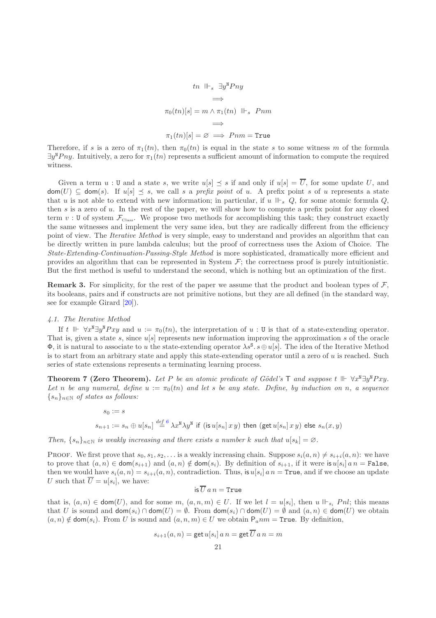$$
tn \parallel \vdash_s \exists y^{\mathsf{N}} Pny
$$
  
\n
$$
\implies
$$
  
\n
$$
\pi_0(tn)[s] = m \land \pi_1(tn) \parallel \vdash_s Pnm
$$
  
\n
$$
\implies
$$
  
\n
$$
\pi_1(tn)[s] = \varnothing \implies Pnm = \text{True}
$$

Therefore, if s is a zero of  $\pi_1(tn)$ , then  $\pi_0(tn)$  is equal in the state s to some witness m of the formula  $\exists y^{\mathbb{N}} P ny$ . Intuitively, a zero for  $\pi_1(in)$  represents a sufficient amount of information to compute the required witness.

Given a term  $u : U$  and a state s, we write  $u[s] \preceq s$  if and only if  $u[s] = \overline{U}$ , for some update U, and  $\text{dom}(U) \subseteq \text{dom}(s)$ . If  $u[s] \preceq s$ , we call s a prefix point of u. A prefix point s of u represents a state that u is not able to extend with new information; in particular, if u  $\mathbb{H}_s Q$ , for some atomic formula Q, then  $s$  is a zero of  $u$ . In the rest of the paper, we will show how to compute a prefix point for any closed term v: U of system  $\mathcal{F}_{\text{Class}}$ . We propose two methods for accomplishing this task; they construct exactly the same witnesses and implement the very same idea, but they are radically different from the efficiency point of view. The *Iterative Method* is very simple, easy to understand and provides an algorithm that can be directly written in pure lambda calculus; but the proof of correctness uses the Axiom of Choice. The State-Extending-Continuation-Passing-Style Method is more sophisticated, dramatically more efficient and provides an algorithm that can be represented in System  $\mathcal{F}$ ; the correctness proof is purely intuitionistic. But the first method is useful to understand the second, which is nothing but an optimization of the first.

**Remark 3.** For simplicity, for the rest of the paper we assume that the product and boolean types of  $\mathcal{F}$ , its booleans, pairs and if constructs are not primitive notions, but they are all defined (in the standard way, see for example Girard [\[20\]](#page-51-11)).

#### <span id="page-21-1"></span>4.1. The Iterative Method

If t  $\mathbb{F}$   $\forall x^N \exists y^N Pxy$  and  $u := \pi_0(tn)$ , the interpretation of  $u : U$  is that of a state-extending operator. That is, given a state s, since  $u[s]$  represents new information improving the approximation s of the oracle  $\Phi$ , it is natural to associate to u the state-extending operator  $\lambda s^s \cdot s \oplus u[s]$ . The idea of the Iterative Method is to start from an arbitrary state and apply this state-extending operator until a zero of  $u$  is reached. Such series of state extensions represents a terminating learning process.

<span id="page-21-0"></span>Theorem 7 (Zero Theorem). Let P be an atomic predicate of Gödel's  $\top$  and suppose t  $\Vdash \forall x^{\mathbb{N}}\exists y^{\mathbb{N}}Pxy$ . Let n be any numeral, define  $u := \pi_0(tn)$  and let s be any state. Define, by induction on n, a sequence  $\{s_n\}_{n\in\mathbb{N}}$  of states as follows:

$$
\begin{array}{l} s_0:=s \\ \\ s_{n+1}:=s_n\oplus u[s_n] \stackrel{def}{=}^6 \lambda x^{\mathtt{N}} \lambda y^{\mathtt{N}} \ \text{if}\ \big( \text{is}\, u[s_n] \,x \, y \big) \ \text{then}\ \big( \text{get}\, u[s_n] \,x \, y \big) \ \text{else}\ s_n(x,y) \end{array}
$$

Then,  $\{s_n\}_{n\in\mathbb{N}}$  is weakly increasing and there exists a number k such that  $u[s_k] = \emptyset$ .

PROOF. We first prove that  $s_0, s_1, s_2, \ldots$  is a weakly increasing chain. Suppose  $s_i(a, n) \neq s_{i+i}(a, n)$ : we have to prove that  $(a, n) \in \text{dom}(s_{i+1})$  and  $(a, n) \notin \text{dom}(s_i)$ . By definition of  $s_{i+1}$ , if it were is  $u[s_i]$  a  $n = \texttt{False}$ , then we would have  $s_i(a, n) = s_{i+i}(a, n)$ , contradiction. Thus, is  $u[s_i]$  a  $n = \text{True}$ , and if we choose an update U such that  $U = u[s_i]$ , we have:

is 
$$
\overline{U}
$$
  $a n =$ True

that is,  $(a, n) \in \text{dom}(U)$ , and for some  $m, (a, n, m) \in U$ . If we let  $l = u[s_i]$ , then  $u \Vdash_{s_i} Pnl$ ; this means that U is sound and  $\textsf{dom}(s_i) \cap \textsf{dom}(U) = \emptyset$ . From  $\textsf{dom}(s_i) \cap \textsf{dom}(U) = \emptyset$  and  $(a, n) \in \textsf{dom}(U)$  we obtain  $(a, n) \notin \text{dom}(s_i)$ . From U is sound and  $(a, n, m) \in U$  we obtain  $P_a n m = \text{True}$ . By definition,

$$
s_{i+1}(a, n) = \det u[s_i] \, a \, n = \det \overline{U} \, a \, n = m
$$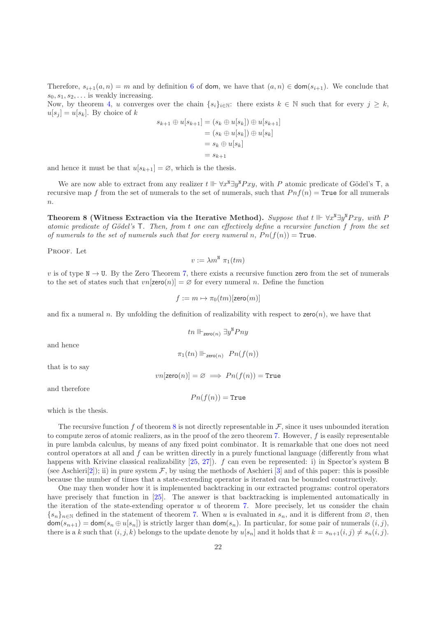Therefore,  $s_{i+1}(a, n) = m$  and by definition [6](#page-8-0) of dom, we have that  $(a, n) \in \text{dom}(s_{i+1})$ . We conclude that  $s_0, s_1, s_2, \ldots$  is weakly increasing.

Now, by theorem [4,](#page-9-0) u converges over the chain  $\{s_i\}_{i\in\mathbb{N}}$ : there exists  $k \in \mathbb{N}$  such that for every  $j \geq k$ ,  $u[s_i] = u[s_k]$ . By choice of k

$$
s_{k+1} \oplus u[s_{k+1}] = (s_k \oplus u[s_k]) \oplus u[s_{k+1}]
$$
  
=  $(s_k \oplus u[s_k]) \oplus u[s_k]$   
=  $s_k \oplus u[s_k]$   
=  $s_{k+1}$ 

and hence it must be that  $u[s_{k+1}] = \emptyset$ , which is the thesis.

We are now able to extract from any realizer  $t \Vdash \forall x^{\mathbb{N}} \exists y^{\mathbb{N}} Pxy$ , with P atomic predicate of Gödel's T, a recursive map f from the set of numerals to the set of numerals, such that  $Pnf(n) = True$  for all numerals  $\overline{n}$ .

<span id="page-22-0"></span>Theorem 8 (Witness Extraction via the Iterative Method). Suppose that  $t \Vdash \forall x^N \exists y^N Pxy$ , with P atomic predicate of Gödel's  $T$ . Then, from t one can effectively define a recursive function f from the set of numerals to the set of numerals such that for every numeral n,  $P_n(f(n)) = \text{True}$ .

PROOF. Let

$$
v:=\lambda m^{\mathtt{N}}\,\,\pi_1(tm)
$$

v is of type  $N \to U$ . By the Zero Theorem [7,](#page-21-0) there exists a recursive function zero from the set of numerals to the set of states such that  $vn[\text{zero}(n)] = \emptyset$  for every numeral n. Define the function

$$
f := m \mapsto \pi_0(tm)[\mathsf{zero}(m)]
$$

and fix a numeral n. By unfolding the definition of realizability with respect to  $\mathsf{zero}(n)$ , we have that

$$
tn\parallel\vdash_{{\sf zero}(n)} \exists y^{{\tt N}} Pny
$$

 $\pi_1(tn) \Vdash_{\text{zero}(n)} P_n(f(n))$ 

and hence

$$
vn[\mathsf{zero}(n)] = \varnothing \implies Pn(f(n)) = \mathtt{True}
$$

and therefore

that is to say

$$
Pn(f(n)) = \mathtt{True}
$$

which is the thesis.

The recursive function f of theorem [8](#page-22-0) is not directly representable in  $\mathcal{F}$ , since it uses unbounded iteration to compute zeros of atomic realizers, as in the proof of the zero theorem [7.](#page-21-0) However,  $f$  is easily representable in pure lambda calculus, by means of any fixed point combinator. It is remarkable that one does not need control operators at all and  $f$  can be written directly in a purely functional language (differently from what happens with Krivine classical realizability [\[25,](#page-52-2) [27](#page-52-7)]). f can even be represented: i) in Spector's system B (see Aschieri[\[2\]](#page-51-9)); ii) in pure system  $\mathcal{F}$ , by using the methods of Aschieri [\[3](#page-51-8)] and of this paper: this is possible because the number of times that a state-extending operator is iterated can be bounded constructively.

One may then wonder how it is implemented backtracking in our extracted programs: control operators have precisely that function in [\[25\]](#page-52-2). The answer is that backtracking is implemented automatically in the iteration of the state-extending operator  $u$  of theorem [7.](#page-21-0) More precisely, let us consider the chain  ${s_n}_{n\in\mathbb{N}}$  defined in the statement of theorem [7.](#page-21-0) When u is evaluated in  $s_n$ , and it is different from  $\varnothing$ , then  $\textsf{dom}(s_{n+1}) = \textsf{dom}(s_n \oplus u[s_n])$  is strictly larger than  $\textsf{dom}(s_n)$ . In particular, for some pair of numerals  $(i, j)$ , there is a k such that  $(i, j, k)$  belongs to the update denote by  $u[s_n]$  and it holds that  $k = s_{n+1}(i, j) \neq s_n(i, j)$ .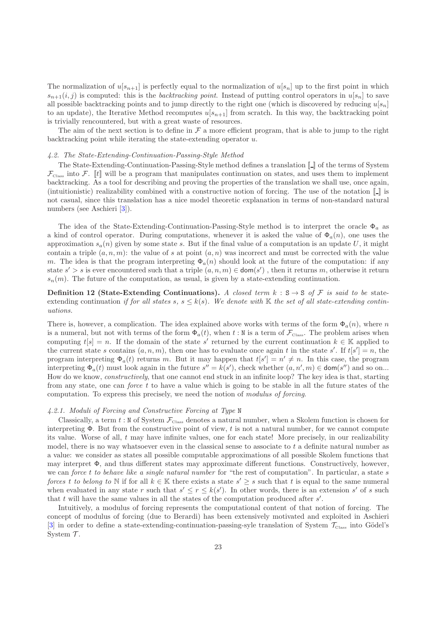The normalization of  $u[s_{n+1}]$  is perfectly equal to the normalization of  $u[s_n]$  up to the first point in which  $s_{n+1}(i, j)$  is computed: this is the backtracking point. Instead of putting control operators in  $u[s_n]$  to save all possible backtracking points and to jump directly to the right one (which is discovered by reducing  $u[s_n]$ to an update), the Iterative Method recomputes  $u[s_{n+1}]$  from scratch. In this way, the backtracking point is trivially rencountered, but with a great waste of resources.

The aim of the next section is to define in  $\mathcal F$  a more efficient program, that is able to jump to the right backtracking point while iterating the state-extending operator u.

#### 4.2. The State-Extending-Continuation-Passing-Style Method

The State-Extending-Continuation-Passing-Style method defines a translation  $\llbracket \_ \rrbracket$  of the terms of System  $\mathcal{F}_{\text{Class}}$  into  $\mathcal{F}$ . [t] will be a program that manipulates continuation on states, and uses them to implement backtracking. As a tool for describing and proving the properties of the translation we shall use, once again, (intuitionistic) realizability combined with a constructive notion of forcing. The use of the notation  $\llbracket \cdot \rrbracket$  is not casual, since this translation has a nice model theoretic explanation in terms of non-standard natural numbers (see Aschieri [\[3\]](#page-51-8)).

The idea of the State-Extending-Continuation-Passing-Style method is to interpret the oracle  $\Phi_a$  as a kind of control operator. During computations, whenever it is asked the value of  $\Phi_a(n)$ , one uses the approximation  $s_a(n)$  given by some state s. But if the final value of a computation is an update U, it might contain a triple  $(a, n, m)$ : the value of s at point  $(a, n)$  was incorrect and must be corrected with the value m. The idea is that the program interpreting  $\Phi_a(n)$  should look at the future of the computation: if any state  $s' > s$  is ever encountered such that a triple  $(a, n, m) \in \text{dom}(s')$ , then it returns m, otherwise it return  $s_n(m)$ . The future of the computation, as usual, is given by a state-extending continuation.

Definition 12 (State-Extending Continuations). A closed term  $k : S \rightarrow S$  of F is said to be stateextending continuation if for all states s,  $s \leq k(s)$ . We denote with K the set of all state-extending continuations.

There is, however, a complication. The idea explained above works with terms of the form  $\Phi_a(n)$ , where n is a numeral, but not with terms of the form  $\Phi_a(t)$ , when t : N is a term of  $\mathcal{F}_{\text{class}}$ . The problem arises when computing  $t[s] = n$ . If the domain of the state s' returned by the current continuation  $k \in \mathbb{K}$  applied to the current state s contains  $(a, n, m)$ , then one has to evaluate once again t in the state s'. If  $t[s'] = n$ , the program interpreting  $\Phi_a(t)$  returns m. But it may happen that  $t[s'] = n' \neq n$ . In this case, the program interpreting  $\Phi_a(t)$  must look again in the future  $s'' = k(s')$ , check whether  $(a, n', m) \in \text{dom}(s'')$  and so on... How do we know, constructively, that one cannot end stuck in an infinite loop? The key idea is that, starting from any state, one can *force t* to have a value which is going to be stable in all the future states of the computation. To express this precisely, we need the notion of modulus of forcing.

#### 4.2.1. Moduli of Forcing and Constructive Forcing at Type N

Classically, a term  $t : N$  of System  $\mathcal{F}_{\text{Class}}$  denotes a natural number, when a Skolem function is chosen for interpreting  $\Phi$ . But from the constructive point of view, t is not a natural number, for we cannot compute its value. Worse of all,  $t$  may have infinite values, one for each state! More precisely, in our realizability model, there is no way whatsoever even in the classical sense to associate to t a definite natural number as a value: we consider as states all possible computable approximations of all possible Skolem functions that may interpret  $\Phi$ , and thus different states may approximate different functions. Constructively, however, we can force t to behave like a single natural number for "the rest of computation". In particular, a state s forces t to belong to N if for all  $k \in \mathbb{K}$  there exists a state  $s' \geq s$  such that t is equal to the same numeral when evaluated in any state r such that  $s' \leq r \leq k(s')$ . In other words, there is an extension s' of s such that  $t$  will have the same values in all the states of the computation produced after  $s'$ .

<span id="page-23-0"></span>Intuitively, a modulus of forcing represents the computational content of that notion of forcing. The concept of modulus of forcing (due to Berardi) has been extensively motivated and exploited in Aschieri [\[3](#page-51-8)] in order to define a state-extending-continuation-passing-syle translation of System  $\mathcal{T}_{\text{Class}}$  into Gödel's System  $\mathcal T$ .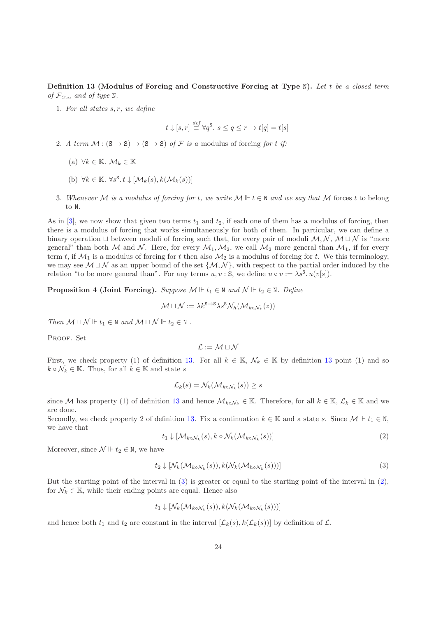Definition 13 (Modulus of Forcing and Constructive Forcing at Type N). Let t be a closed term of  $\mathcal{F}_{\text{Class}}$  and of type N.

1. For all states  $s, r$ , we define

$$
t \downarrow [s, r] \stackrel{def}{\equiv} \forall q^{\mathsf{S}}.\ s \le q \le r \to t[q] = t[s]
$$

- 2. A term  $\mathcal{M} : (S \to S) \to (S \to S)$  of  $\mathcal F$  is a modulus of forcing for t if:
	- (a)  $\forall k \in \mathbb{K}$ .  $\mathcal{M}_k \in \mathbb{K}$
	- (b)  $\forall k \in \mathbb{K}$ .  $\forall s^{\mathsf{S}}$ .  $t \downarrow [\mathcal{M}_k(s), k(\mathcal{M}_k(s))]$
- 3. Whenever M is a modulus of forcing for t, we write  $M \Vdash t \in \mathbb{N}$  and we say that M forces t to belong to N.

As in [\[3](#page-51-8)], we now show that given two terms  $t_1$  and  $t_2$ , if each one of them has a modulus of forcing, then there is a modulus of forcing that works simultaneously for both of them. In particular, we can define a binary operation  $\Box$  between moduli of forcing such that, for every pair of moduli  $\mathcal{M}, \mathcal{N}, \mathcal{M} \Box \mathcal{N}$  is "more general" than both M and N. Here, for every  $M_1, M_2$ , we call  $M_2$  more general than  $M_1$ , if for every term t, if  $\mathcal{M}_1$  is a modulus of forcing for t then also  $\mathcal{M}_2$  is a modulus of forcing for t. We this terminology, we may see  $M \sqcup N$  as an upper bound of the set  $\{M, N\}$ , with respect to the partial order induced by the relation "to be more general than". For any terms  $u, v : S$ , we define  $u \circ v := \lambda s^S \cdot u(v[s])$ .

<span id="page-24-2"></span>**Proposition 4 (Joint Forcing).** Suppose  $\mathcal{M} \Vdash t_1 \in \mathbb{N}$  and  $\mathcal{N} \Vdash t_2 \in \mathbb{N}$ . Define

$$
\mathcal{M} \sqcup \mathcal{N} := \lambda k^{\mathbf{S} \to \mathbf{S}} \lambda s^{\mathbf{S}} \mathcal{N}_h(\mathcal{M}_{k \circ \mathcal{N}_k}(z))
$$

Then  $\mathcal{M} \sqcup \mathcal{N} \Vdash t_1 \in \mathbb{N}$  and  $\mathcal{M} \sqcup \mathcal{N} \Vdash t_2 \in \mathbb{N}$ .

PROOF. Set

$$
\mathcal{L}:=\mathcal{M}\sqcup\mathcal{N}
$$

First, we check property (1) of definition [13.](#page-23-0) For all  $k \in \mathbb{K}$ ,  $\mathcal{N}_k \in \mathbb{K}$  by definition [13](#page-23-0) point (1) and so  $k \circ \mathcal{N}_k \in \mathbb{K}$ . Thus, for all  $k \in \mathbb{K}$  and state s

$$
\mathcal{L}_k(s) = \mathcal{N}_k(\mathcal{M}_{k \circ \mathcal{N}_k}(s)) \geq s
$$

since M has property (1) of definition [13](#page-23-0) and hence  $\mathcal{M}_{k\circ\mathcal{N}_k}\in\mathbb{K}$ . Therefore, for all  $k\in\mathbb{K}$ ,  $\mathcal{L}_k\in\mathbb{K}$  and we are done.

Secondly, we check property 2 of definition [13.](#page-23-0) Fix a continuation  $k \in \mathbb{K}$  and a state s. Since  $\mathcal{M} \Vdash t_1 \in \mathbb{N}$ , we have that

<span id="page-24-1"></span>
$$
t_1 \downarrow \left[ \mathcal{M}_{k \circ \mathcal{N}_k}(s), k \circ \mathcal{N}_k(\mathcal{M}_{k \circ \mathcal{N}_k}(s)) \right]
$$
 (2)

Moreover, since  $\mathcal{N} \Vdash t_2 \in \mathbb{N}$ , we have

<span id="page-24-0"></span>
$$
t_2 \downarrow \left[ \mathcal{N}_k(\mathcal{M}_{k \circ \mathcal{N}_k}(s)), k(\mathcal{N}_k(\mathcal{M}_{h \circ \mathcal{N}_k}(s))) \right]
$$
 (3)

But the starting point of the interval in [\(3\)](#page-24-0) is greater or equal to the starting point of the interval in [\(2\)](#page-24-1), for  $\mathcal{N}_k \in \mathbb{K}$ , while their ending points are equal. Hence also

$$
t_1 \downarrow \left[ \mathcal{N}_k(\mathcal{M}_{k \circ \mathcal{N}_k}(s)), k(\mathcal{N}_k(\mathcal{M}_{k \circ \mathcal{N}_k}(s))) \right]
$$

and hence both  $t_1$  and  $t_2$  are constant in the interval  $[\mathcal{L}_k(s), k(\mathcal{L}_k(s))]$  by definition of  $\mathcal{L}$ .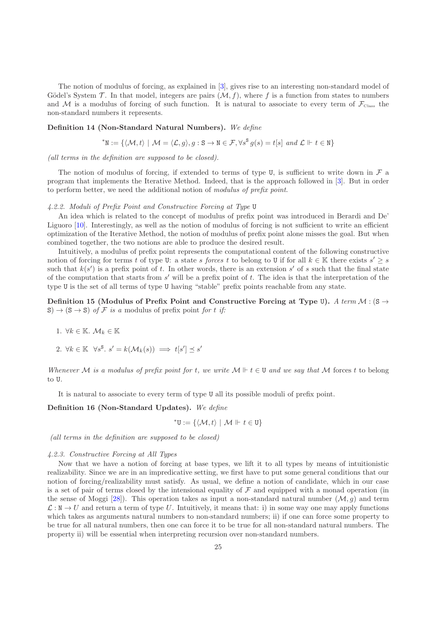The notion of modulus of forcing, as explained in [\[3\]](#page-51-8), gives rise to an interesting non-standard model of Gödel's System  $\mathcal T$ . In that model, integers are pairs  $(\mathcal M, f)$ , where f is a function from states to numbers and M is a modulus of forcing of such function. It is natural to associate to every term of  $\mathcal{F}_{\text{Class}}$  the non-standard numbers it represents.

#### <span id="page-25-3"></span>Definition 14 (Non-Standard Natural Numbers). We define

$$
^{\ast}\mathbf{N} := \{ \langle \mathcal{M}, t \rangle \mid \mathcal{M} = \langle \mathcal{L}, g \rangle, g : \mathbf{S} \to \mathbf{N} \in \mathcal{F}, \forall s^{\mathbf{S}} g(s) = t[s] \text{ and } \mathcal{L} \Vdash t \in \mathbf{N} \}
$$

(all terms in the definition are supposed to be closed).

The notion of modulus of forcing, if extended to terms of type U, is sufficient to write down in  $\mathcal F$  a program that implements the Iterative Method. Indeed, that is the approach followed in [\[3](#page-51-8)]. But in order to perform better, we need the additional notion of modulus of prefix point.

4.2.2. Moduli of Prefix Point and Constructive Forcing at Type U

An idea which is related to the concept of modulus of prefix point was introduced in Berardi and De' Liguoro [\[10](#page-51-12)]. Interestingly, as well as the notion of modulus of forcing is not sufficient to write an efficient optimization of the Iterative Method, the notion of modulus of prefix point alone misses the goal. But when combined together, the two notions are able to produce the desired result.

Intuitively, a modulus of prefix point represents the computational content of the following constructive notion of forcing for terms t of type U: a state s forces t to belong to U if for all  $k \in \mathbb{K}$  there exists  $s' \geq s$ such that  $k(s')$  is a prefix point of t. In other words, there is an extension s' of s such that the final state of the computation that starts from s ′ will be a prefix point of t. The idea is that the interpretation of the type U is the set of all terms of type U having "stable" prefix points reachable from any state.

<span id="page-25-0"></span>Definition 15 (Modulus of Prefix Point and Constructive Forcing at Type U). A term  $\mathcal{M}$  : (S  $\rightarrow$  $S \rightarrow (S \rightarrow S)$  of F is a modulus of prefix point for t if:

- 1.  $\forall k \in \mathbb{K}$ .  $\mathcal{M}_k \in \mathbb{K}$
- 2.  $\forall k \in \mathbb{K} \quad \forall s^{\mathsf{S}}. \ s' = k(\mathcal{M}_k(s)) \implies t[s'] \preceq s'$

Whenever M is a modulus of prefix point for t, we write  $M \Vdash t \in U$  and we say that M forces t to belong to U.

It is natural to associate to every term of type U all its possible moduli of prefix point.

Definition 16 (Non-Standard Updates). We define

<span id="page-25-1"></span>
$$
^{\ast }\mathsf{U}:=\{\langle \mathcal{M},t\rangle\mid \mathcal{M}\Vdash t\in \mathsf{U}\}
$$

(all terms in the definition are supposed to be closed)

#### 4.2.3. Constructive Forcing at All Types

<span id="page-25-2"></span>Now that we have a notion of forcing at base types, we lift it to all types by means of intuitionistic realizability. Since we are in an impredicative setting, we first have to put some general conditions that our notion of forcing/realizability must satisfy. As usual, we define a notion of candidate, which in our case is a set of pair of terms closed by the intensional equality of  $\mathcal F$  and equipped with a monad operation (in the sense of Moggi [\[28\]](#page-52-8)). This operation takes as input a non-standard natural number  $(M, g)$  and term  $\mathcal{L}: \mathbb{N} \to U$  and return a term of type U. Intuitively, it means that: i) in some way one may apply functions which takes as arguments natural numbers to non-standard numbers; ii) if one can force some property to be true for all natural numbers, then one can force it to be true for all non-standard natural numbers. The property ii) will be essential when interpreting recursion over non-standard numbers.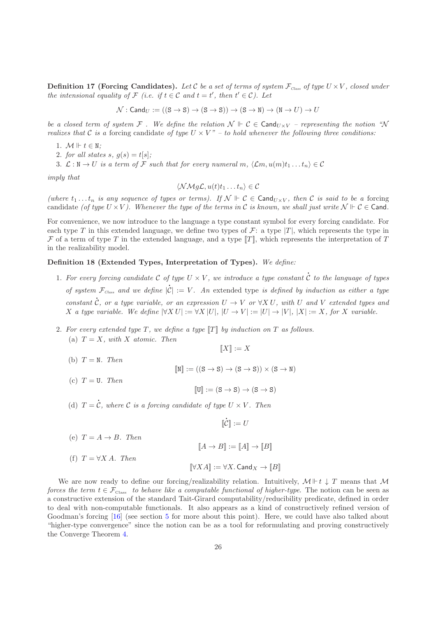**Definition 17 (Forcing Candidates).** Let C be a set of terms of system  $\mathcal{F}_{\text{Class}}$  of type  $U \times V$ , closed under the intensional equality of  $\mathcal F$  (i.e. if  $t \in \mathcal C$  and  $t = t'$ , then  $t' \in \mathcal C$ ). Let

 $\mathcal{N}$ : Cand $_U := ((S \rightarrow S) \rightarrow (S \rightarrow S)) \rightarrow (S \rightarrow N) \rightarrow (N \rightarrow U) \rightarrow U$ 

be a closed term of system F. We define the relation  $\mathcal{N} \Vdash \mathcal{C} \in \text{Cand}_{U \times V}$  – representing the notion "N realizes that C is a forcing candidate of type  $U \times V'' - t$  hold whenever the following three conditions:

- 1.  $M \Vdash t \in \mathbb{N}$ :
- 2. for all states s,  $g(s) = t[s]$ ;

3.  $\mathcal{L}: \mathbb{N} \to U$  is a term of F such that for every numeral m,  $\langle \mathcal{L}m, u(m)t_1 \dots t_n \rangle \in \mathcal{C}$ 

imply that

$$
\langle \mathcal{N} \mathcal{M} g \mathcal{L}, u(t) t_1 \dots t_n \rangle \in \mathcal{C}
$$

(where  $t_1 \ldots t_n$  is any sequence of types or terms). If  $\mathcal{N} \Vdash \mathcal{C} \in \mathsf{Cand}_{U \times V}$ , then  $\mathcal{C}$  is said to be a forcing candidate (of type  $U \times V$ ). Whenever the type of the terms in C is known, we shall just write  $\mathcal{N} \vdash \mathcal{C} \in \mathsf{C}$ and.

For convenience, we now introduce to the language a type constant symbol for every forcing candidate. For each type T in this extended language, we define two types of  $\mathcal{F}$ : a type  $|T|$ , which represents the type in F of a term of type T in the extended language, and a type  $T$ , which represents the interpretation of T in the realizability model.

## Definition 18 (Extended Types, Interpretation of Types). We define:

1. For every forcing candidate C of type  $U \times V$ , we introduce a type constant C to the language of types of system  $\mathcal{F}_{\textit{Class}}$  and we define l  $\mathcal{F}_{\textit{Class}}$  and we define  $|\mathcal{C}| := V$ . An extended type is defined by induction as either a type constant C, or a type variable, or an expression  $U \to V$  or  $\forall X U$ , with U and V extended types and X a type variable. We define  $|\forall X U| := \forall X |U|, |U \rightarrow V| := |U| \rightarrow |V|, |X| := X$ , for X variable.

l

2. For every extended type T, we define a type  $\llbracket T \rrbracket$  by induction on T as follows. (a)  $T = X$ , with X atomic. Then

$$
\llbracket X \rrbracket := X
$$

- (b)  $T = N$ . Then
- (c)  $T = U$ . Then

l

$$
[\![U]\!]:=(S\to S)\to (S\to S)
$$

l

 $\llbracket N \rrbracket := ((S \rightarrow S) \rightarrow (S \rightarrow S)) \times (S \rightarrow N)$ 

(d)  $T = \mathcal{C}$ , where  $\mathcal{C}$  is a forcing candidate of type  $U \times V$ . Then

$$
\llbracket \mathcal{C} \rrbracket := U
$$
\n
$$
\text{(e)} \ T = A \to B. \ Then
$$
\n
$$
\llbracket A \to B \rrbracket := \llbracket A \rrbracket \to \llbracket B \rrbracket
$$
\n
$$
\text{(f)} \ T = \forall X A. \ Then
$$
\n
$$
\llbracket \forall X A \rrbracket := \forall X. \ \text{Cand}_X \to \llbracket B \rrbracket
$$

<span id="page-26-0"></span>We are now ready to define our forcing/realizability relation. Intuitively,  $\mathcal{M} \Vdash t \downarrow T$  means that  $\mathcal{M}$ forces the term  $t \in \mathcal{F}_{\text{Class}}$  to behave like a computable functional of higher-type. The notion can be seen as a constructive extension of the standard Tait-Girard computability/reducibility predicate, defined in order to deal with non-computable functionals. It also appears as a kind of constructively refined version of Goodman's forcing [\[16](#page-51-14)] (see section [5](#page-40-0) for more about this point). Here, we could have also talked about "higher-type convergence" since the notion can be as a tool for reformulating and proving constructively the Converge Theorem [4.](#page-9-0)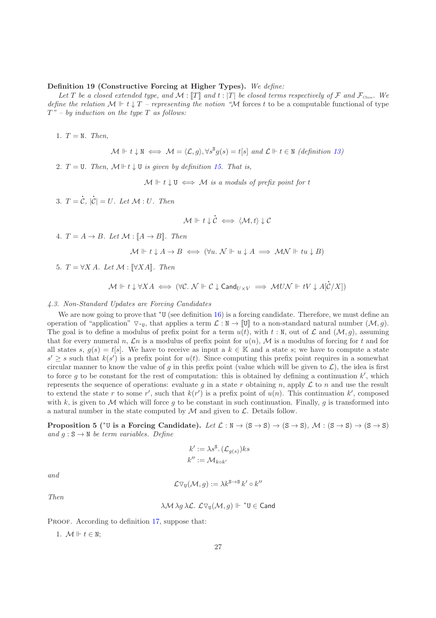## Definition 19 (Constructive Forcing at Higher Types). We define:

Let T be a closed extended type, and  $\mathcal{M} : [T]$  and  $t : [T]$  be closed terms respectively of F and  $\mathcal{F}_{\text{Class}}$ . We define the relation  $M \Vdash t \downarrow T$  – representing the notion "M forces t to be a computable functional of type  $T"$  – by induction on the type  $T$  as follows:

1.  $T = N$ . Then,

$$
\mathcal{M} \Vdash t \downarrow \mathbb{N} \iff \mathcal{M} = \langle \mathcal{L}, g \rangle, \forall s^{\mathbb{S}} g(s) = t[s] \text{ and } \mathcal{L} \Vdash t \in \mathbb{N} \text{ (definition 13)}
$$

2.  $T = U$ . Then,  $M \Vdash t \downarrow U$  is given by definition [15.](#page-25-0) That is,

 $\mathcal{M} \Vdash t \downarrow \mathbf{U} \iff \mathcal{M}$  is a moduls of prefix point for t

 $3. T =$ l  $\mathcal{C},\ |$ l  $|\mathcal{C}| = U$ . Let  $\mathcal{M}: U$ . Then

$$
\mathcal{M} \Vdash t \downarrow \dot{\mathcal{C}} \iff \langle \mathcal{M}, t \rangle \downarrow \mathcal{C}
$$

4.  $T = A \rightarrow B$ . Let  $\mathcal{M} : [A \rightarrow B]$ . Then

$$
\mathcal{M} \Vdash t \downarrow A \to B \iff (\forall u. \ N \Vdash u \downarrow A \implies \mathcal{MN} \Vdash tu \downarrow B)
$$

5.  $T = \forall X A$ . Let  $\mathcal{M} : [\forall X A]$ . Then

$$
\mathcal{M} \Vdash t \downarrow \forall X A \iff (\forall \mathcal{C}. \ \mathcal{N} \Vdash \mathcal{C} \downarrow \mathsf{Cand}_{U \times V} \implies \mathcal{M} U \mathcal{N} \Vdash tV \downarrow A[\dot{\mathcal{C}}/X])
$$

#### 4.3. Non-Standard Updates are Forcing Candidates

We are now going to prove that <sup>∗</sup>U (see definition [16\)](#page-25-1) is a forcing candidate. Therefore, we must define an operation of "application"  $\nabla$ ∗y, that applies a term  $\mathcal{L}: \mathbb{N} \to \mathbb{U}$  to a non-standard natural number  $(\mathcal{M}, g)$ . The goal is to define a modulus of prefix point for a term  $u(t)$ , with  $t : N$ , out of  $\mathcal L$  and  $(\mathcal M, g)$ , assuming that for every numeral n,  $\mathcal{L}n$  is a modulus of prefix point for  $u(n)$ ,  $\mathcal{M}$  is a modulus of forcing for t and for all states s,  $g(s) = t[s]$ . We have to receive as input a  $k \in \mathbb{K}$  and a state s; we have to compute a state  $s' \geq s$  such that  $k(s')$  is a prefix point for  $u(t)$ . Since computing this prefix point requires in a somewhat circular manner to know the value of g in this prefix point (value which will be given to  $\mathcal{L}$ ), the idea is first to force g to be constant for the rest of computation: this is obtained by defining a continuation  $k'$ , which represents the sequence of operations: evaluate g in a state r obtaining n, apply  $\mathcal L$  to n and use the result to extend the state r to some r', such that  $k(r')$  is a prefix point of  $u(n)$ . This continuation k', composed with k, is given to M which will force q to be constant in such continuation. Finally, q is transformed into a natural number in the state computed by  $M$  and given to  $\mathcal{L}$ . Details follow.

Proposition 5 (\*U is a Forcing Candidate). Let  $\mathcal{L} : \mathbb{N} \to (\mathbb{S} \to \mathbb{S}) \to (\mathbb{S} \to \mathbb{S})$ ,  $\mathcal{M} : (\mathbb{S} \to \mathbb{S}) \to (\mathbb{S} \to \mathbb{S})$ and  $g : S \to N$  be term variables. Define

<span id="page-27-0"></span>
$$
k' := \lambda s^{\mathbf{S}}. (\mathcal{L}_{g(s)}) k s
$$
  

$$
k'':=\mathcal{M}_{k \circ k'}
$$

and

$$
\mathcal{L}\nabla_{\mathbf{U}}(\mathcal{M},g) := \lambda k^{\mathbf{S}\to\mathbf{S}} k' \circ k''
$$

Then

$$
\lambda \mathcal{M} \lambda g \lambda \mathcal{L}
$$
.  $\mathcal{L} \nabla_{\mathbf{U}} (\mathcal{M}, g) \Vdash \mathbf{W} \in \mathsf{Cand}$ 

PROOF. According to definition [17,](#page-25-2) suppose that:

1.  $\mathcal{M} \Vdash t \in \mathbb{N}$ ;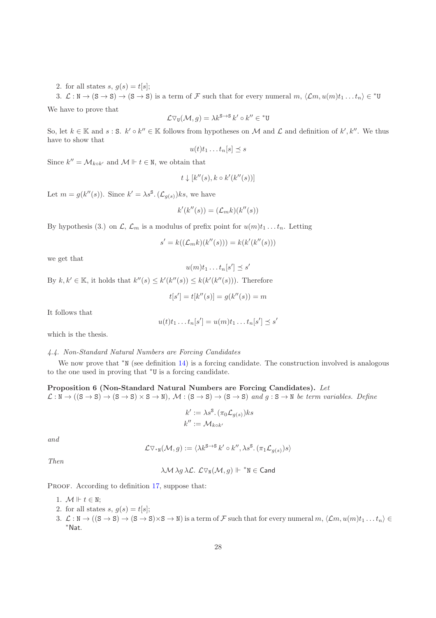2. for all states  $s, g(s) = t[s]$ ;

3.  $\mathcal{L}: \mathbb{N} \to (\mathbb{S} \to \mathbb{S}) \to (\mathbb{S} \to \mathbb{S})$  is a term of F such that for every numeral  $m, \langle \mathcal{L}m, u(m)t_1 \dots t_n \rangle \in {}^*U$ 

We have to prove that

$$
\mathcal{L}\nabla_{\mathbf{U}}(\mathcal{M},g)=\lambda k^{\mathbf{S}\to\mathbf{S}}k'\circ k''\in{}^*\mathbf{U}
$$

So, let  $k \in \mathbb{K}$  and  $s : S$ .  $k' \circ k'' \in \mathbb{K}$  follows from hypotheses on M and  $\mathcal{L}$  and definition of  $k', k''$ . We thus have to show that

$$
u(t)t_1\ldots t_n[s]\preceq s
$$

Since  $k'' = \mathcal{M}_{k \circ k'}$  and  $\mathcal{M} \Vdash t \in \mathbb{N}$ , we obtain that

$$
t \downarrow [k''(s), k \circ k'(k''(s))]
$$

Let  $m = g(k''(s))$ . Since  $k' = \lambda s^{\mathsf{S}} \cdot (\mathcal{L}_{g(s)})$ ks, we have

$$
k'(k''(s)) = (\mathcal{L}_m k)(k''(s))
$$

By hypothesis (3.) on  $\mathcal{L}, \mathcal{L}_m$  is a modulus of prefix point for  $u(m)t_1 \dots t_n$ . Letting

$$
s' = k((\mathcal{L}_m k)(k''(s))) = k(k'(k''(s)))
$$

 $u(m)t_1 \ldots t_n[s'] \preceq s'$ 

we get that

By  $k, k' \in \mathbb{K}$ , it holds that  $k''(s) \leq k'(k''(s)) \leq k(k'(k''(s)))$ . Therefore

$$
t[s'] = t[k''(s)] = g(k''(s)) = m
$$

It follows that

$$
u(t)t_1 \ldots t_n[s'] = u(m)t_1 \ldots t_n[s'] \preceq s'
$$

which is the thesis.

#### 4.4. Non-Standard Natural Numbers are Forcing Candidates

<span id="page-28-0"></span>We now prove that <sup>∗</sup>N (see definition [14\)](#page-25-3) is a forcing candidate. The construction involved is analogous to the one used in proving that <sup>∗</sup>U is a forcing candidate.

Proposition 6 (Non-Standard Natural Numbers are Forcing Candidates). Let  $\mathcal{L}: \mathbb{N} \to ((S \to S) \to (S \to S) \times S \to \mathbb{N}), \mathcal{M}: (S \to S) \to (S \to S) \text{ and } g: S \to \mathbb{N} \text{ be term variables. Define}$ 

$$
k' := \lambda s^{\mathbf{S}}. (\pi_0 \mathcal{L}_{g(s)}) k s
$$
  

$$
k'' := \mathcal{M}_{k \circ k'}
$$

and

$$
\mathcal{L}\nabla_{^*\mathbb{N}}(\mathcal{M},g) := \langle \lambda k^{\mathbb{S}\to\mathbb{S}} k' \circ k'', \lambda s^{\mathbb{S}}. (\pi_1 \mathcal{L}_{g(s)}) s \rangle
$$

Then

$$
f_{\rm{max}}(x)
$$

$$
\lambda \mathcal{M} \lambda g \lambda \mathcal{L}
$$
.  $\mathcal{L} \nabla_{\mathbb{N}} (\mathcal{M}, g) \Vdash {\ast}_{\mathbb{N}} \in \mathsf{Cand}$ 

PROOF. According to definition [17,](#page-25-2) suppose that:

- 1.  $\mathcal{M} \Vdash t \in \mathbb{N}$ ;
- 2. for all states  $s, g(s) = t[s]$ ;
- 3.  $\mathcal{L}: \mathbb{N} \to ((S \to S) \to (S \to S) \times S \to \mathbb{N})$  is a term of F such that for every numeral  $m, \langle \mathcal{L}m, u(m)t_1 \dots t_n \rangle \in$ <sup>∗</sup>Nat.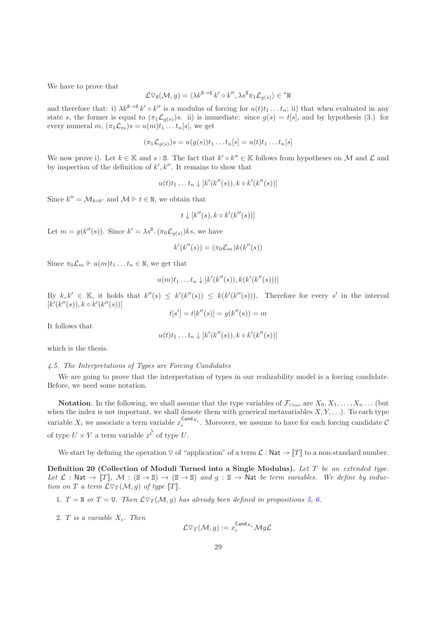We have to prove that

$$
\mathcal{L}\nabla_{\mathbf{N}}(\mathcal{M},g) = \langle \lambda k^{\mathbf{S}\to\mathbf{S}} k' \circ k'', \lambda s^{\mathbf{S}} \pi_1 \mathcal{L}_{g(s)} \rangle \in {^*}\mathbf{N}
$$

and therefore that: i)  $\lambda k^{s\lambda} k' \circ k''$  is a modulus of forcing for  $u(t)t_1 \dots t_n$ ; ii) that when evaluated in any state s, the former is equal to  $(\pi_1 \mathcal{L}_{g(s)})$ s. ii) is immediate: since  $g(s) = t[s]$ , and by hypothesis (3.) for every numeral  $m, (\pi_1 \mathcal{L}_m) s = u(m) t_1 \dots t_n [s],$  we get

$$
(\pi_1 \mathcal{L}_{g(s)})s = u(g(s))t_1 \dots t_n[s] = u(t)t_1 \dots t_n[s]
$$

We now prove i). Let  $k \in \mathbb{K}$  and  $s : S$ . The fact that  $k' \circ k'' \in \mathbb{K}$  follows from hypotheses on M and  $\mathcal L$  and by inspection of the definition of  $k', k''$ . It remains to show that

$$
u(t)t_1 \ldots t_n \downarrow [k'(k''(s)), k \circ k'(k''(s))]
$$

Since  $k'' = \mathcal{M}_{k \circ k'}$  and  $\mathcal{M} \Vdash t \in \mathbb{N}$ , we obtain that

$$
t \downarrow [k''(s), k \circ k'(k''(s))]
$$

Let  $m = g(k''(s))$ . Since  $k' = \lambda s^s$ .  $(\pi_0 \mathcal{L}_{g(s)})$ ks, we have

$$
k'(k''(s)) = (\pi_0 \mathcal{L}_m)k(k''(s))
$$

Since  $\pi_0 \mathcal{L}_m \Vdash u(m)t_1 \ldots t_n \in \mathbb{N}$ , we get that

$$
u(m)t_1 \ldots t_n \downarrow [k'(k''(s)), k(k'(k''(s)))]
$$

By  $k, k' \in \mathbb{K}$ , it holds that  $k''(s) \leq k'(k''(s)) \leq k(k'(k''(s)))$ . Therefore for every s' in the interval  $[k'(k''(s)), k \circ k'(k''(s))]$ 

$$
t[s'] = t[k''(s)] = g(k''(s)) = m
$$

It follows that

$$
u(t)t_1 \ldots t_n \downarrow [k'(k''(s)), k \circ k'(k''(s))]
$$

which is the thesis.

#### 4.5. The Interpretations of Types are Forcing Candidates

We are going to prove that the interpretation of types in our realizability model is a forcing candidate. Before, we need some notation.

**Notation.** In the following, we shall assume that the type variables of  $\mathcal{F}_{\text{Class}}$  are  $X_0, X_1, \ldots, X_n \ldots$  (but when the index is not important, we shall denote them with generical metavariables  $X, Y, \ldots$ ). To each type variable  $X_i$  we associate a term variable  $x_i^{\text{Cand}_{X_i}}$ . Moreover, we assume to have for each forcing candidate  $\mathcal C$ of type  $U \times V$  a term variable  $x^{\dot{c}}$  of type U.

We start by defining the operation  $\nabla$  of "application" of a term  $\mathcal{L} : \mathsf{Nat} \to \llbracket T \rrbracket$  to a non-standard number.

Definition 20 (Collection of Moduli Turned into a Single Modulus). Let T be an extended type. Let  $\mathcal{L}: \mathbb{N}$ at  $\rightarrow$   $\llbracket T \rrbracket$ ,  $\mathcal{M}: (\mathbb{S} \rightarrow \mathbb{S}) \rightarrow (\mathbb{S} \rightarrow \mathbb{S})$  and  $g: \mathbb{S} \rightarrow \mathbb{N}$ at be term variables. We define by induction on T a term  $\mathcal{L} \nabla_T(\mathcal{M}, g)$  of type  $\llbracket T \rrbracket$ .

- 1.  $T = N$  or  $T = U$ . Then  $L\nabla_T(\mathcal{M}, g)$  has already been defined in propositions [5,](#page-27-0) [6.](#page-28-0)
- 2. T is a variable  $X_i$ . Then

$$
\mathcal{L}\triangledown_T(\mathcal{M},g):=x_i^{\mathsf{Cand}_{X_i}}\mathcal{M}g\mathcal{L}
$$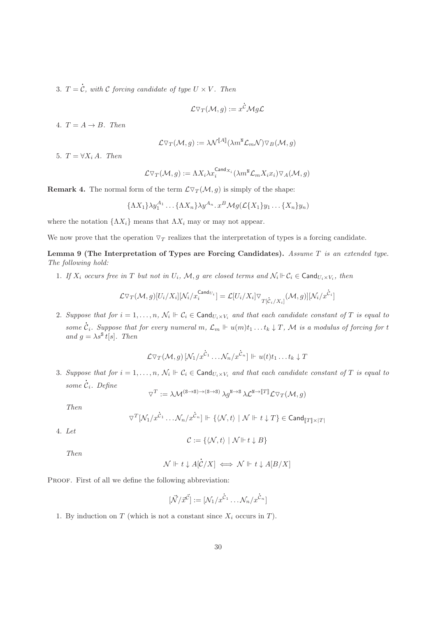$3. T =$ l  $\mathcal{C},$  with  $\mathcal C$  forcing candidate of type  $U\times V.$  Then

$$
\mathcal{L}\triangledown_T(\mathcal{M},g):=x^{\dot{\mathcal{C}}}\mathcal{M}g\mathcal{L}
$$

4.  $T = A \rightarrow B$ . Then

$$
\mathcal{L}\triangledown_{T}(\mathcal{M},g):=\lambda\mathcal{N}^{\llbracket A\rrbracket}(\lambda m^{\text{N}}\mathcal{L}_{m}\mathcal{N})\triangledown_{B}(\mathcal{M},g)
$$

5.  $T = \forall X_i A$ . Then

$$
\mathcal{L}\triangledown_{T}(\mathcal{M},g):=\Lambda X_{i}\lambda x_{i}^{\mathsf{Cand}_{X_{i}}}(\lambda m^{\mathtt{N}}\mathcal{L}_{m}X_{i}x_{i})\triangledown_{A}(\mathcal{M},g)
$$

**Remark 4.** The normal form of the term  $\mathcal{L}\nabla_T(\mathcal{M}, g)$  is simply of the shape:

$$
{\Lambda X_1}{\lambda y_1^{A_1}\ldots {\Lambda X_n}\lambda y^{A_n}.x^B \mathcal{M}g(\mathcal{L}{X_1}y_1\ldots {X_n}y_n)}
$$

where the notation  $\{\Lambda X_i\}$  means that  $\Lambda X_i$  may or may not appear.

<span id="page-30-0"></span>We now prove that the operation  $\nabla_T$  realizes that the interpretation of types is a forcing candidate.

Lemma 9 (The Interpretation of Types are Forcing Candidates). Assume T is an extended type. The following hold:

1. If  $X_i$  occurs free in T but not in  $U_i$ ,  $\mathcal{M}, g$  are closed terms and  $\mathcal{N}_i \Vdash \mathcal{C}_i \in \textsf{Cand}_{U_i \times V_i}$ , then

$$
\mathcal{L} \triangledown_{T}(\mathcal{M}, g)[U_i/X_i][\mathcal{N}_i/\boldsymbol{x}_i^{\operatorname{Cand}_{U_i}}]=\mathcal{L}[U_i/X_i]\triangledown_{T[\dot{\mathcal{C}}_i/X_i]}(\mathcal{M}, g)][\mathcal{N}_i/\boldsymbol{x}^{\dot{\mathcal{C}}_i}]
$$

2. Suppose that for  $i = 1, \ldots, n$ ,  $\mathcal{N}_i \Vdash \mathcal{C}_i \in \text{Cand}_{U_i \times V_i}$  and that each candidate constant of T is equal to some  $\mathcal{C}_i$ . Suppose that for every numeral  $m, \mathcal{L}_m \Vdash u(m)t_1 \ldots t_k \downarrow T$ , M is a modulus of forcing for t and  $g = \lambda s^{\mathbf{S}} t[s]$ . Then

$$
\mathcal{L}\nabla_T(\mathcal{M},g)[\mathcal{N}_1/x^{\mathcal{C}_1}\ldots\mathcal{N}_n/x^{\mathcal{C}_n}]\Vdash u(t)t_1\ldots t_k\downarrow T
$$

3. Suppose that for  $i = 1, \ldots, n$ ,  $\mathcal{N}_i \Vdash \mathcal{C}_i \in \text{Cand}_{U_i \times V_i}$  and that each candidate constant of T is equal to some l  $\mathcal{C}_i$ . Define

$$
\triangledown^T := \lambda \mathcal{M}^{(\mathrm{S} \rightarrow \mathrm{S}) \rightarrow (\mathrm{S} \rightarrow \mathrm{S})} \, \lambda g^{\mathrm{N} \rightarrow \mathrm{S}} \, \lambda \mathcal{L}^{\mathrm{N} \rightarrow [\![T]\!]} \mathcal{L} \triangledown_T (\mathcal{M}, g)
$$

Then

$$
\triangledown^T [\mathcal{N}_1/x^{\mathring{\mathcal{C}}_1} \dots \mathcal{N}_n/x^{\mathring{\mathcal{C}}_n}] \Vdash \{ \langle \mathcal{N},t \rangle \mid \mathcal{N} \Vdash t \downarrow T \} \in \mathsf{Cand}_{\llbracket T \rrbracket \times \mid T \rrbracket}
$$

4. Let

$$
\mathcal{C} := \{ \langle \mathcal{N}, t \rangle \mid \mathcal{N} \Vdash t \downarrow B \}
$$

Then

$$
\mathcal{N} \Vdash t \downarrow A[\dot{\mathcal{C}}/X] \iff \mathcal{N} \Vdash t \downarrow A[B/X]
$$

PROOF. First of all we define the following abbreviation:

$$
[\vec{\mathcal{N}}/\vec{x}^{\vec{\mathcal{C}}}] := [\mathcal{N}_1/x^{\vec{\mathcal{C}}_1} \dots \mathcal{N}_n/x^{\vec{\mathcal{C}}_n}]
$$

l

1. By induction on  $T$  (which is not a constant since  $X_i$  occurs in  $T$ ).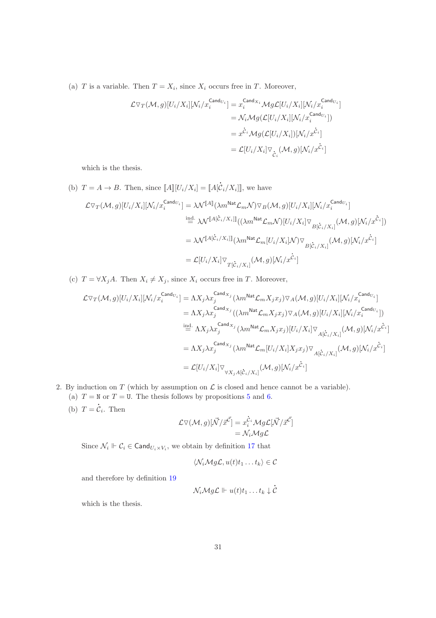(a) T is a variable. Then  $T = X_i$ , since  $X_i$  occurs free in T. Moreover,

$$
\mathcal{L}\triangledown_T(\mathcal{M},g)[U_i/X_i][\mathcal{N}_i/x_i^{\mathsf{Cand}_{U_i}}] = x_i^{\mathsf{Cand}_{X_i}}\mathcal{M}g\mathcal{L}[U_i/X_i][\mathcal{N}_i/x_i^{\mathsf{Cand}_{U_i}}]
$$
  
\n
$$
= \mathcal{N}_i\mathcal{M}g(\mathcal{L}[U_i/X_i][\mathcal{N}_i/x_i^{\mathsf{Cand}_{U_i}}])
$$
  
\n
$$
= x^{\mathcal{C}_i}\mathcal{M}g(\mathcal{L}[U_i/X_i])[\mathcal{N}_i/x^{\mathcal{C}_i}]
$$
  
\n
$$
= \mathcal{L}[U_i/X_i]\triangledown_{\dot{C}_i}(\mathcal{M},g)[\mathcal{N}_i/x^{\mathcal{C}_i}]
$$

which is the thesis.

(b)  $T = A \rightarrow B$ . Then, since  $\llbracket A \rrbracket [U_i / X_i] = \llbracket A \rrbracket$  $\mathcal{C}_i/X_i$ ], we have  $\mathcal{L}\triangledown_T(\mathcal{M},g)[U_i/X_i][\mathcal{N}_i/x_i^{\mathsf{Cand}}_{U_i}] = \lambda \mathcal{N}^{\llbracket A \rrbracket}(\lambda m^{\mathsf{Nat}}\mathcal{L}_m\mathcal{N})\triangledown_B(\mathcal{M},g)[U_i/X_i][\mathcal{N}_i/x_i^{\mathsf{Cand}}_{U_i}]$  $\stackrel{\text{ind.}}{=} \mathcal{N}^{[A[\dot{\mathcal{C}}_i/X_i]]}((\lambda m^{\text{Nat}}\mathcal{L}_m\mathcal{N})[U_i/X_i]\nabla_{B[\dot{\mathcal{C}}_i/X_i]}(\mathcal{M}, g)[\mathcal{N}_i/x^{\dot{\mathcal{C}}_i}])$  $=\lambda {\cal N}^{[\![ A[\dot C_i/X_i ]]\!]}\bigl( \lambda m^{{\sf Nat}}{\cal L}_m[U_i/X_i] {\cal N}) \triangledown_{\stackrel{}{B[\dot C_i/X_i]}}\!( {\cal M},g) [{\cal N}_i/x^{\dot C_i}]$  $= \mathcal{L}[U_i/X_i] \triangledown_{T[\dot{\mathcal{C}}_i/X_i]}(\mathcal{M},g)[\mathcal{N}_i/x^{\dot{\mathcal{C}}_i}]$ 

l

(c)  $T = \forall X_j A$ . Then  $X_i \neq X_j$ , since  $X_i$  occurs free in T. Moreover,

$$
\mathcal{L}\nabla_T(\mathcal{M},g)[U_i/X_i][\mathcal{N}_i/\mathcal{X}_i^{\text{Cand}_{U_i}}] = \Lambda X_j \lambda x_j^{\text{Cand}_{X_j}}(\lambda m^{\text{Nat}} \mathcal{L}_m X_j x_j) \nabla_A(\mathcal{M},g)[U_i/X_i][\mathcal{N}_i/\mathcal{X}_i^{\text{Cand}_{U_i}}]
$$
\n
$$
= \Lambda X_j \lambda x_j^{\text{Cand}_{X_j}}((\lambda m^{\text{Nat}} \mathcal{L}_m X_j x_j) \nabla_A(\mathcal{M},g)[U_i/X_i][\mathcal{N}_i/\mathcal{X}_i^{\text{Cand}_{U_i}}])
$$
\n
$$
\stackrel{\text{ind.}}{=} \Lambda X_j \lambda x_j^{\text{Cand}_{X_j}}(\lambda m^{\text{Nat}} \mathcal{L}_m X_j x_j)[U_i/X_i] \nabla_{A[\dot{C}_i/X_i]}(\mathcal{M},g)[\mathcal{N}_i/\mathcal{X}^{\dot{C}_i}]
$$
\n
$$
= \Lambda X_j \lambda x_j^{\text{Cand}_{X_j}}(\lambda m^{\text{Nat}} \mathcal{L}_m[U_i/X_i]X_j x_j) \nabla_{A[\dot{C}_i/X_i]}(\mathcal{M},g)[\mathcal{N}_i/\mathcal{X}^{\dot{C}_i}]
$$
\n
$$
= \mathcal{L}[U_i/X_i] \nabla_{\forall X_j A[\dot{C}_i/X_i]}(\mathcal{M},g)[\mathcal{N}_i/\mathcal{X}^{\dot{C}_i}]
$$

- 2. By induction on T (which by assumption on  $\mathcal L$  is closed and hence cannot be a variable).
	- (a)  $T = N$  or  $T = U$ . The thesis follows by propositions [5](#page-27-0) and [6.](#page-28-0) l
	- (b)  $T =$  $\mathcal{C}_i$ . Then

$$
\mathcal{L}\nabla(\mathcal{M},g)[\vec{\mathcal{N}}/\vec{x}^{\vec{\mathcal{C}}}] = x_i^{\dot{C}_i} \mathcal{M}g\mathcal{L}[\vec{\mathcal{N}}/\vec{x}^{\vec{\mathcal{C}}}]
$$
  
=  $\mathcal{N}_i \mathcal{M}g\mathcal{L}$ 

Since  $\mathcal{N}_i \Vdash \mathcal{C}_i \in \mathsf{Cand}_{U_i \times V_i}$ , we obtain by definition [17](#page-25-2) that

$$
\langle \mathcal{N}_i \mathcal{M} g \mathcal{L}, u(t) t_1 \dots t_k \rangle \in \mathcal{C}
$$

and therefore by definition [19](#page-26-0)

$$
\mathcal{N}_i \mathcal{M} g \mathcal{L} \Vdash u(t) t_1 \ldots t_k \downarrow \mathcal{C}
$$

l

which is the thesis.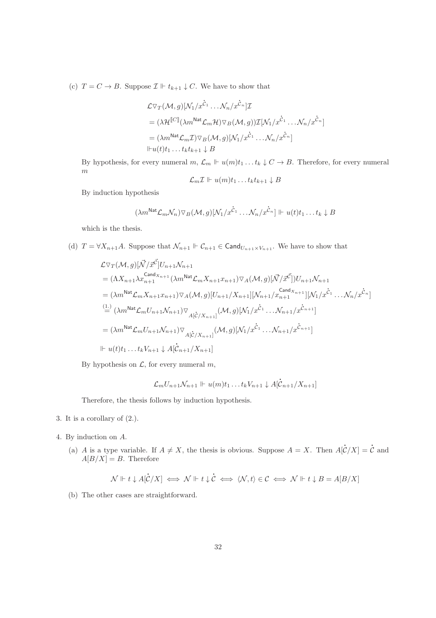(c)  $T = C \rightarrow B$ . Suppose  $\mathcal{I} \Vdash t_{k+1} \downarrow C$ . We have to show that

$$
\mathcal{L}\nabla_T(\mathcal{M},g)[\mathcal{N}_1/x^{\dot{C}_1}\dots\mathcal{N}_n/x^{\dot{C}_n}]\mathcal{I}
$$
  
=  $(\lambda\mathcal{H}^{[\![C]\!]}(\lambda m^{\text{Nat}}\mathcal{L}_m\mathcal{H})\nabla_B(\mathcal{M},g))\mathcal{I}[\mathcal{N}_1/x^{\dot{C}_1}\dots\mathcal{N}_n/x^{\dot{C}_n}]$   
=  $(\lambda m^{\text{Nat}}\mathcal{L}_m\mathcal{I})\nabla_B(\mathcal{M},g)[\mathcal{N}_1/x^{\dot{C}_1}\dots\mathcal{N}_n/x^{\dot{C}_n}]$   
 $\Vdash u(t)t_1\dots t_kt_{k+1}\downarrow B$ 

By hypothesis, for every numeral  $m, \mathcal{L}_m \Vdash u(m)t_1 \dots t_k \downarrow C \to B$ . Therefore, for every numeral  $\boldsymbol{m}$ 

$$
\mathcal{L}_m \mathcal{I} \Vdash u(m)t_1 \dots t_k t_{k+1} \downarrow B
$$

By induction hypothesis

$$
(\lambda m^{\text{Nat}} \mathcal{L}_m \mathcal{N}_n) \triangledown_B (\mathcal{M}, g) [\mathcal{N}_1/x^{\dot{c}_1} \dots \mathcal{N}_n/x^{\dot{c}_n}] \Vdash u(t) t_1 \dots t_k \downarrow B
$$

which is the thesis.

(d)  $T = \forall X_{n+1}A$ . Suppose that  $\mathcal{N}_{n+1} \Vdash \mathcal{C}_{n+1} \in \mathsf{Cand}_{U_{n+1} \times V_{n+1}}$ . We have to show that

$$
\mathcal{L}\nabla_T(\mathcal{M},g)[\vec{N}/\vec{x}^{\vec{C}}]U_{n+1}\mathcal{N}_{n+1}
$$
\n
$$
= (\Lambda X_{n+1}\lambda x_{n+1}^{\text{Cand}_{X_{n+1}}}(\lambda m^{\text{Nat}}\mathcal{L}_m X_{n+1}x_{n+1})\nabla_A(\mathcal{M},g)[\vec{N}/\vec{x}^{\vec{C}}])U_{n+1}\mathcal{N}_{n+1}
$$
\n
$$
= (\lambda m^{\text{Nat}}\mathcal{L}_m X_{n+1}x_{n+1})\nabla_A(\mathcal{M},g)[U_{n+1}/X_{n+1}][\mathcal{N}_{n+1}/x_{n+1}^{\text{Cand}_{X_{n+1}}}][\mathcal{N}_1/x^{\vec{C}_1}\dots\mathcal{N}_n/x^{\vec{C}_n}]
$$
\n
$$
\stackrel{(1.)}{=} (\lambda m^{\text{Nat}}\mathcal{L}_m U_{n+1}\mathcal{N}_{n+1})\nabla_{A[\vec{C}/X_{n+1}]}(\mathcal{M},g)[\mathcal{N}_1/x^{\vec{C}_1}\dots\mathcal{N}_{n+1}/x^{\vec{C}_{n+1}}]
$$
\n
$$
= (\lambda m^{\text{Nat}}\mathcal{L}_m U_{n+1}\mathcal{N}_{n+1})\nabla_{A[\vec{C}/X_{n+1}]}(\mathcal{M},g)[\mathcal{N}_1/x^{\vec{C}_1}\dots\mathcal{N}_{n+1}/x^{\vec{C}_{n+1}}]
$$
\n
$$
\Vdash u(t)t_1\dots t_kV_{n+1} \downarrow A[\vec{C}_{n+1}/X_{n+1}]
$$

By hypothesis on  $\mathcal{L}$ , for every numeral  $m$ ,

$$
\mathcal{L}_m U_{n+1} \mathcal{N}_{n+1} \Vdash u(m) t_1 \dots t_k V_{n+1} \downarrow A[\dot{C}_{n+1}/X_{n+1}]
$$

Therefore, the thesis follows by induction hypothesis.

- 3. It is a corollary of (2.).
- 4. By induction on A.
	- (a) A is a type variable. If  $A \neq X$ , the thesis is obvious. Suppose  $A = X$ . Then A[ l  $\mathcal{C}/X] =$ l  $\mathcal C$  and  $A[B/X] = B$ . Therefore

$$
\mathcal{N} \Vdash t \downarrow A[\dot{C}/X] \iff \mathcal{N} \Vdash t \downarrow \dot{C} \iff \langle \mathcal{N}, t \rangle \in \mathcal{C} \iff \mathcal{N} \Vdash t \downarrow B = A[B/X]
$$

(b) The other cases are straightforward.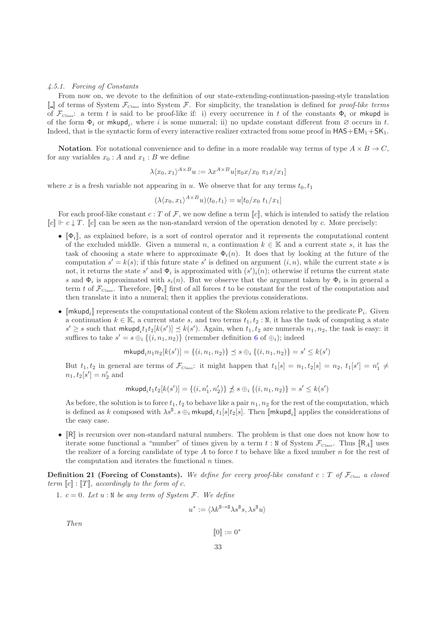#### 4.5.1. Forcing of Constants

From now on, we devote to the definition of our state-extending-continuation-passing-style translation [[ ]] of terms of System FClass into System F. For simplicity, the translation is defined for proof-like terms of  $\mathcal{F}_{\text{Class}}$ : a term t is said to be proof-like if: i) every occurrence in t of the constants  $\Phi_i$  or mkupd is of the form  $\Phi_i$  or mkupd<sub>i</sub>, where i is some numeral; ii) no update constant different from  $\varnothing$  occurs in t. Indeed, that is the syntactic form of every interactive realizer extracted from some proof in  $HAS+EM_1+SK_1$ .

**Notation.** For notational convenience and to define in a more readable way terms of type  $A \times B \to C$ , for any variables  $x_0 : A$  and  $x_1 : B$  we define

$$
\lambda \langle x_0, x_1 \rangle^{A \times B} u := \lambda x^{A \times B} u[\pi_0 x / x_0 \ \pi_1 x / x_1]
$$

where x is a fresh variable not appearing in u. We observe that for any terms  $t_0, t_1$ 

$$
(\lambda \langle x_0, x_1 \rangle^{A \times B} u) \langle t_0, t_1 \rangle = u[t_0/x_0 \ t_1/x_1]
$$

For each proof-like constant  $c : T$  of F, we now define a term  $\llbracket c \rrbracket$ , which is intended to satisfy the relation  $\llbracket c \rrbracket \vdash c \downarrow T$ .  $\llbracket c \rrbracket$  can be seen as the non-standard version of the operation denoted by c. More precisely:

- $[\![\Phi_i]\!]$ , as explained before, is a sort of control operator and it represents the computational content of the excluded middle. Given a numeral n, a continuation  $k \in \mathbb{K}$  and a current state s, it has the task of choosing a state where to approximate  $\Phi_i(n)$ . It does that by looking at the future of the computation  $s' = k(s)$ ; if this future state s' is defined on argument  $(i, n)$ , while the current state s is not, it returns the state s' and  $\Phi_i$  is approximated with  $(s')_i(n)$ ; otherwise if returns the current state s and  $\Phi_i$  is approximated with  $s_i(n)$ . But we observe that the argument taken by  $\Phi_i$  is in general a term t of  $\mathcal{F}_{\text{Class}}$ . Therefore,  $[\![\Phi_i]\!]$  first of all forces t to be constant for the rest of the computation and then translate it into a numeral; then it applies the previous considerations.
- [mkupd<sub>i</sub>] represents the computational content of the Skolem axiom relative to the predicate  $P_i$ . Given a continuation  $k \in \mathbb{K}$ , a current state s, and two terms  $t_1, t_2 : \mathbb{N}$ , it has the task of computing a state  $s' \geq s$  such that  $\mathsf{mkupd}_it_1t_2[k(s')] \preceq k(s')$ . Again, when  $t_1, t_2$  are numerals  $n_1, n_2$ , the task is easy: it suffices to take  $s' = s \oplus_i \{(i, n_1, n_2)\}\)$  (remember definition [6](#page-8-0) of  $\oplus_i$ ); indeed

$$
\mathsf{mkupd}_i n_1 n_2[k(s')] = \{(i, n_1, n_2)\} \preceq s \oplus_i \{(i, n_1, n_2)\} = s' \leq k(s')
$$

But  $t_1, t_2$  in general are terms of  $\mathcal{F}_{\text{Class}}$ : it might happen that  $t_1[s] = n_1, t_2[s] = n_2, t_1[s'] = n'_1 \neq$  $n_1, t_2[s'] = n'_2$  and

$$
\mathsf{mkupd}_it_1t_2[k(s')]=\{(i,n'_1,n'_2)\}\nleq s\oplus_i\{(i,n_1,n_2)\}=s'\leq k(s')
$$

As before, the solution is to force  $t_1, t_2$  to behave like a pair  $n_1, n_2$  for the rest of the computation, which is defined as k composed with  $\lambda s^{\texttt{S}}$ .  $s \oplus_i \text{mkupd}_i t_1[s] t_2[s]$ . Then  $[\text{mkupd}_i]$  applies the considerations of the easy case.

•  $\mathbb{R}$  is recursion over non-standard natural numbers. The problem is that one does not know how to iterate some functional a "number" of times given by a term  $t : N$  of System  $\mathcal{F}_{\text{Class}}$ . Thus  $[\mathbb{R}_A]$  uses the realizer of a forcing candidate of type  $A$  to force  $t$  to behave like a fixed number  $n$  for the rest of the computation and iterates the functional  $n$  times.

<span id="page-33-0"></span>**Definition 21 (Forcing of Constants).** We define for every proof-like constant c : T of  $\mathcal{F}_{Class}$  a closed term  $\llbracket c \rrbracket : \llbracket T \rrbracket$ , accordingly to the form of c.

1.  $c = 0$ . Let  $u : N$  be any term of System F. We define

$$
u^* := \langle \lambda k^{\mathbf{S} \to \mathbf{S}} \lambda s^{\mathbf{S}} s, \lambda s^{\mathbf{S}} u \rangle
$$

Then

$$
\llbracket 0 \rrbracket := 0^*
$$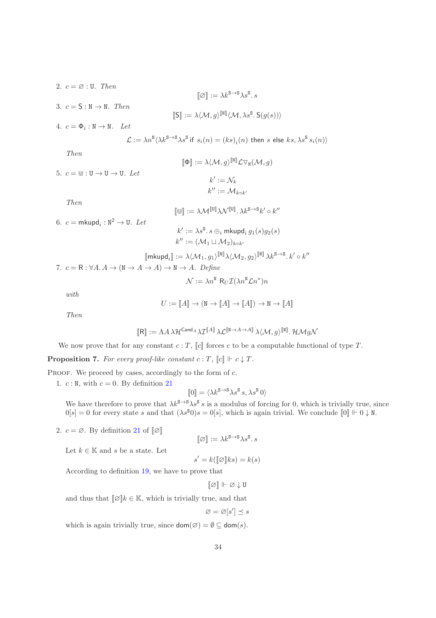2.  $c = \emptyset$ : U. Then  $[\![\boldsymbol{\emptyset}]\!] := \lambda k^{\mathbf{S} \rightarrow \mathbf{S}} \lambda s^{\mathbf{S}} \boldsymbol{\cdot} s$ 3.  $c = S : N \rightarrow N$ . Then  $\llbracket \mathsf{S} \rrbracket := \lambda \langle \mathcal{M}, g \rangle^{\llbracket \mathbb{N} \rrbracket} \langle \mathcal{M}, \lambda s^{\mathsf{S}}.\mathsf{S}(g(s)) \rangle$ 4.  $c = \Phi_i : \mathbb{N} \to \mathbb{N}$ . Let  $\mathcal{L}:=\lambda n^{\text{N}}\langle\lambda k^{\text{S}\rightarrow\text{S}}\lambda s^{\text{S}}$  if  $s_i(n)=(ks)_i(n)$  then s else  $ks,\lambda s^{\text{S}}s_i(n)\rangle$ Then  $[\![\Phi]\!]:= \lambda \langle \mathcal{M}, g \rangle^{[\![\mathbb{N}]\!]} \mathcal{L} \triangledown_{\mathbb{N}} (\mathcal{M}, g)$ 5.  $c = \mathbb{U}: \mathbb{U} \to \mathbb{U} \to \mathbb{U}$ . Let  $k' := \mathcal{N}_k$  $k'':=\mathcal{M}_{k\circ k'}$ Then  $[\![\uplus]\!] := \lambda \mathcal{M}^{[\![\mathtt{U}]\!]} \lambda \mathcal{N}^{[\![\mathtt{U}]\!]}.\, \lambda k^{\mathtt{S} \rightarrow \mathtt{S}} k' \circ k''$ 6.  $c = \mathsf{mkupd}_i : \mathbb{N}^2 \to \mathbb{U}$ . Let  $k':=\lambda s^{\texttt{S}}\!\!\; . \, s \oplus_i \, \textsf{mkupd}_i \, g_1(s) g_2(s)$  $k'':= (\mathcal{M}_1 \sqcup \mathcal{M}_2)_{k \circ k'}$  $[\![\mathsf{mkupd}_i]\!] := \lambda \langle \mathcal{M}_1, g_1 \rangle^{[\![\mathbb{N}]\!]} \lambda \langle \mathcal{M}_2, g_2 \rangle^{[\![\mathbb{N}]\!]} \, \lambda k^{\mathbf{S} \rightarrow \mathbf{S}}.\, k' \circ k''$ 7.  $c = \mathsf{R} : \forall A \colon A \to (\mathsf{N} \to A \to A) \to \mathsf{N} \to A$ . Define  $\mathcal{N} := \lambda n^{\mathbb{N}} R_U \mathcal{I}(\lambda n^{\mathbb{N}} \mathcal{L} n^*) n$ 

with

$$
U:=\llbracket A\rrbracket\to (\mathtt{N}\to\llbracket A\rrbracket\to\llbracket A\rrbracket)\to \mathtt{N}\to\llbracket A\rrbracket
$$

Then

$$
[\![ \mathsf{R} ]\!] := \Lambda A \, \lambda \mathcal{H}^{\mathsf{Cand}_A} \lambda \mathcal{I}^{[\![ A ]\!]}\, \lambda \mathcal{L}^{[\![ \mathbb{N} \to A \to A ]\!]}\, \lambda \langle \mathcal{M}, g \rangle^{[\![ \mathbb{N} ]\!]}.\, \mathcal{H}\mathcal{M} g \mathcal{N}
$$

<span id="page-34-0"></span>We now prove that for any constant  $c : T$ ,  $\llbracket c \rrbracket$  forces c to be a computable functional of type T.

**Proposition 7.** For every proof-like constant  $c : T$ ,  $[c] \Vdash c \downarrow T$ .

PROOF. We proceed by cases, accordingly to the form of c.

1.  $c : \mathbb{N}$ , with  $c = 0$ . By definition [21](#page-33-0)

$$
\llbracket 0 \rrbracket = \langle \lambda k^{\mathbf{S} \to \mathbf{S}} \lambda s^{\mathbf{S}} s, \lambda s^{\mathbf{S}} 0 \rangle
$$

We have therefore to prove that  $\lambda k^{s} \rightarrow s \lambda s^{s} s$  is a modulus of forcing for 0, which is trivially true, since  $0[s] = 0$  for every state s and that  $(\lambda s^s 0)s = 0[s]$ , which is again trivial. We conclude  $[0] \Vdash 0 \downarrow N$ .

2.  $c = \emptyset$ . By definition [21](#page-33-0) of  $\llbracket \emptyset \rrbracket$ 

$$
[\![\varnothing]\!]:= \lambda k^{\mathbf{S}\to \mathbf{S}}\lambda s^{\mathbf{S}}.s
$$

Let  $k \in \mathbb{K}$  and s be a state. Let

$$
s' = k([\![\varnothing]\!] ks) = k(s)
$$

According to definition [19,](#page-26-0) we have to prove that

$$
[\![\varnothing]\!] \Vdash \varnothing \downarrow U
$$

and thus that  $[\![\varnothing]\!] k \in \mathbb{K}$ , which is trivially true, and that

$$
\varnothing = \varnothing[s'] \preceq s
$$

which is again trivially true, since  $\text{dom}(\varnothing) = \emptyset \subseteq \text{dom}(s)$ .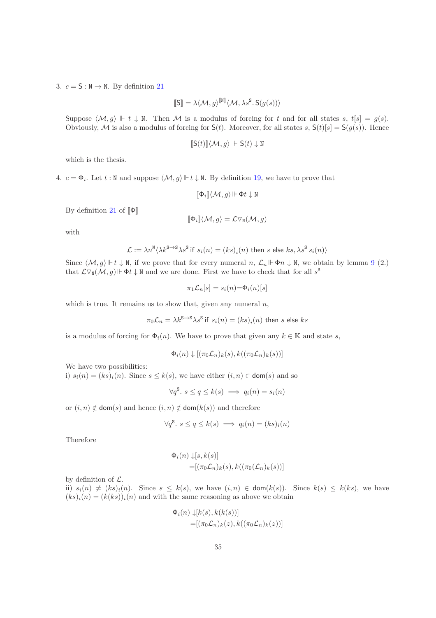3.  $c = S : N \rightarrow N$ . By definition [21](#page-33-0)

$$
[\![\mathsf{S}]\!] = \lambda \langle \mathcal{M}, g \rangle^{[\![\mathbb{N}]\!]} \langle \mathcal{M}, \lambda s^{\mathsf{S}}.\, \mathsf{S}(g(s)) \rangle
$$

Suppose  $\langle \mathcal{M}, g \rangle \Vdash t \downarrow N$ . Then M is a modulus of forcing for t and for all states s,  $t[s] = g(s)$ . Obviously, M is also a modulus of forcing for  $S(t)$ . Moreover, for all states s,  $S(t)[s] = S(g(s))$ . Hence

$$
\llbracket \mathsf{S}(t) \rrbracket \langle \mathcal{M}, g \rangle \Vdash \mathsf{S}(t) \downarrow \mathbb{N}
$$

which is the thesis.

4.  $c = \Phi_i$ . Let  $t : \mathbb{N}$  and suppose  $\langle \mathcal{M}, g \rangle \Vdash t \downarrow \mathbb{N}$ . By definition [19,](#page-26-0) we have to prove that

$$
[\![\Phi_i]\!]\langle \mathcal{M},g\rangle\!\Vdash\!\Phi t\downarrow\text{N}
$$

By definition [21](#page-33-0) of  $[\![\Phi]\!]$ 

$$
[\![\Phi_i]\!]\langle {\mathcal M},g\rangle={\mathcal L}\triangledown_{\mathtt{N}}({\mathcal M},g)
$$

with

$$
\mathcal{L}:=\lambda n^{\text{N}}\langle \lambda k^{\text{S}\rightarrow \text{S}}\lambda s^{\text{S}} \text{ if } s_i(n)=(ks)_i(n) \text{ then } s \text{ else } ks, \lambda s^{\text{S}}s_i(n)\rangle
$$

Since  $\langle \mathcal{M}, g \rangle \Vdash t \downarrow \mathbb{N}$ , if we prove that for every numeral  $n, \mathcal{L}_n \Vdash \Phi_n \downarrow \mathbb{N}$ , we obtain by lemma [9](#page-30-0) (2.) that  $\mathcal{L} \nabla_{\mathbb{N}}(\mathcal{M}, g) \Vdash \Phi t \downarrow \mathbb{N}$  and we are done. First we have to check that for all  $s^{\mathbb{S}}$ 

$$
\pi_1 \mathcal{L}_n[s] = s_i(n) = \Phi_i(n)[s]
$$

which is true. It remains us to show that, given any numeral  $n$ ,

$$
\pi_0 \mathcal{L}_n = \lambda k^{\text{S} \rightarrow \text{S}} \lambda s^{\text{S}} \text{ if } s_i(n) = \left( k s \right)_i(n) \text{ then } s \text{ else } ks
$$

is a modulus of forcing for  $\Phi_i(n)$ . We have to prove that given any  $k \in \mathbb{K}$  and state s,

$$
\Phi_i(n) \downarrow [(\pi_0 \mathcal{L}_n)_k(s), k((\pi_0 \mathcal{L}_n)_k(s))]
$$

We have two possibilities:

i)  $s_i(n) = (ks)_i(n)$ . Since  $s \leq k(s)$ , we have either  $(i, n) \in \text{dom}(s)$  and so

$$
\forall q^{\mathsf{S}}.\ s \le q \le k(s) \implies q_i(n) = s_i(n)
$$

or  $(i, n) \notin \text{dom}(s)$  and hence  $(i, n) \notin \text{dom}(k(s))$  and therefore

$$
\forall q^{\mathsf{S}}.\ s \le q \le k(s) \implies q_i(n) = (ks)_i(n)
$$

Therefore

$$
\Phi_i(n) \downarrow [s, k(s)]
$$
  
=
$$
[(\pi_0 \mathcal{L}_n)_k(s), k((\pi_0(\mathcal{L}_n)_k(s)))]
$$

by definition of  $\mathcal{L}$ .

ii)  $s_i(n) \neq (ks)_i(n)$ . Since  $s \leq k(s)$ , we have  $(i, n) \in \text{dom}(k(s))$ . Since  $k(s) \leq k(ks)$ , we have  $(ks)<sub>i</sub>(n) = (k(ks))<sub>i</sub>(n)$  and with the same reasoning as above we obtain

$$
\Phi_i(n) \downarrow [k(s), k(k(s))]
$$
  
=
$$
[(\pi_0 \mathcal{L}_n)_k(z), k((\pi_0 \mathcal{L}_n)_k(z))]
$$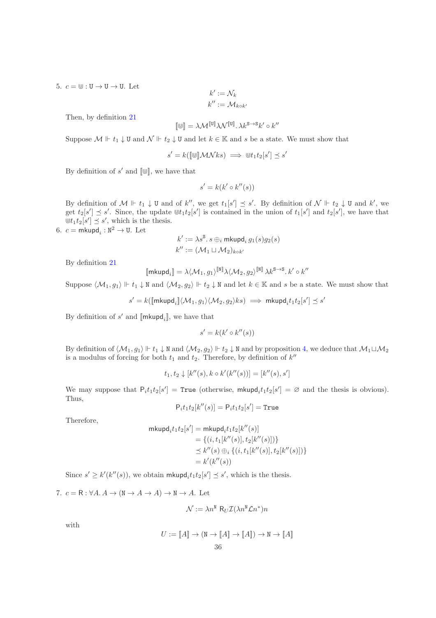5.  $c = \mathbb{U}: \mathbb{U} \to \mathbb{U} \to \mathbb{U}$ . Let

$$
k' := \mathcal{N}_k
$$

$$
k'':= \mathcal{M}_{k \circ k'}
$$

Then, by definition [21](#page-33-0)

$$
[\![\uplus]\!] = \lambda \mathcal{M}^{[\![\mathbb{U}]\!]} \lambda \mathcal{N}^{[\![\mathbb{U}]\!]}.\, \lambda k^{\mathbf{S} \rightarrow \mathbf{S}} k'\circ k''
$$

Suppose  $\mathcal{M} \Vdash t_1 \downarrow \mathbf{U}$  and  $\mathcal{N} \Vdash t_2 \downarrow \mathbf{U}$  and let  $k \in \mathbb{K}$  and s be a state. We must show that

$$
s' = k([\![\mathbf{w}]\!] \mathcal{MN}ks) \implies \mathbf{w}t_1t_2[s'] \preceq s'
$$

By definition of  $s'$  and  $[\![\mathbb{U}]\!]$ , we have that

$$
s' = k(k' \circ k''(s))
$$

By definition of  $\mathcal{M} \Vdash t_1 \downarrow \mathbf{U}$  and of  $k''$ , we get  $t_1[s'] \preceq s'$ . By definition of  $\mathcal{N} \Vdash t_2 \downarrow \mathbf{U}$  and  $k'$ , we get  $t_2[s'] \preceq s'$ . Since, the update  $\mathbb{U}[t_1 t_2[s']$  is contained in the union of  $t_1[s']$  and  $t_2[s']$ , we have that  $\biguplus t_1 t_2[s'] \preceq s'$ , which is the thesis.

6.  $c = \mathsf{mkupd}_i : \mathbb{N}^2 \to \mathbb{U}$ . Let

$$
k' := \lambda s^{\mathbb{S}} \cdot s \oplus_i \text{mkupd}_i g_1(s) g_2(s)
$$
  

$$
k'' := (\mathcal{M}_1 \sqcup \mathcal{M}_2)_{k \circ k'}
$$

By definition [21](#page-33-0)

$$
[\![\mathsf{mkupd}_i]\!] = \lambda \langle \mathcal{M}_1, g_1 \rangle^{[\![\mathbb{N}]\!]} \lambda \langle \mathcal{M}_2, g_2 \rangle^{[\![\mathbb{N}]\!]} \, \lambda k^{\mathbf{S} \rightarrow \mathbf{S}}.\, k' \circ k''
$$

Suppose  $\langle \mathcal{M}_1, g_1 \rangle \Vdash t_1 \downarrow \mathbb{N}$  and  $\langle \mathcal{M}_2, g_2 \rangle \Vdash t_2 \downarrow \mathbb{N}$  and let  $k \in \mathbb{K}$  and s be a state. We must show that

$$
s' = k([\![\mathsf{mkupd}_i]\!](\mathcal{M}_1,g_1)\langle \mathcal{M}_2,g_2\rangle ks) \implies \mathsf{mkupd}_it_1t_2[s'] \preceq s'
$$

By definition of  $s'$  and  $[\![\mathsf{mkupd}_i]\!]$ , we have that

$$
s' = k(k' \circ k''(s))
$$

By definition of  $\langle \mathcal{M}_1, g_1 \rangle \Vdash t_1 \downarrow \mathbb{N}$  and  $\langle \mathcal{M}_2, g_2 \rangle \Vdash t_2 \downarrow \mathbb{N}$  and by proposition [4,](#page-24-2) we deduce that  $\mathcal{M}_1 \sqcup \mathcal{M}_2$ is a modulus of forcing for both  $t_1$  and  $t_2$ . Therefore, by definition of  $k''$ 

$$
t_1, t_2 \downarrow [k''(s), k \circ k'(k''(s))] = [k''(s), s']
$$

We may suppose that  $P_i t_1 t_2[s'] = \text{True}$  (otherwise,  $\text{mkupd}_i t_1 t_2[s'] = \emptyset$  and the thesis is obvious). Thus,

$$
\mathsf{P}_i t_1 t_2[k''(s)] = \mathsf{P}_i t_1 t_2[s'] = \mathtt{True}
$$

Therefore,

$$
\begin{aligned} \mathsf{mkupd}_i t_1 t_2[s'] & = \mathsf{mkupd}_i t_1 t_2[k''(s)] \\ & = \{ (i, t_1[k''(s)], t_2[k''(s)]) \} \\ & \preceq k''(s) \oplus_i \{ (i, t_1[k''(s)], t_2[k''(s)]) \} \\ & = k'(k''(s)) \end{aligned}
$$

Since  $s' \ge k'(k''(s))$ , we obtain mkupd<sub>i</sub> $t_1t_2[s'] \preceq s'$ , which is the thesis.

7.  $c = \mathsf{R} : \forall A \colon A \to (\mathsf{N} \to A \to A) \to \mathsf{N} \to A$ . Let

$$
\mathcal{N} := \lambda n^{\text{N}} \, R_U \mathcal{I}(\lambda n^{\text{N}} \mathcal{L} n^*) n
$$

with

$$
U:=\llbracket A\rrbracket\to (\mathtt{N}\to\llbracket A\rrbracket\to\llbracket A\rrbracket)\to \mathtt{N}\to \llbracket A\rrbracket
$$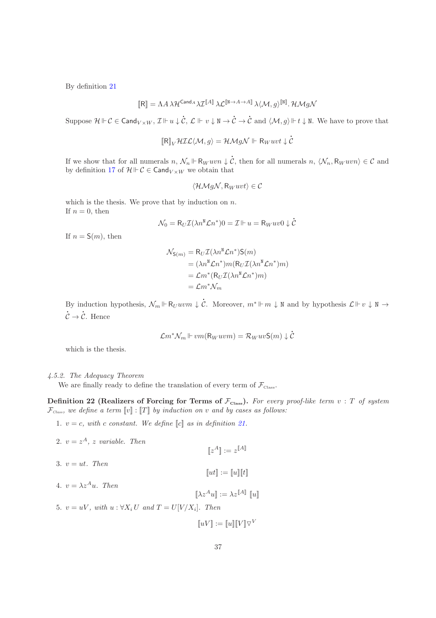By definition [21](#page-33-0)

$$
[\![ \mathsf{R} ]\!] = \Lambda A \, \lambda \mathcal{H}^{\mathsf{Cand}_A} \lambda \mathcal{I}^{[\![ A ]\!]}\, \lambda \mathcal{L}^{[\![ \mathsf{N} \rightarrow A \rightarrow A ]\!]}\, \lambda \langle \mathcal{M}, g \rangle^{[\![ \mathsf{N} ]\!]}.\, \mathcal{H} \mathcal{M} g \mathcal{N}
$$

 $\text{Suppose } \mathcal{H} \Vdash \mathcal{C} \in \mathsf{Cand}_{V \times W}, \, \mathcal{I} \Vdash u \downarrow \dot{\mathcal{C}}, \, \mathcal{L} \Vdash v \downarrow \mathbb{N} \rightarrow \dot{\mathcal{C}}$  ${\cal C} \rightarrow$  $\dot{\mathcal{C}}$  and  $\langle \mathcal{M}, g \rangle \Vdash t \downarrow \mathbb{N}$ . We have to prove that

$$
[\![R]\!]_V \mathcal{HIL}\langle \mathcal{M}, g \rangle = \mathcal{H}\mathcal{M}g\mathcal{N} \Vdash R_W uvt \downarrow c
$$

l

l

If we show that for all numerals  $n, \mathcal{N}_n \Vdash R_W u v n \downarrow \dot{C}$ , then for all numerals  $n, \langle \mathcal{N}_n, R_W u v n \rangle \in \mathcal{C}$  and by definition [17](#page-25-2) of  $\mathcal{H} \Vdash \mathcal{C} \in \mathsf{Cand}_{V \times W}$  we obtain that

$$
\langle \mathcal{HM}g\mathcal{N}, R_{W}uvt \rangle \in \mathcal{C}
$$

which is the thesis. We prove that by induction on  $n$ . If  $n = 0$ , then

$$
\mathcal{N}_0 = R_U \mathcal{I}(\lambda n^{\text{N}} \mathcal{L} n^*) 0 = \mathcal{I} \Vdash u = R_W u v 0 \downarrow \dot{\mathcal{C}}
$$

If  $n = S(m)$ , then

$$
\mathcal{N}_{S(m)} = R_U \mathcal{I}(\lambda n^N \mathcal{L} n^*) S(m)
$$
  
=  $(\lambda n^N \mathcal{L} n^*) m (R_U \mathcal{I}(\lambda n^N \mathcal{L} n^*) m)$   
=  $\mathcal{L} m^* (R_U \mathcal{I}(\lambda n^N \mathcal{L} n^*) m)$   
=  $\mathcal{L} m^* \mathcal{N}_m$ 

By induction hypothesis,  $\mathcal{N}_m \Vdash \mathsf{R}_U u v m \downarrow \dot{\mathcal{C}}$ . Moreover,  $m^* \Vdash m \downarrow \mathbb{N}$  and by hypothesis  $\mathcal{L} \Vdash v \downarrow \mathbb{N} \rightarrow$ l  ${\cal C} \rightarrow$ l C. Hence

$$
\mathcal{L}m^*\mathcal{N}_m \Vdash v m(\mathsf{R}_W u v m) = \mathcal{R}_W u v \mathsf{S}(m) \downarrow \dot{\mathcal{C}}
$$

which is the thesis.

## 4.5.2. The Adequacy Theorem

We are finally ready to define the translation of every term of  $\mathcal{F}_{\text{Class}}$ .

Definition 22 (Realizers of Forcing for Terms of  $\mathcal{F}_{\text{Class}}$ ). For every proof-like term  $v : T$  of system  $\mathcal{F}_{\text{Class}}$ , we define a term  $[v] : [T]$  by induction on v and by cases as follows:

1.  $v = c$ , with c constant. We define  $\llbracket c \rrbracket$  as in definition [21.](#page-33-0)

\n- 2. 
$$
v = z^A
$$
,  $z$  variable. Then
\n- $[z^A] := z^{[A]}$
\n- 3.  $v = ut$ . Then
\n- $[ut] := [u][t]$
\n- 4.  $v = \lambda z^A u$ . Then
\n- $[\![\lambda z^A u]\!] := \lambda z^{[A]}\![u]\!]$
\n- 5.  $v = uV$ , with  $u : \forall X_i U$  and  $T = U[V/X_i]$ . Then
\n

 $\llbracket uV \rrbracket := \llbracket u \rrbracket \llbracket V \rrbracket \triangledown^V$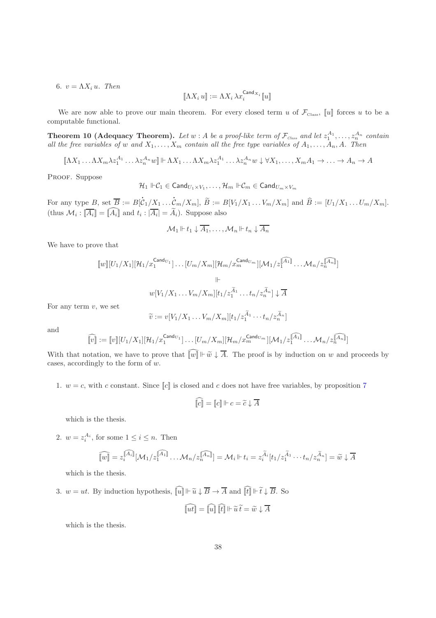6.  $v = \Lambda X_i u$ . Then

<span id="page-38-0"></span>
$$
[\![\Lambda X_i\,u]\!]:= \Lambda X_i\,\lambda x_i^{\mathsf{Cand}_X}{}_i\, [\![u]\!]
$$

We are now able to prove our main theorem. For every closed term u of  $\mathcal{F}_{\text{Class}}$ , [u] forces u to be a computable functional.

**Theorem 10 (Adequacy Theorem).** Let  $w : A$  be a proof-like term of  $\mathcal{F}_{\text{Class}}$  and let  $z_1^{A_1}, \ldots, z_n^{A_n}$  contain all the free variables of w and  $X_1, \ldots, X_m$  contain all the free type variables of  $A_1, \ldots, A_n, A$ . Then

 $[\![\Lambda X_1 \ldots \Lambda X_m \lambda z_1^{A_1} \ldots \lambda z_n^{A_n} w]\!] \vdash \Lambda X_1 \ldots \Lambda X_m \lambda z_1^{A_1} \ldots \lambda z_n^{A_n} w \downarrow \forall X_1, \ldots, X_m A_1 \rightarrow \ldots \rightarrow A_n \rightarrow A_n$ 

PROOF. Suppose

$$
\mathcal{H}_1 \Vdash \mathcal{C}_1 \in \mathsf{Cand}_{U_1 \times V_1}, \ldots, \mathcal{H}_m \Vdash \mathcal{C}_m \in \mathsf{Cand}_{U_m \times V_m}
$$

For any type  $B$ , set  $B := B$ l  ${\mathcal C}_1/X_1\ldots$ l  $\mathcal{C}_{m}/X_{m}], B := B[V_{1}/X_{1} \ldots V_{m}/X_{m}]$  and  $B := [U_{1}/X_{1} \ldots U_{m}/X_{m}].$ (thus  $\mathcal{M}_i : [A_i] = [A_i]$  and  $t_i : |A_i| = A_i$ ). Suppose also

$$
\mathcal{M}_1 \Vdash t_1 \downarrow \overline{A_1}, \ldots, \mathcal{M}_n \Vdash t_n \downarrow \overline{A_n}
$$

We have to prove that

$$
[w][U_1/X_1][\mathcal{H}_1/x_1^{\text{Cand}_{U_1}}] \dots [U_m/X_m][\mathcal{H}_m/x_m^{\text{Cand}_{U_m}}][\mathcal{M}_1/x_1^{\widehat{[A_1]}} \dots \mathcal{M}_n/z_n^{\widehat{[A_n]}}]
$$
  
 
$$
\Vdash
$$

$$
w[V_1/X_1 \dots V_m/X_m][t_1/z_1^{\widetilde{A}_1} \dots t_n/z_n^{\widetilde{A}_n}] \downarrow \overline{A}
$$

For any term  $v$ , we set

$$
\widetilde{v} := v[V_1/X_1 \dots V_m/X_m][t_1/z_1^{\widetilde{A}_1} \cdots t_n/z_n^{\widetilde{A}_n}]
$$

and

$$
\widehat{[\![v]\!]}:= [\![v]\!][U_1/X_1][\mathcal{H}_1/x_1^{\operatorname{Cand}_{U_1}}]\dots [U_m/X_m][\mathcal{H}_m/x_m^{\operatorname{Cand}_{U_m}}][\mathcal{M}_1/z_1^{\widehat{[\![A_1]\!]}}\dots \mathcal{M}_n/z_n^{\widehat{[\![A_n]\!]}}]
$$

With that notation, we have to prove that  $\widehat{[w]} \Vdash \widetilde{w} \downarrow \overline{A}$ . The proof is by induction on w and proceeds by cases, accordingly to the form of w.

1.  $w = c$ , with c constant. Since  $\llbracket c \rrbracket$  is closed and c does not have free variables, by proposition [7](#page-34-0)

$$
\widehat{[c]} = [c] \Vdash c = \widetilde{c} \downarrow \overline{A}
$$

which is the thesis.

2.  $w = z_i^{A_i}$ , for some  $1 \le i \le n$ . Then

$$
\widehat{[w]} = z_i^{\widehat{[A_i]}}[\mathcal{M}_1/z_1^{\widehat{[A_1]}}\dots\mathcal{M}_n/z_n^{\widehat{[A_n]}}] = \mathcal{M}_i \Vdash t_i = z_i^{\widetilde{A}_i}[t_1/z_1^{\widetilde{A}_1}\cdots t_n/z_n^{\widetilde{A}_n}] = \widetilde{w} \downarrow \overline{A}
$$

which is the thesis.

3.  $w = ut$ . By induction hypothesis,  $\widehat{[u]} \Vdash \widetilde{u} \downarrow \overline{B} \to \overline{A}$  and  $\widehat{[t]} \Vdash \widetilde{t} \downarrow \overline{B}$ . So

$$
\widehat{[ut]} = \widehat{[u]} \widehat{[t]} \Vdash \widetilde{u}\,\widetilde{t} = \widetilde{w}\downarrow \overline{A}
$$

which is the thesis.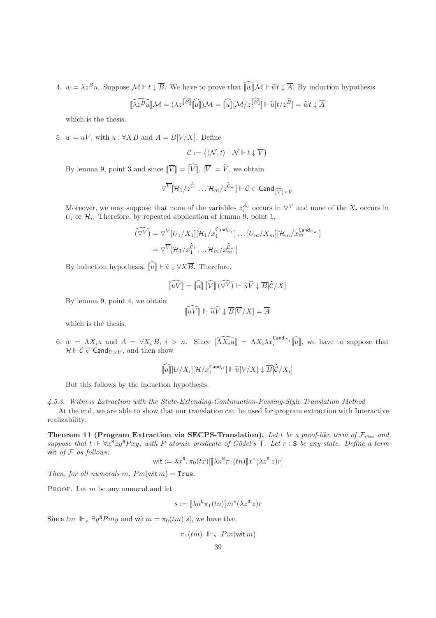4.  $w = \lambda z^B u$ . Suppose  $\mathcal{M} \Vdash t \downarrow \overline{B}$ . We have to prove that  $\widehat{[w]} \mathcal{M} \Vdash \widetilde{w} t \downarrow \overline{A}$ . By induction hypothesis

$$
\widehat{\llbracket \lambda z^B u \rrbracket} \mathcal{M} = (\lambda z^{\widehat{\llbracket B \rrbracket} \widehat{\llbracket u \rrbracket}) \mathcal{M} = \widehat{\llbracket u \rrbracket} [\mathcal{M}/z^{\widehat{\llbracket B \rrbracket}}] \Vdash \widetilde{u}[t/z^{\widetilde{B}}] = \widetilde{w} t\downarrow \overline{A}
$$

which is the thesis.

5.  $w = uV$ , with  $u : \forall XB \text{ and } A = B[V/X]$ . Define

$$
\mathcal{C}:=\{\langle \mathcal{N},t\rangle \mid \mathcal{N}\Vdash t\downarrow \overline{V}\}
$$

By lemma [9,](#page-30-0) point 3 and since  $\widehat{[V]} = \widehat{[V]}$ ,  $\widehat{|V|} = \widetilde{V}$ , we obtain

$$
\triangledown^{\overline{V}}[\mathcal{H}_1/z^{\dot{C}_1}\ldots \mathcal{H}_m/z^{\dot{C}_m}]\Vdash \mathcal{C}\in \mathsf{Cand}_{\widehat{\llbracket \widehat{V}\rrbracket}\times \widetilde{V}}
$$

Moreover, we may suppose that none of the variables  $z_i^{\tilde{A}_i}$  occurs in  $\nabla^V$  and none of the  $X_i$  occurs in  $U_i$  or  $\mathcal{H}_i$ . Therefore, by repeated application of lemma [9,](#page-30-0) point 1,

$$
\widehat{(\nabla^V)} = \nabla^V [U_1/X_1][\mathcal{H}_1/x_1^{\text{Cand}_{U_1}}] \dots [U_m/X_m][\mathcal{H}_m/x_m^{\text{Cand}_{U_m}}]
$$
  
= 
$$
\nabla^{\overline{V}} [\mathcal{H}_1/x_1^{\dot{C}_1} \dots \mathcal{H}_m/x_m^{\dot{C}_m}]
$$

By induction hypothesis,  $\widehat{[u]} \Vdash \widetilde{u} \downarrow \forall X \overline{B}$ . Therefore,

$$
\widehat{[\![uV]\!]} = \widehat{[\![u]\!]} \, \widehat{[\![V]\!]} \, \widehat{(\nabla^V)} \Vdash \widetilde{uV} \downarrow \overline{B} \big[\dot{\mathcal{C}}/X\big]
$$

By lemma [9,](#page-30-0) point 4, we obtain

$$
\widehat{[\![uV]\!]} \Vdash \widetilde{uV} \downarrow \overline{B}[\overline{V}/X] = \overline{A}
$$

which is the thesis.

6.  $w = \Lambda X_i u$  and  $A = \forall X_i B, i > n$ . Since  $\widehat{[\Lambda X_i u]} = \Lambda X_i \lambda x_i^{\text{Card }X_i} \widehat{[u]}$ , we have to suppose that  $\mathcal{H} \Vdash \mathcal{C} \in \mathsf{Cand}_{U \times V}$ , and then show

$$
\widehat{[\![u]\!]}[U/X_i][\mathcal{H}/x_i^{\mathsf{Cand}U}]\Vdash \widetilde{u}[V/X]\downarrow \overline{B}[\mathcal{C}/X_i]
$$

But this follows by the induction hypothesis.

4.5.3. Witness Extraction with the State-Extending-Continuation-Passing-Style Translation Method At the end, we are able to show that our translation can be used for program extraction with Interactive realizability.

Theorem 11 (Program Extraction via SECPS-Translation). Let t be a proof-like term of  $\mathcal{F}_{Class}$  and suppose that  $t \Vdash \forall x^{\overline{M}} \exists y^{\overline{N}} Pxy$ , with P atomic predicate of Gödel's  $\overline{T}$ . Let  $r : S$  be any state. Define a term wit of  $F$  as follows:

$$
\text{wit}:=\lambda x^{\text{N}}.\,\pi_0(tx)[[\![\lambda n^{\text{N}}\pi_1(tn)]\!]x^*(\lambda z^{\text{S}}\,z)r]
$$

Then, for all numerals m,  $Pm(\text{wit }m) = \text{True}$ .

PROOF. Let  $m$  be any numeral and let

$$
s := [\![\lambda n^{\mathrm{N}} \pi_1(tn)]\!] m^*(\lambda z^{\mathrm{S}} z) r
$$

Since  $tm \Vdash_s \exists y^N Pmy$  and wit  $m = \pi_0(tm)[s]$ , we have that

 $\pi_1(tm)$   $\parallel$   $\vdash$   $Pm(\text{wit } m)$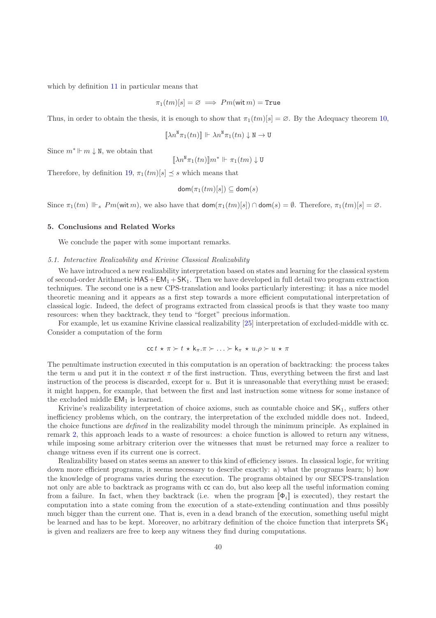which by definition [11](#page-12-0) in particular means that

$$
\pi_1(tm)[s] = \varnothing \implies Pm(\text{wit } m) = \text{True}
$$

Thus, in order to obtain the thesis, it is enough to show that  $\pi_1(tm)[s] = \emptyset$ . By the Adequacy theorem [10,](#page-38-0)

$$
\llbracket \lambda n^{\mathsf{N}} \pi_1(tn) \rrbracket \Vdash \lambda n^{\mathsf{N}} \pi_1(tn) \downarrow \mathsf{N} \to \mathsf{U}
$$

Since  $m^* \Vdash m \downarrow \mathbb{N}$ , we obtain that

$$
[\![\lambda n^{\mathtt{N}}\pi_1(tn)]\!]m^*\Vdash\pi_1(tm)\downarrow\mathtt{U}
$$

Therefore, by definition [19,](#page-26-0)  $\pi_1(tm)[s] \prec s$  which means that

$$
\mathsf{dom}(\pi_1(tm)[s]) \subseteq \mathsf{dom}(s)
$$

Since  $\pi_1(tm) \Vdash_s Pm(\text{wit }m)$ , we also have that  $\text{dom}(\pi_1(tm)[s]) \cap \text{dom}(s) = \emptyset$ . Therefore,  $\pi_1(tm)[s] = \emptyset$ .

#### <span id="page-40-0"></span>5. Conclusions and Related Works

We conclude the paper with some important remarks.

#### 5.1. Interactive Realizability and Krivine Classical Realizability

We have introduced a new realizability interpretation based on states and learning for the classical system of second-order Arithmetic  $HAS + EM_1 + SK_1$ . Then we have developed in full detail two program extraction techniques. The second one is a new CPS-translation and looks particularly interesting: it has a nice model theoretic meaning and it appears as a first step towards a more efficient computational interpretation of classical logic. Indeed, the defect of programs extracted from classical proofs is that they waste too many resources: when they backtrack, they tend to "forget" precious information.

For example, let us examine Krivine classical realizability [\[25\]](#page-52-2) interpretation of excluded-middle with cc. Consider a computation of the form

$$
\mathsf{cc}\, t \, \star \, \pi \succ t \, \star \, \mathsf{k}_{\pi}.\pi \succ \ldots \succ \mathsf{k}_{\pi} \, \star \, u.\rho \succ u \, \star \, \pi
$$

The penultimate instruction executed in this computation is an operation of backtracking: the process takes the term u and put it in the context  $\pi$  of the first instruction. Thus, everything between the first and last instruction of the process is discarded, except for  $u$ . But it is unreasonable that everything must be erased; it might happen, for example, that between the first and last instruction some witness for some instance of the excluded middle EM<sup>1</sup> is learned.

Krivine's realizability interpretation of choice axioms, such as countable choice and  $SK<sub>1</sub>$ , suffers other inefficiency problems which, on the contrary, the interpretation of the excluded middle does not. Indeed, the choice functions are *defined* in the realizability model through the minimum principle. As explained in remark [2,](#page-10-1) this approach leads to a waste of resources: a choice function is allowed to return any witness, while imposing some arbitrary criterion over the witnesses that must be returned may force a realizer to change witness even if its current one is correct.

Realizability based on states seems an answer to this kind of efficiency issues. In classical logic, for writing down more efficient programs, it seems necessary to describe exactly: a) what the programs learn; b) how the knowledge of programs varies during the execution. The programs obtained by our SECPS-translation not only are able to backtrack as programs with cc can do, but also keep all the useful information coming from a failure. In fact, when they backtrack (i.e. when the program  $[\![\Phi_i]\!]$  is executed), they restart the computation into a state coming from the execution of a state-extending continuation and thus possibly much bigger than the current one. That is, even in a dead branch of the execution, something useful might be learned and has to be kept. Moreover, no arbitrary definition of the choice function that interprets  $SK<sub>1</sub>$ is given and realizers are free to keep any witness they find during computations.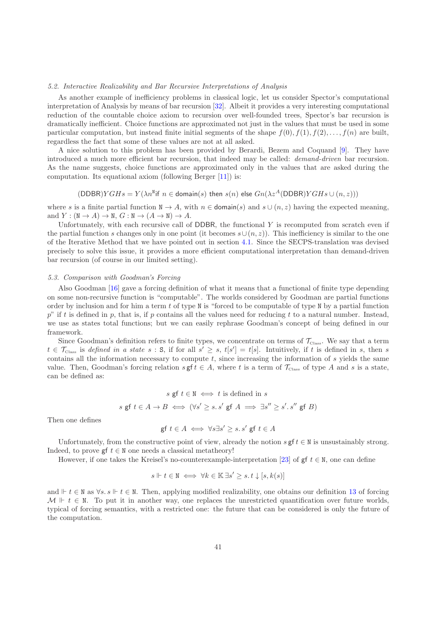#### 5.2. Interactive Realizability and Bar Recursive Interpretations of Analysis

As another example of inefficiency problems in classical logic, let us consider Spector's computational interpretation of Analysis by means of bar recursion [\[32](#page-52-0)]. Albeit it provides a very interesting computational reduction of the countable choice axiom to recursion over well-founded trees, Spector's bar recursion is dramatically inefficient. Choice functions are approximated not just in the values that must be used in some particular computation, but instead finite initial segments of the shape  $f(0), f(1), f(2), \ldots, f(n)$  are built, regardless the fact that some of these values are not at all asked.

A nice solution to this problem has been provided by Berardi, Bezem and Coquand [\[9](#page-51-4)]. They have introduced a much more efficient bar recursion, that indeed may be called: demand-driven bar recursion. As the name suggests, choice functions are approximated only in the values that are asked during the computation. Its equational axiom (following Berger [\[11\]](#page-51-13)) is:

## $(DDBR)YGHs = Y(\lambda n^N \text{ if } n \in \text{domain}(s) \text{ then } s(n) \text{ else } Gn(\lambda z^A(DDBR)YGHs \cup (n,z)))$

where s is a finite partial function  $N \to A$ , with  $n \in \text{domain}(s)$  and  $s \cup (n, z)$  having the expected meaning, and  $Y : (\mathbb{N} \to A) \to \mathbb{N}, G : \mathbb{N} \to (A \to \mathbb{N}) \to A$ .

Unfortunately, with each recursive call of DDBR, the functional  $Y$  is recomputed from scratch even if the partial function s changes only in one point (it becomes  $s \cup (n, z)$ ). This inefficiency is similar to the one of the Iterative Method that we have pointed out in section [4.1.](#page-21-1) Since the SECPS-translation was devised precisely to solve this issue, it provides a more efficient computational interpretation than demand-driven bar recursion (of course in our limited setting).

#### 5.3. Comparison with Goodman's Forcing

Also Goodman [\[16\]](#page-51-14) gave a forcing definition of what it means that a functional of finite type depending on some non-recursive function is "computable". The worlds considered by Goodman are partial functions order by inclusion and for him a term  $t$  of type N is "forced to be computable of type N by a partial function  $p^{\prime\prime}$  if t is defined in p, that is, if p contains all the values need for reducing t to a natural number. Instead, we use as states total functions; but we can easily rephrase Goodman's concept of being defined in our framework.

Since Goodman's definition refers to finite types, we concentrate on terms of  $\mathcal{T}_{\text{Class}}$ . We say that a term  $t \in \mathcal{T}_{\text{Class}}$  is defined in a state  $s : S$ , if for all  $s' \geq s$ ,  $t[s'] = t[s]$ . Intuitively, if t is defined in s, then s contains all the information necessary to compute  $t$ , since increasing the information of  $s$  yields the same value. Then, Goodman's forcing relation  $s \in A$ , where t is a term of  $\mathcal{T}_{\text{Class}}$  of type A and s is a state, can be defined as:

$$
s \text{ gf } t \in \mathbb{N} \iff t \text{ is defined in } s
$$
  

$$
s \text{ gf } t \in A \to B \iff (\forall s' \ge s. s' \text{ gf } A \implies \exists s'' \ge s'. s'' \text{ gf } B)
$$

Then one defines

$$
\text{gf } t \in A \iff \forall s \exists s' \ge s. \ s' \ \text{gf } t \in A
$$

Unfortunately, from the constructive point of view, already the notion s gf  $t \in N$  is unsustainably strong. Indeed, to prove gf  $t \in \mathbb{N}$  one needs a classical metatheory!

However, if one takes the Kreisel's no-counterexample-interpretation [\[23\]](#page-52-4) of gf  $t \in N$ , one can define

$$
s \Vdash t \in \mathbb{N} \iff \forall k \in \mathbb{K} \, \exists s' \geq s. \, t \downarrow [s, k(s)]
$$

and  $\mathbb{F} t \in \mathbb{N}$  as  $\forall s. s \mathbb{F} t \in \mathbb{N}$ . Then, applying modified realizability, one obtains our definition [13](#page-23-0) of forcing  $\mathcal{M} \Vdash t \in \mathbb{N}$ . To put it in another way, one replaces the unrestricted quantification over future worlds, typical of forcing semantics, with a restricted one: the future that can be considered is only the future of the computation.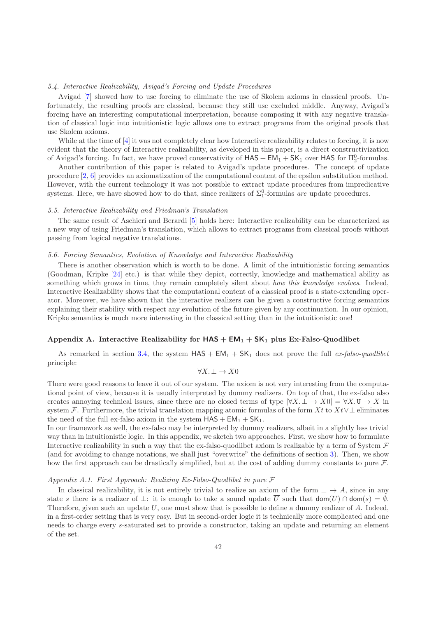#### 5.4. Interactive Realizability, Avigad's Forcing and Update Procedures

Avigad [\[7](#page-51-15)] showed how to use forcing to eliminate the use of Skolem axioms in classical proofs. Unfortunately, the resulting proofs are classical, because they still use excluded middle. Anyway, Avigad's forcing have an interesting computational interpretation, because composing it with any negative translation of classical logic into intuitionistic logic allows one to extract programs from the original proofs that use Skolem axioms.

While at the time of [\[4\]](#page-51-5) it was not completely clear how Interactive realizability relates to forcing, it is now evident that the theory of Interactive realizability, as developed in this paper, is a direct constructivization of Avigad's forcing. In fact, we have proved conservativity of  $HAS + EM_1 + SK_1$  over  $HAS$  for  $\Pi_2^0$ -formulas.

Another contribution of this paper is related to Avigad's update procedures. The concept of update procedure [\[2,](#page-51-9) [6](#page-51-6)] provides an axiomatization of the computational content of the epsilon substitution method. However, with the current technology it was not possible to extract update procedures from impredicative systems. Here, we have showed how to do that, since realizers of  $\Sigma_1^0$ -formulas are update procedures.

#### 5.5. Interactive Realizability and Friedman's Translation

The same result of Aschieri and Berardi [\[5](#page-51-16)] holds here: Interactive realizability can be characterized as a new way of using Friedman's translation, which allows to extract programs from classical proofs without passing from logical negative translations.

#### 5.6. Forcing Semantics, Evolution of Knowledge and Interactive Realizability

There is another observation which is worth to be done. A limit of the intuitionistic forcing semantics (Goodman, Kripke [\[24](#page-52-9)] etc.) is that while they depict, correctly, knowledge and mathematical ability as something which grows in time, they remain completely silent about how this knowledge evolves. Indeed, Interactive Realizability shows that the computational content of a classical proof is a state-extending operator. Moreover, we have shown that the interactive realizers can be given a constructive forcing semantics explaining their stability with respect any evolution of the future given by any continuation. In our opinion, Kripke semantics is much more interesting in the classical setting than in the intuitionistic one!

## <span id="page-42-0"></span>Appendix A. Interactive Realizability for  $HAS + EM_1 + SK_1$  plus Ex-Falso-Quodlibet

As remarked in section [3.4,](#page-15-1) the system  $HAS + EM_1 + SK_1$  does not prove the full ex-falso-quodlibet principle:

## $\forall X \colon \bot \to X0$

There were good reasons to leave it out of our system. The axiom is not very interesting from the computational point of view, because it is usually interpreted by dummy realizers. On top of that, the ex-falso also creates annoying technical issues, since there are no closed terms of type  $|\forall X \perp \rightarrow X0| = \forall X \perp \cup \rightarrow X$  in system F. Furthermore, the trivial translation mapping atomic formulas of the form Xt to  $Xt \vee \bot$  eliminates the need of the full ex-falso axiom in the system  $HAS + EM_1 + SK_1$ .

In our framework as well, the ex-falso may be interpreted by dummy realizers, albeit in a slightly less trivial way than in intuitionistic logic. In this appendix, we sketch two approaches. First, we show how to formulate Interactive realizability in such a way that the ex-falso-quodlibet axiom is realizable by a term of System  $\mathcal F$ (and for avoiding to change notations, we shall just "overwrite" the definitions of section [3\)](#page-10-0). Then, we show how the first approach can be drastically simplified, but at the cost of adding dummy constants to pure  $\mathcal{F}$ .

#### <span id="page-42-2"></span>Appendix A.1. First Approach: Realizing Ex-Falso-Quodlibet in pure  $\mathcal F$

<span id="page-42-1"></span>In classical realizability, it is not entirely trivial to realize an axiom of the form  $\perp \to A$ , since in any state s there is a realizer of  $\perp$ : it is enough to take a sound update  $\overline{U}$  such that  $\text{dom}(U) \cap \text{dom}(s) = \emptyset$ . Therefore, given such an update  $U$ , one must show that is possible to define a dummy realizer of  $A$ . Indeed, in a first-order setting that is very easy. But in second-order logic it is technically more complicated and one needs to charge every s-saturated set to provide a constructor, taking an update and returning an element of the set.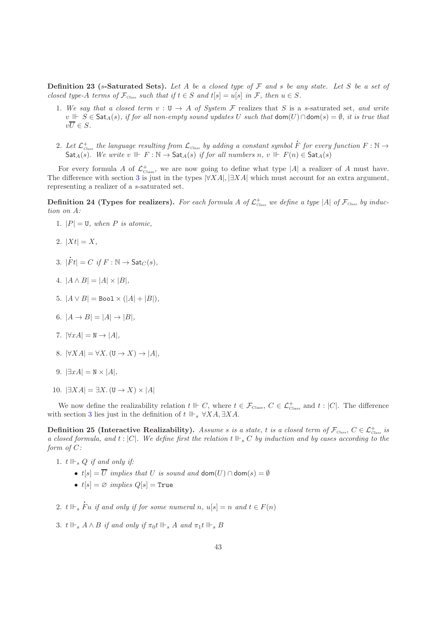**Definition 23** (s-Saturated Sets). Let A be a closed type of  $\mathcal F$  and s be any state. Let S be a set of closed type-A terms of  $\mathcal{F}_{\text{Class}}$  such that if  $t \in S$  and  $t[s] = u[s]$  in  $\mathcal{F}$ , then  $u \in S$ .

- 1. We say that a closed term  $v : U \to A$  of System F realizes that S is a s-saturated set, and write v  $\mathbb{R}$  S ∈ Sat<sub>A</sub>(s), if for all non-empty sound updates U such that  $\text{dom}(U) \cap \text{dom}(s) = \emptyset$ , it is true that  $v\overline{U} \in S$ .
- 2. Let  ${\cal L}^+_{\rm Class}$  the language resulting from  ${\cal L}_{\rm Class}$  by adding a constant symbol  $\bar F$  for every function  $F:{\mathbb N}\to$ Sat<sub>A</sub>(s). We write v  $\mathbb{F} : \mathbb{N} \to$  Sat<sub>A</sub>(s) if for all numbers n, v  $\mathbb{F} F(n) \in$  Sat<sub>A</sub>(s)

l

For every formula A of  $\mathcal{L}^{\dagger}_{\text{Class}}$ , we are now going to define what type |A| a realizer of A must have. The difference with section [3](#page-10-0) is just in the types  $|\forall X A|, |\exists X A|$  which must account for an extra argument, representing a realizer of a s-saturated set.

**Definition 24 (Types for realizers).** For each formula A of  $\mathcal{L}^+_{\text{Class}}$  we define a type |A| of  $\mathcal{F}_{\text{Class}}$  by induction on A:

- 1.  $|P| = \mathbb{U}$ , when P is atomic,
- 2.  $|Xt| = X$ ,
- 3. |  $\dot{F}t| = C \text{ if } F : \mathbb{N} \to \mathsf{Sat}_C(s),$
- 4.  $|A \wedge B| = |A| \times |B|$ ,
- 5.  $|A \vee B|$  = Boo1  $\times (|A| + |B|)$ ,
- 6.  $|A \rightarrow B| = |A| \rightarrow |B|$ ,
- 7.  $|\forall x A| = N \rightarrow |A|$ ,
- 8.  $|\forall X A| = \forall X. (\mathbf{U} \rightarrow X) \rightarrow |A|,$
- 9.  $|\exists xA| = N \times |A|$ ,
- 10.  $|\exists X A| = \exists X. (\mathbf{U} \rightarrow X) \times |A|$

<span id="page-43-0"></span>We now define the realizability relation  $t \Vdash C$ , where  $t \in \mathcal{F}_{\text{Class}}$ ,  $C \in \mathcal{L}^+_{\text{Class}}$  and  $t : |C|$ . The difference with section [3](#page-10-0) lies just in the definition of  $t \Vdash_{\varepsilon} \forall X A, \exists X A$ .

Definition 25 (Interactive Realizability). Assume s is a state, t is a closed term of  $\mathcal{F}_{\textit{Class}},\ C \in \mathcal{L}^+_{\textit{Class}}$  is a closed formula, and  $t : |C|$ . We define first the relation  $t \Vdash_{s} C$  by induction and by cases according to the form of C:

1.  $t \Vdash_s Q$  if and only if:

l

- $t[s] = \overline{U}$  implies that U is sound and dom $(U) \cap$  dom $(s) = \emptyset$
- $t[s] = \varnothing$  implies  $Q[s] = \text{True}$
- 2.  $t \Vdash_s \dot{F}u$  if and only if for some numeral n,  $u[s] = n$  and  $t \in F(n)$
- 3.  $t \Vdash_s A \wedge B$  if and only if  $\pi_0 t \Vdash_s A$  and  $\pi_1 t \Vdash_s B$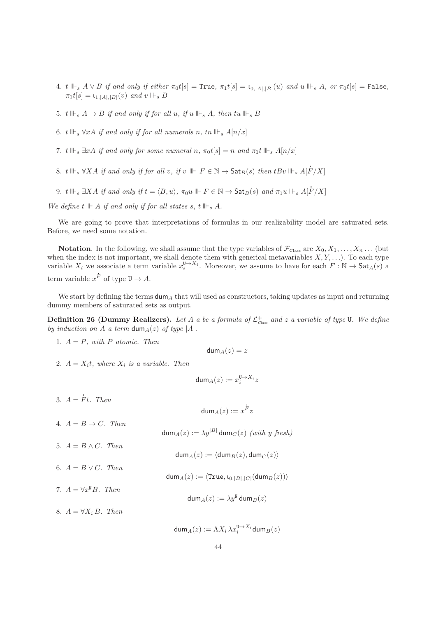- 4. t  $\Vdash_s A \vee B$  if and only if either  $\pi_0 t[s] = \text{True}, \pi_1 t[s] = \iota_{0, |A|, |B|}(u)$  and  $u \Vdash_s A$ , or  $\pi_0 t[s] = \text{False},$  $\pi_1 t[s] = \mathfrak{t}_{1, |A|, |B|}(v)$  and  $v \Vdash_s B$
- 5.  $t \Vdash_s A \to B$  if and only if for all u, if  $u \Vdash_s A$ , then  $tu \Vdash_s B$
- 6. t  $\mathbb{H}_s \forall xA$  if and only if for all numerals n, tn  $\mathbb{H}_s A[n/x]$
- 7. t  $\mathbb{I} \vdash_s \exists x A$  if and only for some numeral n,  $\pi_0 t[s] = n$  and  $\pi_1 t \Vdash_s A[n/x]$
- 8. t  $\mathbb{H}_{s} \forall X A$  if and only if for all v, if  $v \parallel F \in \mathbb{N} \to \mathsf{Sat}_{B}(s)$  then  $tBv \parallel_{s} A[\dot{F}]$  $F/X]$
- 9. t  $\Vdash_s \exists XA$  if and only if  $t = \langle B, u \rangle$ ,  $\pi_0u \Vdash F \in \mathbb{N} \to \mathsf{Sat}_B(s)$  and  $\pi_1u \Vdash_s A[\dot{F}]$  $F/X]$

We define t  $\mathbb{H}$  and only if for all states s, t  $\mathbb{H}$ , A.

We are going to prove that interpretations of formulas in our realizability model are saturated sets. Before, we need some notation.

**Notation.** In the following, we shall assume that the type variables of  $\mathcal{F}_{\text{Class}}$  are  $X_0, X_1, \ldots, X_n \ldots$  (but when the index is not important, we shall denote them with generical metavariables  $X, Y, \ldots$ ). To each type variable  $X_i$  we associate a term variable  $x_i^{\mathsf{U} \to X_i}$ . Moreover, we assume to have for each  $F : \mathbb{N} \to \mathsf{Sat}_A(s)$  a term variable  $x^{\dot{F}}$  of type  $U \to A$ .

We start by defining the terms  $\text{dum}_A$  that will used as constructors, taking updates as input and returning dummy members of saturated sets as output.

**Definition 26 (Dummy Realizers).** Let A a be a formula of  $\mathcal{L}^+_{\text{Class}}$  and z a variable of type U. We define by induction on A a term dum $_A(z)$  of type |A|.

1.  $A = P$ , with P atomic. Then

 $\dim_A(z) = z$ 

2.  $A = X<sub>i</sub>t$ , where  $X<sub>i</sub>$  is a variable. Then

$$
\mathsf{dum}_A(z) := x_i^{\mathtt{U} \to X_i} z
$$

dum $_A(z) := x^{\dot{F}}z$ 

- 3.  $A =$ l Ft. Then
- 4.  $A = B \rightarrow C$ . Then  $\mathsf{dum}_A(z) := \lambda y^{|B|}\, \mathsf{dum}_C(z) \,$   $(with\ y\ fresh)$
- 5.  $A = B \wedge C$ . Then

6.  $A = B \vee C$ . Then

 $\dim_A(z) := \langle \text{dum}_B(z), \text{dum}_C (z) \rangle$ 

- ${\sf dum}_A(z) := \langle {\tt True}, {\sf \mathfrak{t}}_{0,|B|,|C|}({\sf dum}_B(z))\rangle$
- 7.  $A = \forall x^{\mathbb{N}} B$ . Then dum $_A(z) := \lambda y^{\texttt{N}}$  dum $_B(z)$

8.  $A = \forall X_i B$ . Then

 $\mathsf{dum}_A(z) := \Lambda X_i \, \lambda x_i^{\mathtt{U} \rightarrow X_i} \mathsf{dum}_B(z)$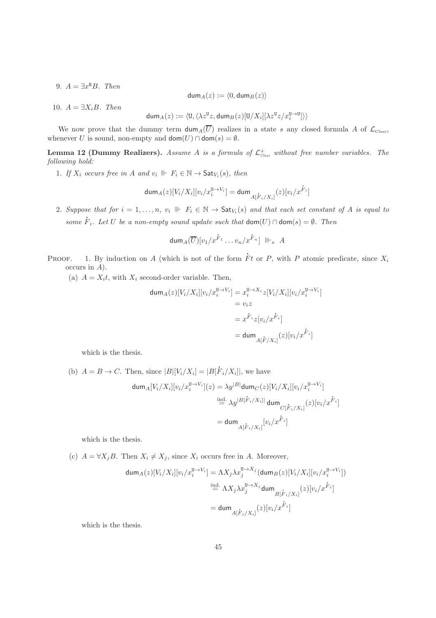9.  $A = \exists x^N B$ . Then

$$
\mathsf{dum}_A(z) := \langle 0, \mathsf{dum}_B(z) \rangle
$$

10.  $A = \exists X_i B$ . Then

$$
\mathsf{dum}_A(z) := \langle \mathsf{U}, \langle \lambda z^\mathsf{U} z, \mathsf{dum}_B(z)[\mathsf{U}/X_i][\lambda z^\mathsf{U} z/x_i^{\mathsf{U} \rightarrow \mathsf{U}}]\rangle\rangle
$$

<span id="page-45-0"></span>We now prove that the dummy term  $\dim_A(\overline{U})$  realizes in a state s any closed formula A of  $\mathcal{L}_{\text{Class}}$ , whenever U is sound, non-empty and  $\text{dom}(U) \cap \text{dom}(s) = \emptyset$ .

**Lemma 12 (Dummy Realizers).** Assume A is a formula of  $\mathcal{L}^+_{\text{Class}}$  without free number variables. The following hold:

1. If  $X_i$  occurs free in A and  $v_i \Vdash F_i \in \mathbb{N} \to \mathsf{Sat}_{V_i}(s)$ , then

$$
\mathrm{dum}_A(z)[V_i/X_i][v_i/x_i^{\mathrm{U}\rightarrow V_i}]=\mathrm{dum}_{A[\overset{\circ}{F}_i/X_i]}(z)[v_i/x^{\overset{\circ}{F}_i}]
$$

2. Suppose that for  $i = 1, ..., n$ ,  $v_i \Vdash F_i \in \mathbb{N} \to \mathsf{Sat}_{V_i}(s)$  and that each set constant of A is equal to some  $F_i$ . Let U be a non-empty sound update such that  $\text{dom}(U) \cap \text{dom}(s) = \emptyset$ . Then

$$
\mathrm{dum}_A(\overline{U})[v_1/x^{\dot{F}_1}\dots v_n/x^{\dot{F}_n}]\ \ \mathbb{I}\vdash_s\ A
$$

PROOF. 1. By induction on A (which is not of the form  $\dot{P}$ Ft or P, with P atomic predicate, since  $X_i$ occurs in A).

l

(a)  $A = X<sub>i</sub>t$ , with  $X<sub>i</sub>$  second-order variable. Then,

$$
\begin{aligned}\n\text{dum}_A(z)[V_i/X_i][v_i/x_i^{\mathrm{U}\to V_i}] &= x_i^{\mathrm{U}\to X_i} z[V_i/X_i][v_i/x_i^{\mathrm{U}\to V_i}] \\
&= v_i z \\
&= x^{\dot{F}_i} z[v_i/x^{\dot{F}_i}] \\
&= \text{dum}_{A[\dot{F}/X_i]}(z)[v_i/x^{\dot{F}_i}]\n\end{aligned}
$$

which is the thesis.

(b) 
$$
A = B \rightarrow C
$$
. Then, since  $|B|[V_i/X_i] = |B[F_i/X_i]|$ , we have  
\n
$$
\text{dum}_A[V_i/X_i][v_i/x_i^{\mathbf{U} \to V_i}](z) = \lambda y^{|B|} \text{dum}_C(z)[V_i/X_i][v_i/x_i^{\mathbf{U} \to V_i}]
$$
\n
$$
\stackrel{\text{ind.}}{=} \lambda y^{|B[F_i/X_i]|} \text{dum}_{C[F_i/X_i]}(z)[v_i/x_i^{\mathbf{F}_i}]
$$
\n
$$
= \text{dum}_{A[F_i/X_i]}[v_i/x_i^{\mathbf{F}_i}]
$$

which is the thesis.

(c)  $A = \forall X_j B$ . Then  $X_i \neq X_j$ , since  $X_i$  occurs free in A. Moreover,

$$
\begin{aligned}\n\text{dum}_A(z)[V_i/X_i][v_i/x_i^{\mathbf{U}\to V_i}] &= \Lambda X_j \lambda x_j^{\mathbf{U}\to X_j}(\text{dum}_B(z)[V_i/X_i][v_i/x_i^{\mathbf{U}\to V_i}]) \\
&\stackrel{\text{ind.}}{=} \Lambda X_j \lambda x_j^{\mathbf{U}\to X_j} \text{dum}_{B[\dot{F}_i/X_i]}(z)[v_i/x^{\dot{F}_i}] \\
&= \text{dum}_{A[\dot{F}_i/X_i]}(z)[v_i/x^{\dot{F}_i}]\n\end{aligned}
$$

which is the thesis.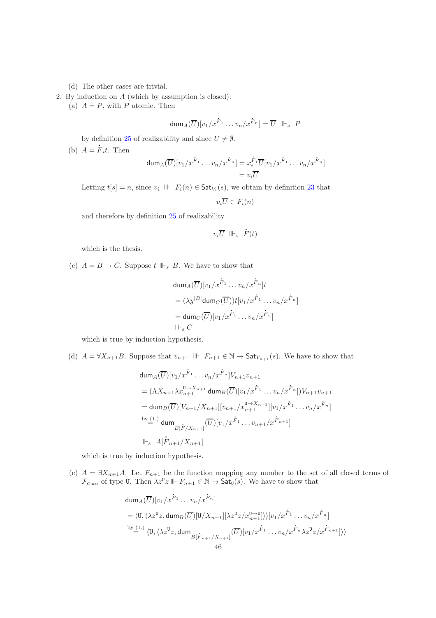(d) The other cases are trivial.

2. By induction on A (which by assumption is closed).

(a)  $A = P$ , with P atomic. Then

$$
\mathrm{dum}_A(\overline{U})[v_1/x^{\overset{.}{F}_1}\ldots v_n/x^{\overset{.}{F}_n}]=\overline{U}\ \ \mathbb{I}\mathbb{H}_s\ \ P
$$

by definition [25](#page-43-0) of realizability and since  $U \neq \emptyset$ .

(b)  $A = F<sub>i</sub>t$ . Then

$$
\begin{aligned} \text{dum}_A(\overline{U})[v_1/x^{\dot{F}_1} \dots v_n/x^{\dot{F}_n}] &= x_i^{\dot{F}_i} \overline{U}[v_1/x^{\dot{F}_1} \dots v_n/x^{\dot{F}_n}] \\ &= v_i \overline{U} \end{aligned}
$$

Letting  $t[s] = n$ , since  $v_i \parallel F_i(n) \in \mathsf{Sat}_{V_i}(s)$ , we obtain by definition [23](#page-42-1) that

$$
v_i \overline{U} \in F_i(n)
$$

and therefore by definition [25](#page-43-0) of realizability

$$
v_i \overline{U} \parallel \vdash_s \dot{F}(t)
$$

which is the thesis.

(c)  $A = B \rightarrow C$ . Suppose  $t \Vdash_s B$ . We have to show that

$$
\begin{aligned}\n\mathsf{dum}_A(\overline{U})[v_1/x^{\dot{F}_1}\dots v_n/x^{\dot{F}_n}]t \\
&= (\lambda y^{|B|}\mathsf{dum}_C(\overline{U}))t[v_1/x^{\dot{F}_1}\dots v_n/x^{\dot{F}_n}] \\
&= \mathsf{dum}_C(\overline{U})[v_1/x^{\dot{F}_1}\dots v_n/x^{\dot{F}_n}] \\
\Vdash_s C\n\end{aligned}
$$

which is true by induction hypothesis.

(d)  $A = \forall X_{n+1}B$ . Suppose that  $v_{n+1} \Vdash F_{n+1} \in \mathbb{N} \to \mathsf{Sat}_{V_{n+1}}(s)$ . We have to show that

$$
\begin{aligned}\n\text{dum}_A(\overline{U})[v_1/x^{\dot{F}_1}\dots v_n/x^{\dot{F}_n}]V_{n+1}v_{n+1} \\
&= (\Lambda X_{n+1}\lambda x_{n+1}^{\mathsf{U}\to X_{n+1}}\,\text{dum}_B(\overline{U})[v_1/x^{\dot{F}_1}\dots v_n/x^{\dot{F}_n}])V_{n+1}v_{n+1} \\
&= \text{dum}_B(\overline{U})[V_{n+1}/X_{n+1}][v_{n+1}/x_{n+1}^{\mathsf{U}\to X_{n+1}}][v_1/x^{\dot{F}_1}\dots v_n/x^{\dot{F}_n}] \\
\text{by} &\stackrel{\text{by}(1.)}{=} \text{dum}_{B[\dot{F}/X_{n+1}]}(\overline{U})[v_1/x^{\dot{F}_1}\dots v_{n+1}/x^{\dot{F}_{n+1}}] \\
\parallel\vdash_s A[\dot{F}_{n+1}/X_{n+1}]\n\end{aligned}
$$

which is true by induction hypothesis.

(e)  $A = \exists X_{n+1}A$ . Let  $F_{n+1}$  be the function mapping any number to the set of all closed terms of  $\mathcal{F}_{\text{Class}}$  of type U. Then  $\lambda z^{\mathsf{U}}z \Vdash F_{n+1} \in \mathbb{N} \to \text{Sat}_{\mathsf{U}}(s)$ . We have to show that

$$
\begin{aligned}\n\text{dum}_A(\overline{U})[v_1/x^{\dot{F}_1}\dots v_n/x^{\dot{F}_n}] \\
&= \langle \mathbf{U}, \langle \lambda z^{\mathbf{U}}z, \mathbf{dum}_B(\overline{U})[\mathbf{U}/X_{n+1}][\lambda z^{\mathbf{U}}z/x_{n+1}^{\mathbf{U}\to\mathbf{U}}] \rangle \rangle [v_1/x^{\dot{F}_1}\dots v_n/x^{\dot{F}_n}] \\
&\stackrel{\text{by (1.)}}{=} \langle \mathbf{U}, \langle \lambda z^{\mathbf{U}}z, \mathbf{dum}_B[\dot{F}_{n+1}/X_{n+1}]\rangle \langle \overline{U}\rangle [v_1/x^{\dot{F}_1}\dots v_n/x^{\dot{F}_n}\lambda z^{\mathbf{U}}z/x^{\dot{F}_{n+1}}] \rangle \rangle\n\end{aligned}
$$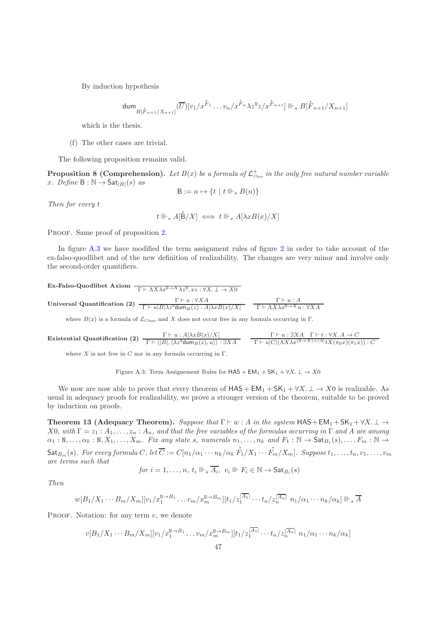By induction hypothesis

$$
\dim_{B[\dot{F}_{n+1}/X_{n+1}]}(\overline{U})[v_1/x^{\dot{F}_1}\dots v_n/x^{\dot{F}_n}\lambda z^{\nu}z/x^{\dot{F}_{n+1}}]\Vdash_s B[\dot{F}_{n+1}/X_{n+1}]
$$

which is the thesis.

(f) The other cases are trivial.

The following proposition remains valid.

**Proposition 8 (Comprehension).** Let  $B(x)$  be a formula of  $\mathcal{L}^+_{\text{Class}}$  in the only free natural number variable x. Define  $B : \mathbb{N} \to \mathsf{Sat}_{|B|}(s)$  as

$$
\mathsf{B} := n \mapsto \{ t \mid t \Vdash_s B(n) \}
$$

Then for every t

$$
t \Vdash_s A[\dot{\mathsf{B}}/X] \iff t \Vdash_s A[\lambda x B(x)/X]
$$

PROOF. Same proof of proposition [2.](#page-14-1)

In figure [A.3](#page-47-0) we have modified the term assignment rules of figure [2](#page-17-0) in order to take account of the ex-falso-quodlibet and of the new definition of realizability. The changes are very minor and involve only the second-order quantifiers.

 $\text{Ex-Falso-Quodlibet Axiom } \frac{1}{\Gamma \vdash \Lambda X \lambda x^{0\to X} \lambda z^{0}. xz : \forall X.\bot \to X0$  $\text{Universal Quantification (2)} \begin{array}{l} \Gamma \vdash u : \forall X A \qquad \qquad \Gamma \vdash u : A \ \hline \Gamma \vdash u \mathbf{B} |\lambda z^{\texttt{U}} \texttt{dum}_B(z) : A[\lambda x B(x)/X] \end{array} \quad \begin{array}{l} \Gamma \vdash u : A \ \hline \Gamma \vdash \Lambda X \lambda x^{\texttt{U} \rightarrow X} u : \forall X A \end{array}$ 

l

where  $B(x)$  is a formula of  $\mathcal{L}_{\text{Class}}$  and X does not occur free in any formula occurring in Γ.

**Existential Quantification (2)** 
$$
\frac{\Gamma \vdash u : A[\lambda x B(x)/X]}{\Gamma \vdash \langle |B|, \langle \lambda z^{\mathsf{T}} \mathsf{dum}_B(z), u \rangle \rangle : \exists X A} \qquad \frac{\Gamma \vdash u : \exists X A \quad \Gamma \vdash t : \forall X. A \rightarrow C}{\Gamma \vdash u |C| (\Lambda X \lambda x^{(\mathsf{T} \rightarrow X) \times |A|} t X(\pi_0 x)(\pi_1 x)) : C}
$$

where  $X$  is not free in  $C$  nor in any formula occurring in  $\Gamma$ .

<span id="page-47-0"></span>Figure A.3: Term Assignement Rules for  $HAS + EM_1 + SK_1 + \forall X \perp \rightarrow X0$ 

We now are now able to prove that every theorem of  $\text{HAS} + \text{EM}_1 + \text{SK}_1 + \forall X \perp \rightarrow X0$  is realizable. As usual in adequacy proofs for realizability, we prove a stronger version of the theorem, suitable to be proved by induction on proofs.

<span id="page-47-1"></span>Theorem 13 (Adequacy Theorem). Suppose that  $\Gamma \vdash w : A$  in the system  $HAS + EM_1 + SK_1 + \forall X \perp \rightarrow$ X0, with  $\Gamma = z_1 : A_1, \ldots, z_n : A_n$ , and that the free variables of the formulas occurring in  $\Gamma$  and A are among  $\alpha_1 : \mathbb{N}, \ldots, \alpha_k : \mathbb{N}, X_1, \ldots, X_m$ . Fix any state s, numerals  $n_1, \ldots, n_k$  and  $F_1 : \mathbb{N} \to \mathsf{Sat}_{B_1}(s), \ldots, F_m : \mathbb{N} \to$  $\mathsf{Sat}_{B_m}(s)$ . For every formula  $C,$  let  $C:=C[n_1/\alpha_1\cdots n_k/\alpha_k$ l  $F_1/X_1\cdots$ l  $F_m/X_m$ ]. Suppose  $t_1, \ldots, t_n, v_1, \ldots, v_m$ are terms such that

$$
\text{for } i = 1, \dots, n, \ t_i \Vdash_s \overline{A_i}, \ v_i \Vdash F_i \in \mathbb{N} \to \mathsf{Sat}_{B_i}(s)
$$

Then

$$
w[B_1/X_1\cdots B_m/X_m][v_1/x_1^{\mathbf{U}\to B_1}\ldots v_m/x_m^{\mathbf{U}\to B_m}][t_1/x_1^{\overline{A_1}}\cdots t_n/x_n^{\overline{A_n}}]n_1/\alpha_1\cdots n_k/\alpha_k]\Vdash_s \overline{A}
$$

PROOF. Notation: for any term  $v$ , we denote

$$
v[B_1/X_1\cdots B_m/X_m][v_1/x_1^{\mathsf{U}\to B_1}\ldots v_m/x_m^{\mathsf{U}\to B_m}][t_1/z_1^{\overline{|A_1|}}\cdots t_n/z_n^{\overline{|A_n|}}\ n_1/\alpha_1\cdots n_k/\alpha_k]
$$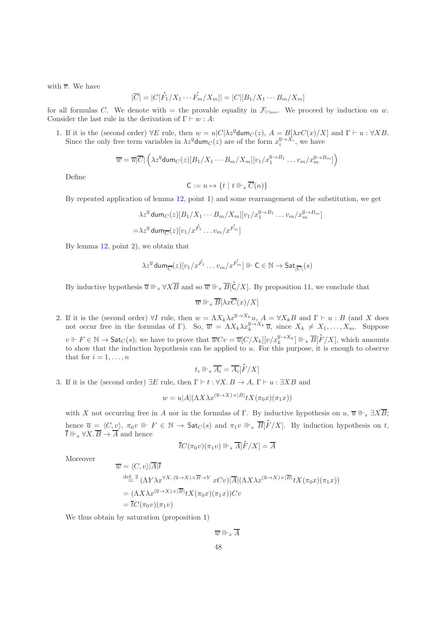with  $\overline{v}$ . We have

$$
|\overline{C}| = |C[\overline{F}_1/X_1 \cdots \overline{F}_m/X_m]| = |C|[B_1/X_1 \cdots B_m/X_m]|
$$

for all formulas C. We denote with  $=$  the provable equality in  $\mathcal{F}_{\text{Class}}$ . We proceed by induction on w. Consider the last rule in the derivation of  $\Gamma \vdash w : A:$ 

1. If it is the (second order)  $\forall E$  rule, then  $w = u|C|\lambda z^{\mathsf{U}}$ dum $_C(z)$ ,  $A = B[\lambda xC(x)/X]$  and  $\Gamma \vdash u : \forall XB$ . Since the only free term variables in  $\lambda z^{\mathsf{U}}$ dum $C(z)$  are of the form  $x_i^{\mathsf{U} \rightarrow X_i}$ , we have

$$
\overline{w} = \overline{u}|\overline{C}| \left( \lambda z^{\mathsf{U}} \mathsf{dum}_C(z)[B_1/X_1 \cdots B_m/X_m][v_1/x_1^{\mathsf{U} \to B_1} \cdots v_m/x_m^{\mathsf{U} \to B_m}] \right)
$$

Define

$$
\mathsf{C}:=n\mapsto \{t\mid t\Vdash_s \overline{C}(n)\}
$$

By repeated application of lemma [12,](#page-45-0) point 1) and some rearrangement of the substitution, we get

$$
\lambda z^{\mathsf{U}} \operatorname{dum}_C(z) [B_1/X_1 \cdots B_m/X_m] [v_1/x_1^{\mathsf{U} \to B_1} \dots v_m/x_m^{\mathsf{U} \to B_m}]
$$
  
=  $\lambda z^{\mathsf{U}} \operatorname{dum}_{\overline{C}}(z) [v_1/x^{\overline{F_1}} \dots v_m/x^{\overline{F_m}}]$ 

By lemma [12,](#page-45-0) point 2), we obtain that

$$
\lambda z^{\mathtt{U}}\,\mathsf{dum}_{\overline{C}}(z)[v_1/x^{\mathring{F_1}}\ldots v_m/x^{\mathring{F_m}}]\Vdash \mathsf{C}\in\mathbb{N}\rightarrow \mathsf{Sat}_{|\overline{C}|}(s)
$$

By inductive hypothesis  $\overline{u} \Vdash_s \forall X \overline{B}$  and so  $\overline{w} \Vdash_s \overline{B}[\overline{C}]$  $\mathsf{C}/X$ . By proposition [11,](#page-51-17) we conclude that

$$
\overline{w}\Vdash_s \overline{B}[\lambda x \overline{C}(x)/X]
$$

2. If it is the (second order)  $\forall I$  rule, then  $w = \Lambda X_k \lambda x^{\mathsf{U} \to X_k} u$ ,  $A = \forall X_k B$  and  $\Gamma \vdash u : B$  (and X does not occur free in the formulas of Γ). So,  $\overline{w} = \Lambda X_k \lambda x_k^{\mathsf{U} \to X_k} \overline{u}$ , since  $X_k \neq X_1, \ldots, X_m$ . Suppose  $v \Vdash F \in \mathbb{N} \to \mathsf{Sat}_C(s)$ ; we have to prove that  $\overline{w}Cv = \overline{u}[C/X_k][v/x_k^{\mathsf{U} \to X_k}] \Vdash_s \overline{B}[\dot{F}/X]$ , which amounts to show that the induction hypothesis can be applied to  $u$ . For this purpose, it is enough to observe that for  $i = 1, \ldots, n$ 

$$
t_i \Vdash_s \overline{A_i} = \overline{A_i}[\dot{F}/X]
$$

3. If it is the (second order)  $\exists E$  rule, then  $\Gamma \vdash t : \forall X. B \to A$ ,  $\Gamma \vdash u : \exists XB$  and

$$
w = u|A|(\Lambda X \lambda x^{(U \to X) \times |B|} t X(\pi_0 x)(\pi_1 x))
$$

with X not occurring free in A nor in the formulas of Γ. By inductive hypothesis on  $u, \overline{u} \Vdash_{s} \exists X \overline{B}$ ; hence  $\overline{u} = \langle C, v \rangle$ ,  $\pi_0 v \Vdash F \in \mathbb{N} \to \mathsf{Sat}_C(s)$  and  $\pi_1 v \Vdash_s \overline{B}[\overline{B}]$  $F/X$ . By induction hypothesis on t,  $\overline{t} \Vdash_s \forall X. \overline{B} \to \overline{A}$  and hence l

$$
\overline{t}C(\pi_0v)(\pi_1v)\Vdash_s \overline{A}[\dot{F}/X]=\overline{A}
$$

Moreover

$$
\overline{w} = \langle C, v \rangle | \overline{A} | \overline{t}
$$
\n
$$
\stackrel{\text{def. } 2}{=} \langle \Lambda Y \lambda x^{\forall X. (U \to X) \times \overline{B} \to Y} xCv \rangle | \overline{A} | (\Lambda X \lambda x^{(U \to X) \times |\overline{B}|} tX(\pi_0 x)(\pi_1 x))
$$
\n
$$
= (\Lambda X \lambda x^{(U \to X) \times |\overline{B}|} tX(\pi_0 x)(\pi_1 x))Cv
$$
\n
$$
= \overline{t}C(\pi_0 v)(\pi_1 v)
$$

We thus obtain by saturation (proposition [1\)](#page-14-0)

 $\overline{w} \Vdash_s \overline{A}$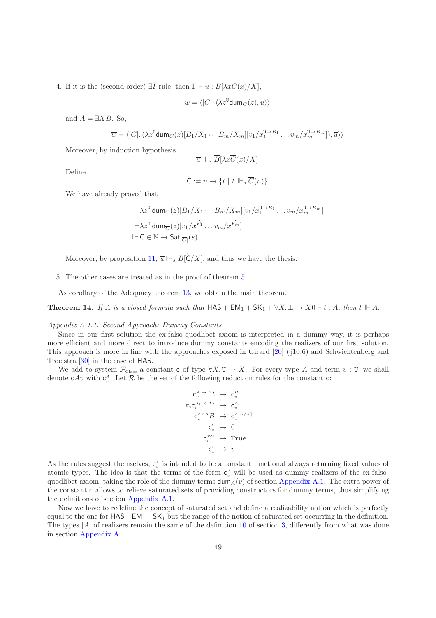4. If it is the (second order)  $\exists I$  rule, then  $\Gamma \vdash u : B[\lambda x C(x)/X],$ 

$$
w = \langle |C|, \langle \lambda z^{\texttt{U}} \text{dum}_C(z), u \rangle \rangle
$$

and  $A = \exists XB.$  So,

$$
\overline{w} = \langle |\overline{C}|, (\lambda z^{\texttt{U}} \texttt{dum}_C(z)[B_1/X_1 \cdots B_m/X_m][v_1/x_1^{\texttt{U} \rightarrow B_1} \cdots v_m/x_m^{\texttt{U} \rightarrow B_m}]), \overline{u} \rangle \rangle
$$

Moreover, by induction hypothesis

$$
\overline{u}\Vdash_s \overline{B}[\lambda x \overline{C}(x)/X]
$$

Define

$$
\mathsf{C}:=n\mapsto \{t\mid t\Vdash_s \overline{C}(n)\}
$$

We have already proved that

$$
\lambda z^{\mathsf{U}} \operatorname{dum}_C(z) [B_1/X_1 \cdots B_m/X_m][v_1/x_1^{\mathsf{U} \to B_1} \cdots v_m/x_m^{\mathsf{U} \to B_m}]
$$
  
=
$$
\lambda z^{\mathsf{U}} \operatorname{dum}_{\overline{C}}(z)[v_1/x^{\overline{F_1}} \cdots v_m/x^{\overline{F_m}}]
$$
  
|| $\vdash$ C  $\in$  N  $\to$  Sat<sub>|\overline{C|</sub>(s)

Moreover, by proposition  $11, \overline{u} \Vdash_s \overline{B}[\overline{C}]$  $11, \overline{u} \Vdash_s \overline{B}[\overline{C}]$  $C/X$ , and thus we have the thesis.

5. The other cases are treated as in the proof of theorem [5.](#page-16-0)

As corollary of the Adequacy theorem [13,](#page-47-1) we obtain the main theorem.

**Theorem 14.** If A is a closed formula such that  $HAS + EM_1 + SK_1 + \forall X \perp \rightarrow X0 \vdash t : A$ , then  $t \Vdash A$ .

#### Appendix A.1.1. Second Approach: Dummy Constants

Since in our first solution the ex-falso-quodlibet axiom is interpreted in a dummy way, it is perhaps more efficient and more direct to introduce dummy constants encoding the realizers of our first solution. This approach is more in line with the approaches exposed in Girard [\[20\]](#page-51-11) (§10.6) and Schwichtenberg and Troelstra [\[30](#page-52-10)] in the case of HAS.

We add to system  $\mathcal{F}_{\text{Class}}$  a constant c of type  $\forall X.\mathbf{U}\to X$ . For every type A and term  $v:\mathbf{U}$ , we shall denote  $cAv$  with  $c_v^A$ . Let R be the set of the following reduction rules for the constant c:

<span id="page-49-0"></span>
$$
\begin{array}{ccc}\n\mathsf{c}_{v}^{A\rightarrow B}t & \mapsto & \mathsf{c}_{v}^{B} \\
\pi_{i}\mathsf{c}_{v}^{A_{1}\times A_{2}} & \mapsto & \mathsf{c}_{v}^{A_{i}} \\
\mathsf{c}_{v}^{\vee X A}B & \mapsto & \mathsf{c}_{v}^{A[B/X]} \\
\mathsf{c}_{v}^{\mathsf{N}} & \mapsto & 0 \\
\mathsf{c}_{v}^{\mathsf{Bool}} & \mapsto & \mathsf{True} \\
\mathsf{c}_{v}^{\mathsf{Bool}} & \mapsto & v\n\end{array}
$$

As the rules suggest themselves,  $c_v^A$  is intended to be a constant functional always returning fixed values of atomic types. The idea is that the terms of the form  $c_v^A$  will be used as dummy realizers of the ex-falsoquodlibet axiom, taking the role of the dummy terms  $\dim_A(v)$  of section [Appendix A.1.](#page-42-2) The extra power of the constant c allows to relieve saturated sets of providing constructors for dummy terms, thus simplifying the definitions of section [Appendix A.1.](#page-42-2)

Now we have to redefine the concept of saturated set and define a realizability notion which is perfectly equal to the one for  $HAS+EM_1+SK_1$  but the range of the notion of saturated set occurring in the definition. The types  $|A|$  of realizers remain the same of the definition [10](#page-12-1) of section [3,](#page-10-0) differently from what was done in section [Appendix A.1.](#page-42-2)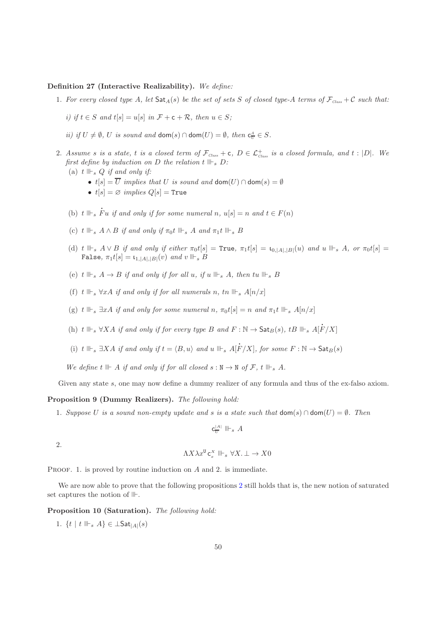## Definition 27 (Interactive Realizability). We define:

- 1. For every closed type A, let  $\text{Sat}_{A}(s)$  be the set of sets S of closed type-A terms of  $\mathcal{F}_{\text{Class}} + \mathcal{C}$  such that:
	- i) if  $t \in S$  and  $t[s] = u[s]$  in  $\mathcal{F} + c + \mathcal{R}$ , then  $u \in S$ ;
	- *ii)* if  $U \neq \emptyset$ ,  $U$  is sound and dom(s)  $\cap$  dom(U) =  $\emptyset$ , then  $c_{\overline{U}}^A \in S$ .
- 2. Assume s is a state, t is a closed term of  $\mathcal{F}_{\textit{Class}} + \mathsf{c}$ ,  $D \in \mathcal{L}^+_{\textit{Class}}$  is a closed formula, and  $t : |D|$ . We first define by induction on D the relation  $t \Vdash_s D$ :
	- (a)  $t \Vdash_s Q$  if and only if:
		- $t[s] = \overline{U}$  implies that U is sound and dom $(U) \cap$  dom $(s) = \emptyset$
		- $t[s] = \emptyset$  implies  $Q[s] = True$
	- (b)  $t \parallel \vdash_s \dot{F}$ Fu if and only if for some numeral n,  $u[s] = n$  and  $t \in F(n)$
	- (c) t  $\mathbb{H}_s$   $A \wedge B$  if and only if  $\pi_0 t$   $\mathbb{H}_s$   $A$  and  $\pi_1 t$   $\mathbb{H}_s$   $B$
	- (d) t  $\Vdash_s A \vee B$  if and only if either  $\pi_0 t[s] = \text{True}, \ \pi_1 t[s] = \iota_{0, |A|, |B|}(u)$  and  $u \Vdash_s A$ , or  $\pi_0 t[s] =$ False,  $\pi_1 t[s] = \mathfrak{t}_{1,|A|,|B|}(v)$  and  $v \Vdash_s B$
	- (e) t  $\Vdash_s A \rightarrow B$  if and only if for all u, if u  $\Vdash_s A$ , then tu  $\Vdash_s B$
	- (f) t  $\mathbb{H}_s$   $\forall xA$  if and only if for all numerals n, tn  $\mathbb{H}_s$   $A[n/x]$
	- (g) t  $\mathbb{F}_s$   $\exists xA$  if and only for some numeral n,  $\pi_0 t[s] = n$  and  $\pi_1 t \mathbb{F}_s$   $A[n/x]$
	- (h) t  $\Vdash_s \forall XA$  if and only if for every type B and  $F : \mathbb{N} \to \mathsf{Sat}_B(s)$ , tB  $\Vdash_s A[\dot{F}]$  $F/X]$
	- (i) t  $\Vdash_s \exists X A$  if and only if  $t = \langle B, u \rangle$  and  $u \Vdash_s A[\dot{F}]$  $F/X$ ], for some  $F : \mathbb{N} \to \mathsf{Sat}_B(s)$

We define t  $H \rightharpoonup A$  if and only if for all closed  $s : N \to N$  of  $\mathcal{F}, t \rightharpoonup s A$ .

Given any state s, one may now define a dummy realizer of any formula and thus of the ex-falso axiom.

#### Proposition 9 (Dummy Realizers). The following hold:

1. Suppose U is a sound non-empty update and s is a state such that  $\text{dom}(s) \cap \text{dom}(U) = \emptyset$ . Then

$$
\mathbf{c}^{|A|}_U \parallel\vdash_s A
$$

2.

$$
\Lambda X \lambda x^{\mathsf{U}} \mathsf{c}_x^X \Vdash_s \forall X. \bot \to X0
$$

PROOF. 1. is proved by routine induction on A and 2. is immediate.

We are now able to prove that the following propositions [2](#page-14-1) still holds that is, the new notion of saturated set captures the notion of  $\mathbb{I}$ .

Proposition 10 (Saturation). The following hold:

1.  $\{t \mid t \Vdash_s A\} \in \bot$ Sat $_{|A|}(s)$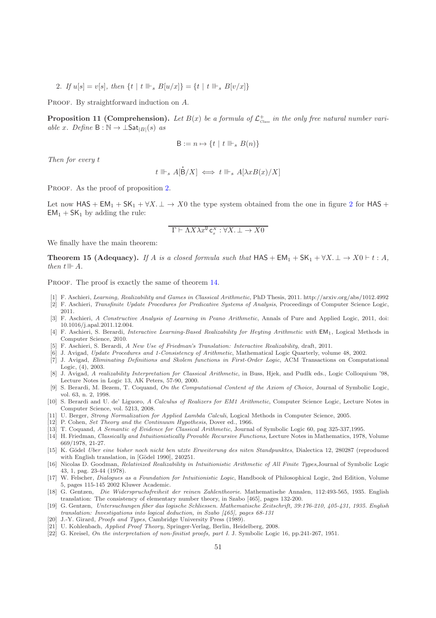2. If  $u[s] = v[s]$ , then  $\{t \mid t \Vdash_s B[u/x] \} = \{t \mid t \Vdash_s B[v/x] \}$ 

<span id="page-51-17"></span>PROOF. By straightforward induction on A.

**Proposition 11 (Comprehension).** Let  $B(x)$  be a formula of  $\mathcal{L}^+_{\text{Class}}$  in the only free natural number variable x. Define  $B : \mathbb{N} \to \bot$ Sat $_{|B|}(s)$  as

$$
\mathsf{B} := n \mapsto \{ t \mid t \Vdash_s B(n) \}
$$

Then for every t

$$
t\parallel_{s} A[\dot{\mathsf{B}}/X]\iff t\parallel_{s} A[\lambda xB(x)/X]
$$

l

PROOF. As the proof of proposition [2.](#page-14-1)

Let now  $\text{HAS} + \text{EM}_1 + \text{SK}_1 + \forall X \perp \rightarrow X0$  the type system obtained from the one in figure [2](#page-17-0) for  $\text{HAS} +$  $EM_1 + SK_1$  by adding the rule:

$$
\Gamma \vdash \Lambda X \lambda x^{\mathtt{U}} \mathtt{c}^X_x : \forall X. \bot \to X0
$$

We finally have the main theorem:

**Theorem 15 (Adequacy).** If A is a closed formula such that  $HAS + EM_1 + SK_1 + \forall X \perp \rightarrow X0 \vdash t : A$ , then  $t \Vdash A$ .

PROOF. The proof is exactly the same of theorem [14.](#page-49-0)

- <span id="page-51-9"></span><span id="page-51-7"></span>[1] F. Aschieri, *Learning, Realizability and Games in Classical Arithmetic*, PhD Thesis, 2011. http://arxiv.org/abs/1012.4992 [2] F. Aschieri, *Transfinite Update Procedures for Predicative Systems of Analysis*, Proceedings of Computer Science Logic, 2011.
- <span id="page-51-8"></span>[3] F. Aschieri, *A Constructive Analysis of Learning in Peano Arithmetic*, Annals of Pure and Applied Logic, 2011, doi: 10.1016/j.apal.2011.12.004.
- <span id="page-51-5"></span>[4] F. Aschieri, S. Berardi, *Interactive Learning-Based Realizability for Heyting Arithmetic with* EM<sub>1</sub>, Logical Methods in Computer Science, 2010.
- <span id="page-51-16"></span>[5] F. Aschieri, S. Berardi, *A New Use of Friedman's Translation: Interactive Realizability*, draft, 2011.
- <span id="page-51-6"></span>[6] J. Avigad, *Update Procedures and 1-Consistency of Arithmetic*, Mathematical Logic Quarterly, volume 48, 2002.
- <span id="page-51-15"></span>[7] J. Avigad, *Eliminating Definitions and Skolem functions in First-Order Logic*, ACM Transactions on Computational Logic, (4), 2003.
- [8] J. Avigad, *A realizability Interpretation for Classical Arithmetic*, in Buss, Hjek, and Pudlk eds., Logic Colloquium '98, Lecture Notes in Logic 13, AK Peters, 57-90, 2000.
- <span id="page-51-4"></span>[9] S. Berardi, M. Bezem, T. Coquand, *On the Computational Content of the Axiom of Choice*, Journal of Symbolic Logic, vol. 63, n. 2, 1998.
- <span id="page-51-12"></span>[10] S. Berardi and U. de' Liguoro, *A Calculus of Realizers for EM1 Arithmetic*, Computer Science Logic, Lecture Notes in Computer Science, vol. 5213, 2008.
- <span id="page-51-13"></span>[11] U. Berger, *Strong Normalization for Applied Lambda Calculi*, Logical Methods in Computer Science, 2005.
- <span id="page-51-10"></span>[12] P. Cohen, *Set Theory and the Continuum Hypothesis*, Dover ed., 1966.
- <span id="page-51-2"></span>[13] T. Coquand, *A Semantic of Evidence for Classical Arithmetic*, Journal of Symbolic Logic 60, pag 325-337,1995.
- <span id="page-51-1"></span>[14] H. Friedman, *Classically and Intuitionistically Provable Recursive Functions*, Lecture Notes in Mathematics, 1978, Volume 669/1978, 21-27.
- <span id="page-51-0"></span>[15] K. G¨odel *Uber eine bisher noch nicht ben utzte Erweiterung des niten Standpunktes*, Dialectica 12, 280287 (reproduced with English translation, in [Gödel 1990], 240251.
- <span id="page-51-14"></span>[16] Nicolas D. Goodman, *Relativized Realizability in Intuitionistic Arithmetic of All Finite Types*,Journal of Symbolic Logic 43, 1, pag. 23-44 (1978).
- [17] W. Felscher, *Dialogues as a Foundation for Intuitionistic Logic*, Handbook of Philosophical Logic, 2nd Edition, Volume 5, pages 115-145 2002 Kluwer Academic.
- [18] G. Gentzen, *Die Widerspruchsfreiheit der reinen Zahlentheorie*. Mathematische Annalen, 112:493-565, 1935. English translation: The consistency of elementary number theory, in Szabo [465], pages 132-200.
- [19] G. Gentzen, *Untersuchungen fiber das logische Schliessen. Mathematische Zeitschrift, 39:176-210, 405-431, 1935. English translation: Investigations into logical deduction, in Szabo [465], pages 68-131*
- <span id="page-51-11"></span>[20] J.-Y. Girard, *Proofs and Types*, Cambridge University Press (1989).
- [21] U. Kohlenbach, *Applied Proof Theory*, Springer-Verlag, Berlin, Heidelberg, 2008.
- <span id="page-51-3"></span>[22] G. Kreisel, *On the interpretation of non-finitist proofs, part I*. J. Symbolic Logic 16, pp.241-267, 1951.